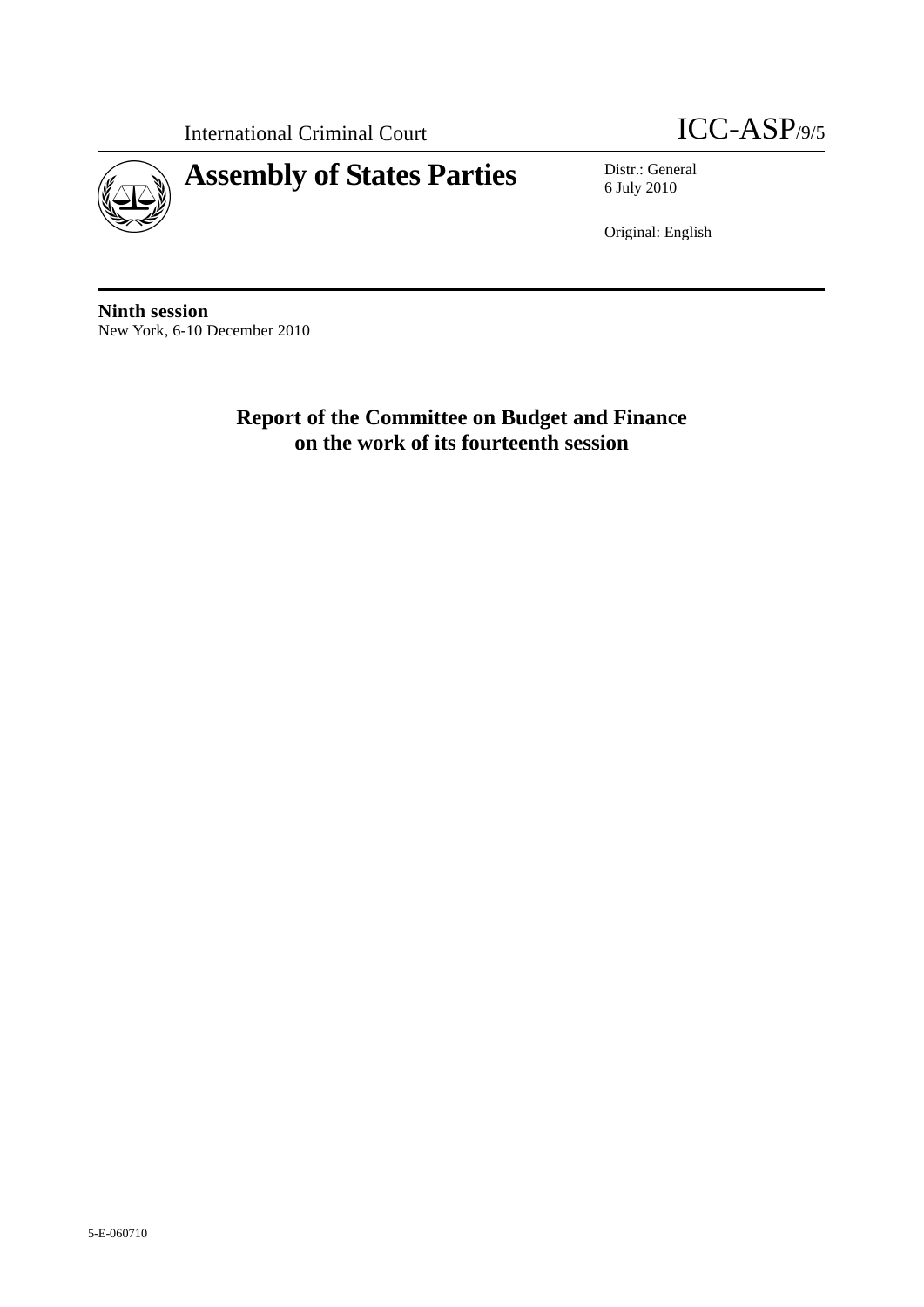International Criminal Court **ICC-ASP**/9/5





6 July 2010

Original: English

**Ninth session**  New York, 6-10 December 2010

> **Report of the Committee on Budget and Finance on the work of its fourteenth session**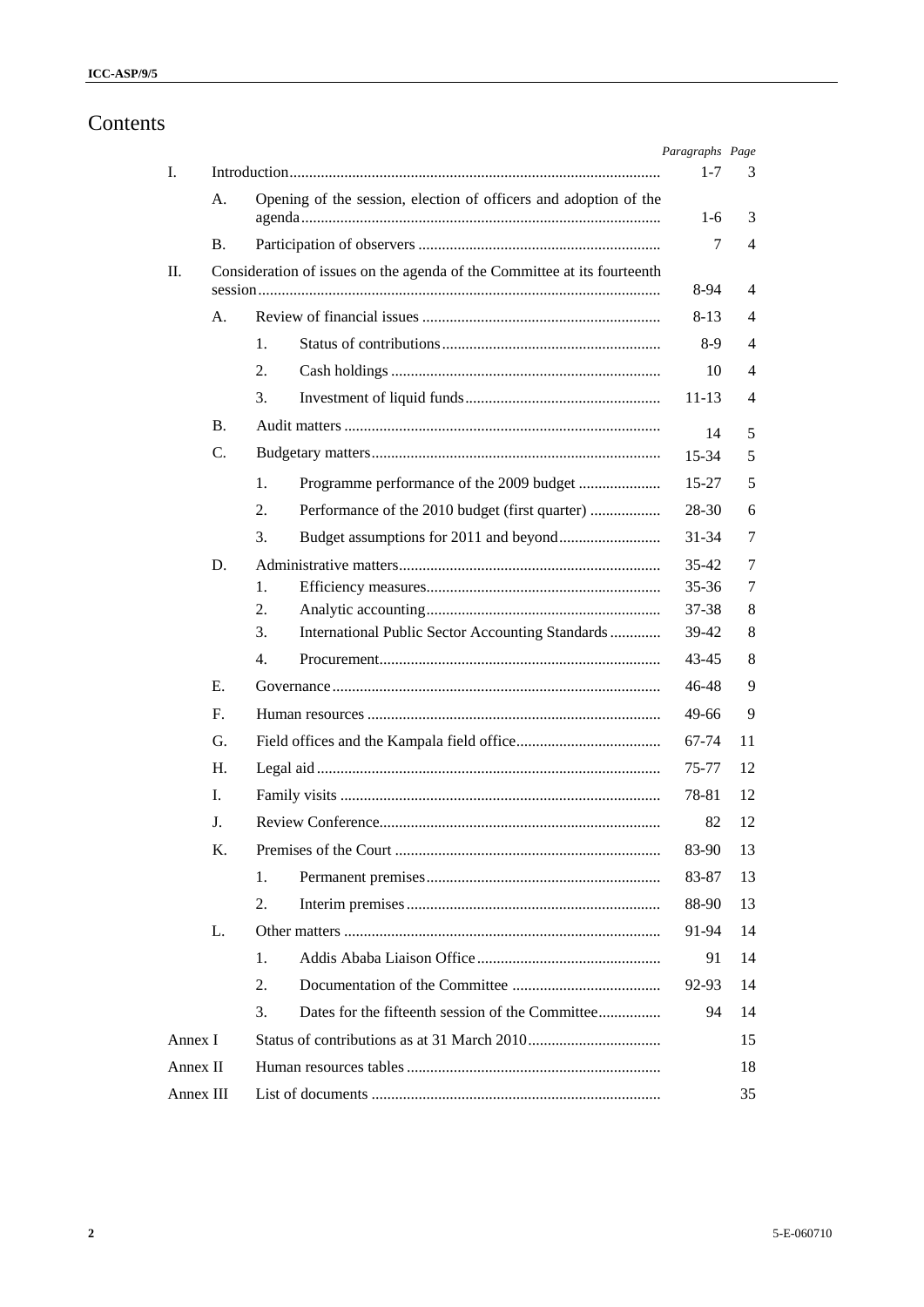# Contents

|           |           |    |                                                                          | Paragraphs Page |    |
|-----------|-----------|----|--------------------------------------------------------------------------|-----------------|----|
| I.        |           |    |                                                                          | $1 - 7$         | 3  |
|           | A.        |    | Opening of the session, election of officers and adoption of the         | $1-6$           | 3  |
|           | Β.        |    |                                                                          | 7               | 4  |
| П.        |           |    | Consideration of issues on the agenda of the Committee at its fourteenth |                 |    |
|           |           |    |                                                                          | 8-94            | 4  |
|           | A.        |    |                                                                          | 8-13            | 4  |
|           |           | 1. |                                                                          | $8-9$           | 4  |
|           |           | 2. |                                                                          | 10              | 4  |
|           |           | 3. |                                                                          | $11 - 13$       | 4  |
|           | <b>B.</b> |    |                                                                          | 14              | 5  |
|           | C.        |    |                                                                          | 15-34           | 5  |
|           |           | 1. |                                                                          | $15 - 27$       | 5  |
|           |           | 2. | Performance of the 2010 budget (first quarter)                           | 28-30           | 6  |
|           |           | 3. |                                                                          | $31 - 34$       | 7  |
|           | D.        |    |                                                                          | $35 - 42$       | 7  |
|           |           | 1. |                                                                          | $35 - 36$       | 7  |
|           |           | 2. |                                                                          | 37-38           | 8  |
|           |           | 3. | International Public Sector Accounting Standards                         | 39-42           | 8  |
|           |           | 4. |                                                                          | 43-45           | 8  |
|           | E.        |    |                                                                          | 46-48           | 9  |
|           | F.        |    |                                                                          | 49-66           | 9  |
|           | G.        |    |                                                                          | 67-74           | 11 |
|           | Н.        |    |                                                                          | 75-77           | 12 |
|           | I.        |    |                                                                          | 78-81           | 12 |
|           | J.        |    |                                                                          | 82              | 12 |
|           | Κ.        |    |                                                                          | 83-90           | 13 |
|           |           | 1. |                                                                          | 83-87           | 13 |
|           |           | 2. |                                                                          | 88-90           | 13 |
|           | L.        |    |                                                                          | 91-94           | 14 |
|           |           | 1. |                                                                          | 91              | 14 |
|           |           | 2. |                                                                          | 92-93           | 14 |
|           |           | 3. | Dates for the fifteenth session of the Committee                         | 94              | 14 |
| Annex I   |           |    |                                                                          |                 | 15 |
| Annex II  |           |    |                                                                          |                 | 18 |
| Annex III |           |    |                                                                          |                 | 35 |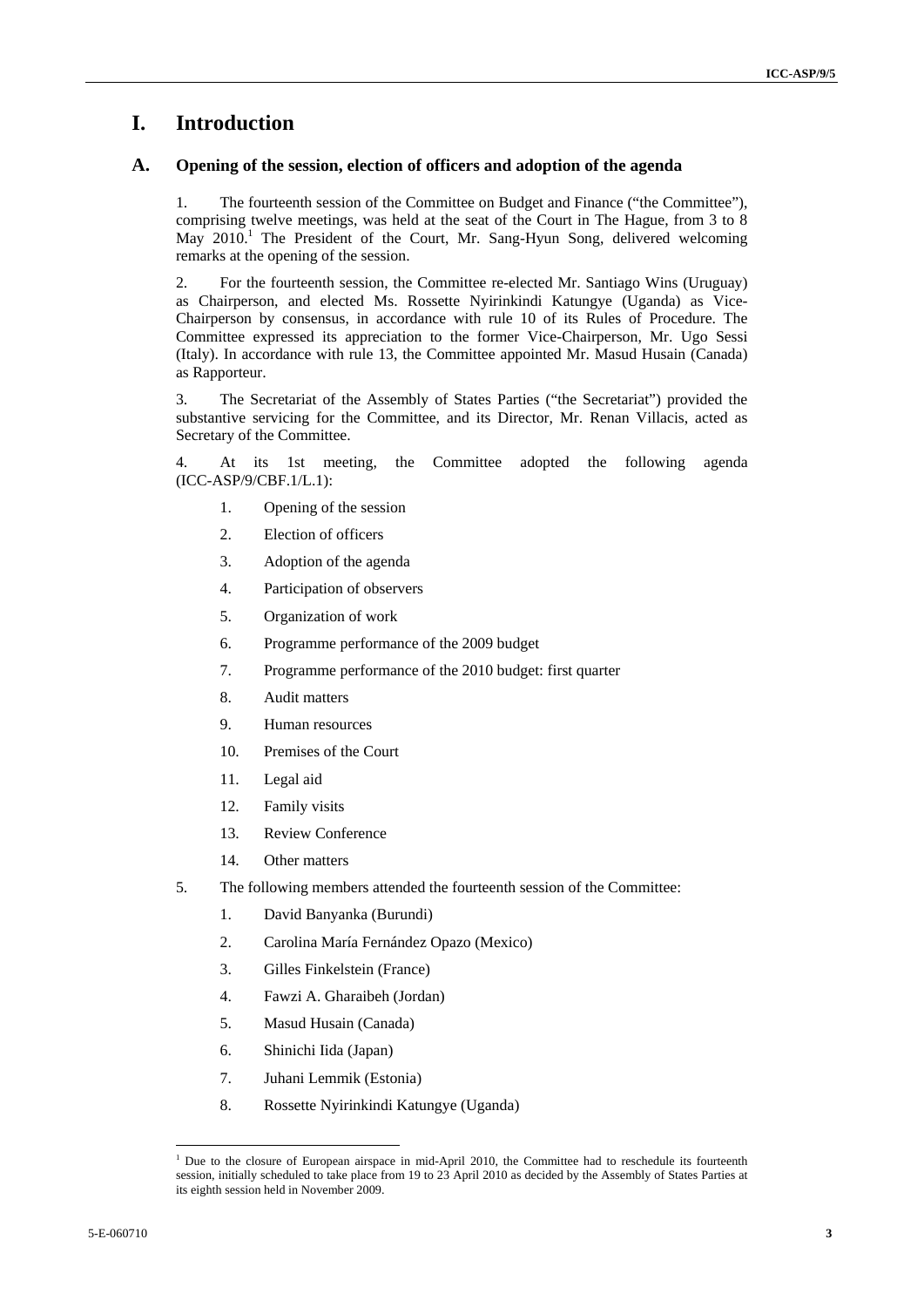# **I. Introduction**

#### **A. Opening of the session, election of officers and adoption of the agenda**

1. The fourteenth session of the Committee on Budget and Finance ("the Committee"), comprising twelve meetings, was held at the seat of the Court in The Hague, from 3 to 8 May 2010.<sup>1</sup> The President of the Court, Mr. Sang-Hyun Song, delivered welcoming remarks at the opening of the session.

2. For the fourteenth session, the Committee re-elected Mr. Santiago Wins (Uruguay) as Chairperson, and elected Ms. Rossette Nyirinkindi Katungye (Uganda) as Vice-Chairperson by consensus, in accordance with rule 10 of its Rules of Procedure. The Committee expressed its appreciation to the former Vice-Chairperson, Mr. Ugo Sessi (Italy). In accordance with rule 13, the Committee appointed Mr. Masud Husain (Canada) as Rapporteur.

3. The Secretariat of the Assembly of States Parties ("the Secretariat") provided the substantive servicing for the Committee, and its Director*,* Mr. Renan Villacis, acted as Secretary of the Committee.

4. At its 1st meeting, the Committee adopted the following agenda (ICC-ASP/9/CBF.1/L.1):

- 1. Opening of the session
- 2. Election of officers
- 3. Adoption of the agenda
- 4. Participation of observers
- 5. Organization of work
- 6. Programme performance of the 2009 budget
- 7. Programme performance of the 2010 budget: first quarter
- 8. Audit matters
- 9. Human resources
- 10. Premises of the Court
- 11. Legal aid
- 12. Family visits
- 13. Review Conference
- 14. Other matters
- 5. The following members attended the fourteenth session of the Committee:
	- 1. David Banyanka (Burundi)
	- 2. Carolina María Fernández Opazo (Mexico)
	- 3. Gilles Finkelstein (France)
	- 4. Fawzi A. Gharaibeh (Jordan)
	- 5. Masud Husain (Canada)
	- 6. Shinichi Iida (Japan)
	- 7. Juhani Lemmik (Estonia)
	- 8. Rossette Nyirinkindi Katungye (Uganda)

<sup>&</sup>lt;sup>1</sup> Due to the closure of European airspace in mid-April 2010, the Committee had to reschedule its fourteenth session, initially scheduled to take place from 19 to 23 April 2010 as decided by the Assembly of States Parties at its eighth session held in November 2009.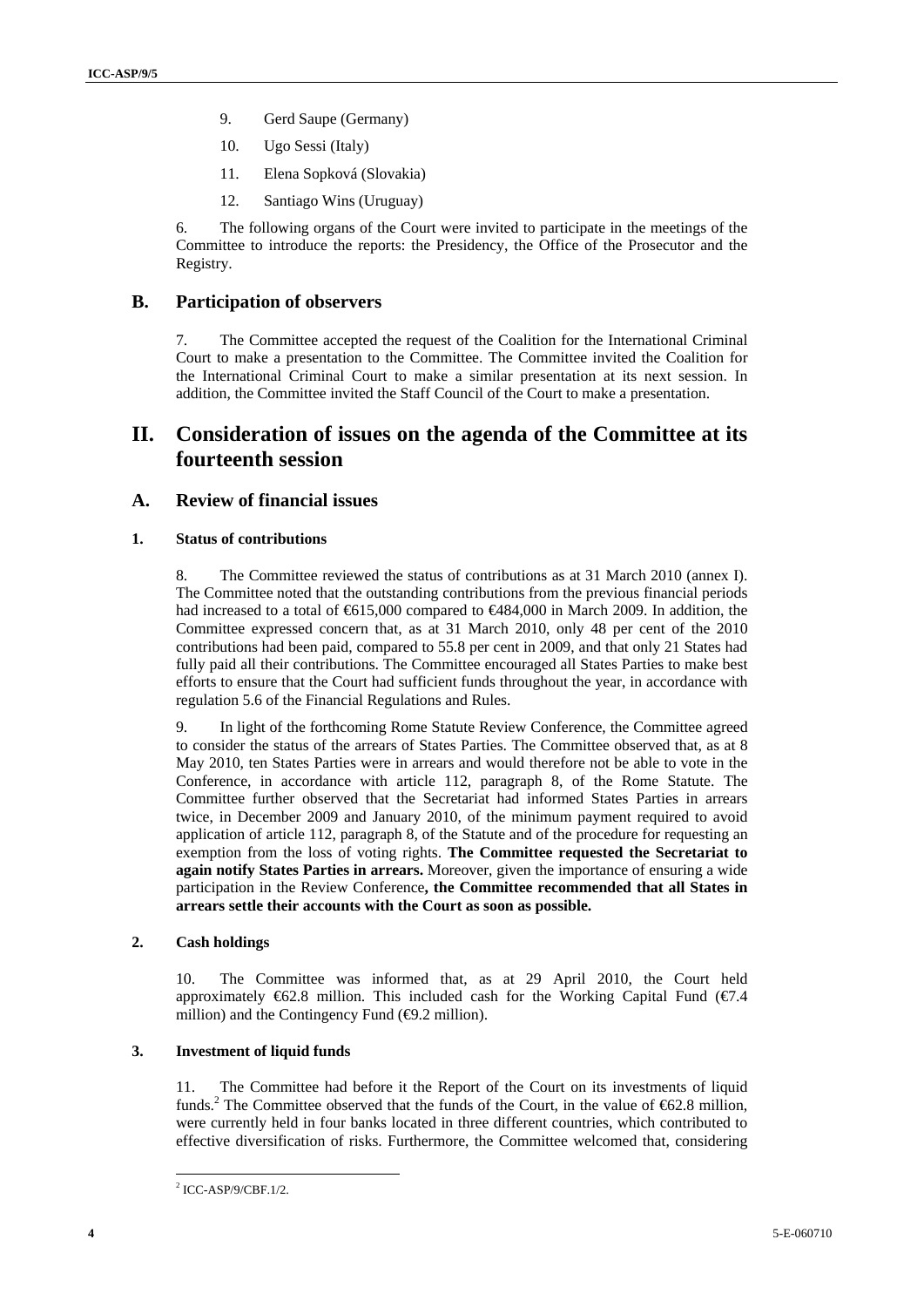- 9. Gerd Saupe (Germany)
- 10. Ugo Sessi (Italy)
- 11. Elena Sopková (Slovakia)
- 12. Santiago Wins (Uruguay)

6. The following organs of the Court were invited to participate in the meetings of the Committee to introduce the reports: the Presidency, the Office of the Prosecutor and the Registry.

#### **B. Participation of observers**

7. The Committee accepted the request of the Coalition for the International Criminal Court to make a presentation to the Committee. The Committee invited the Coalition for the International Criminal Court to make a similar presentation at its next session. In addition, the Committee invited the Staff Council of the Court to make a presentation.

# **II. Consideration of issues on the agenda of the Committee at its fourteenth session**

#### **A. Review of financial issues**

#### **1. Status of contributions**

8. The Committee reviewed the status of contributions as at 31 March 2010 (annex I). The Committee noted that the outstanding contributions from the previous financial periods had increased to a total of €615,000 compared to €484,000 in March 2009. In addition, the Committee expressed concern that, as at 31 March 2010, only 48 per cent of the 2010 contributions had been paid, compared to 55.8 per cent in 2009, and that only 21 States had fully paid all their contributions. The Committee encouraged all States Parties to make best efforts to ensure that the Court had sufficient funds throughout the year, in accordance with regulation 5.6 of the Financial Regulations and Rules.

9. In light of the forthcoming Rome Statute Review Conference, the Committee agreed to consider the status of the arrears of States Parties. The Committee observed that, as at 8 May 2010, ten States Parties were in arrears and would therefore not be able to vote in the Conference, in accordance with article 112, paragraph 8, of the Rome Statute. The Committee further observed that the Secretariat had informed States Parties in arrears twice, in December 2009 and January 2010, of the minimum payment required to avoid application of article 112, paragraph 8, of the Statute and of the procedure for requesting an exemption from the loss of voting rights. **The Committee requested the Secretariat to again notify States Parties in arrears.** Moreover, given the importance of ensuring a wide participation in the Review Conference**, the Committee recommended that all States in arrears settle their accounts with the Court as soon as possible.**

#### **2. Cash holdings**

10. The Committee was informed that, as at 29 April 2010, the Court held approximately  $\epsilon$ 62.8 million. This included cash for the Working Capital Fund ( $\epsilon$ 7.4 million) and the Contingency Fund  $(\bigoplus 2$  million).

#### **3. Investment of liquid funds**

11. The Committee had before it the Report of the Court on its investments of liquid funds.<sup>2</sup> The Committee observed that the funds of the Court, in the value of  $62.8$  million, were currently held in four banks located in three different countries, which contributed to effective diversification of risks. Furthermore, the Committee welcomed that, considering

<sup>2</sup> ICC-ASP/9/CBF.1/2.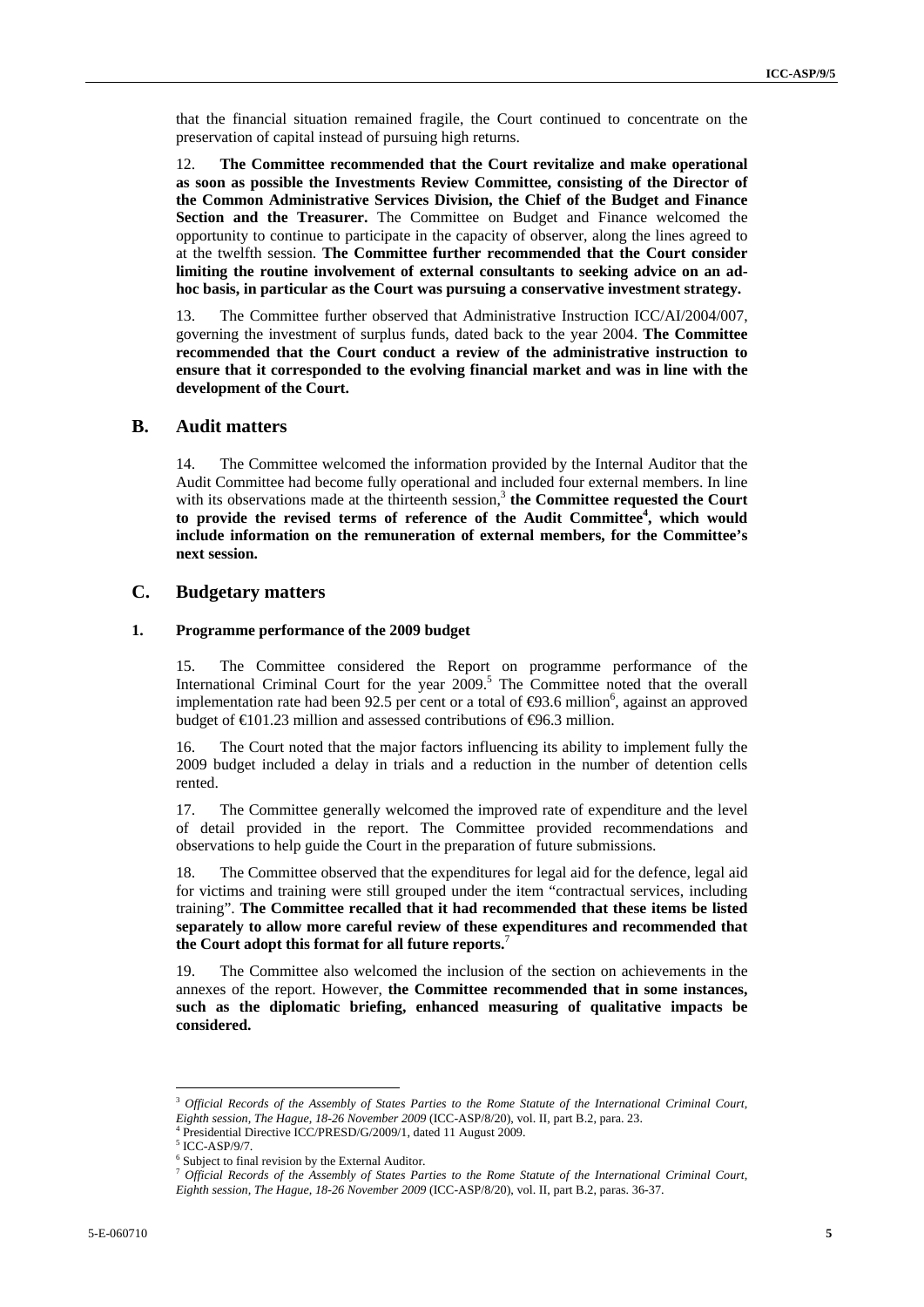that the financial situation remained fragile, the Court continued to concentrate on the preservation of capital instead of pursuing high returns.

12. **The Committee recommended that the Court revitalize and make operational as soon as possible the Investments Review Committee, consisting of the Director of the Common Administrative Services Division, the Chief of the Budget and Finance Section and the Treasurer.** The Committee on Budget and Finance welcomed the opportunity to continue to participate in the capacity of observer, along the lines agreed to at the twelfth session. **The Committee further recommended that the Court consider limiting the routine involvement of external consultants to seeking advice on an adhoc basis, in particular as the Court was pursuing a conservative investment strategy.** 

13. The Committee further observed that Administrative Instruction ICC/AI/2004/007, governing the investment of surplus funds, dated back to the year 2004. **The Committee recommended that the Court conduct a review of the administrative instruction to ensure that it corresponded to the evolving financial market and was in line with the development of the Court.**

#### **B. Audit matters**

14. The Committee welcomed the information provided by the Internal Auditor that the Audit Committee had become fully operational and included four external members. In line with its observations made at the thirteenth session,<sup>3</sup> the Committee requested the Court to provide the revised terms of reference of the Audit Committee<sup>4</sup>, which would **include information on the remuneration of external members, for the Committee's next session.**

#### **C. Budgetary matters**

#### **1. Programme performance of the 2009 budget**

15. The Committee considered the Report on programme performance of the International Criminal Court for the year  $2009$ .<sup>5</sup> The Committee noted that the overall implementation rate had been 92.5 per cent or a total of  $\Theta$ 3.6 million<sup>6</sup>, against an approved budget of  $\in$  01.23 million and assessed contributions of  $\in$  6.3 million.

16. The Court noted that the major factors influencing its ability to implement fully the 2009 budget included a delay in trials and a reduction in the number of detention cells rented.

17. The Committee generally welcomed the improved rate of expenditure and the level of detail provided in the report. The Committee provided recommendations and observations to help guide the Court in the preparation of future submissions.

18. The Committee observed that the expenditures for legal aid for the defence, legal aid for victims and training were still grouped under the item "contractual services, including training". **The Committee recalled that it had recommended that these items be listed separately to allow more careful review of these expenditures and recommended that the Court adopt this format for all future reports.**<sup>7</sup>

The Committee also welcomed the inclusion of the section on achievements in the annexes of the report. However, **the Committee recommended that in some instances, such as the diplomatic briefing, enhanced measuring of qualitative impacts be considered.**

<sup>3</sup> *Official Records of the Assembly of States Parties to the Rome Statute of the International Criminal Court,* 

*Eighth session, The Hague, 18-26 November 2009* (ICC-ASP/8/20), vol. II, part B.2, para. 23. 4

Presidential Directive ICC/PRESD/G/2009/1, dated 11 August 2009.

 $5$  ICC-ASP/9/7.

<sup>&</sup>lt;sup>6</sup> Subject to final revision by the External Auditor.

<sup>7</sup> *Official Records of the Assembly of States Parties to the Rome Statute of the International Criminal Court, Eighth session, The Hague, 18-26 November 2009* (ICC-ASP/8/20), vol. II, part B.2, paras. 36-37.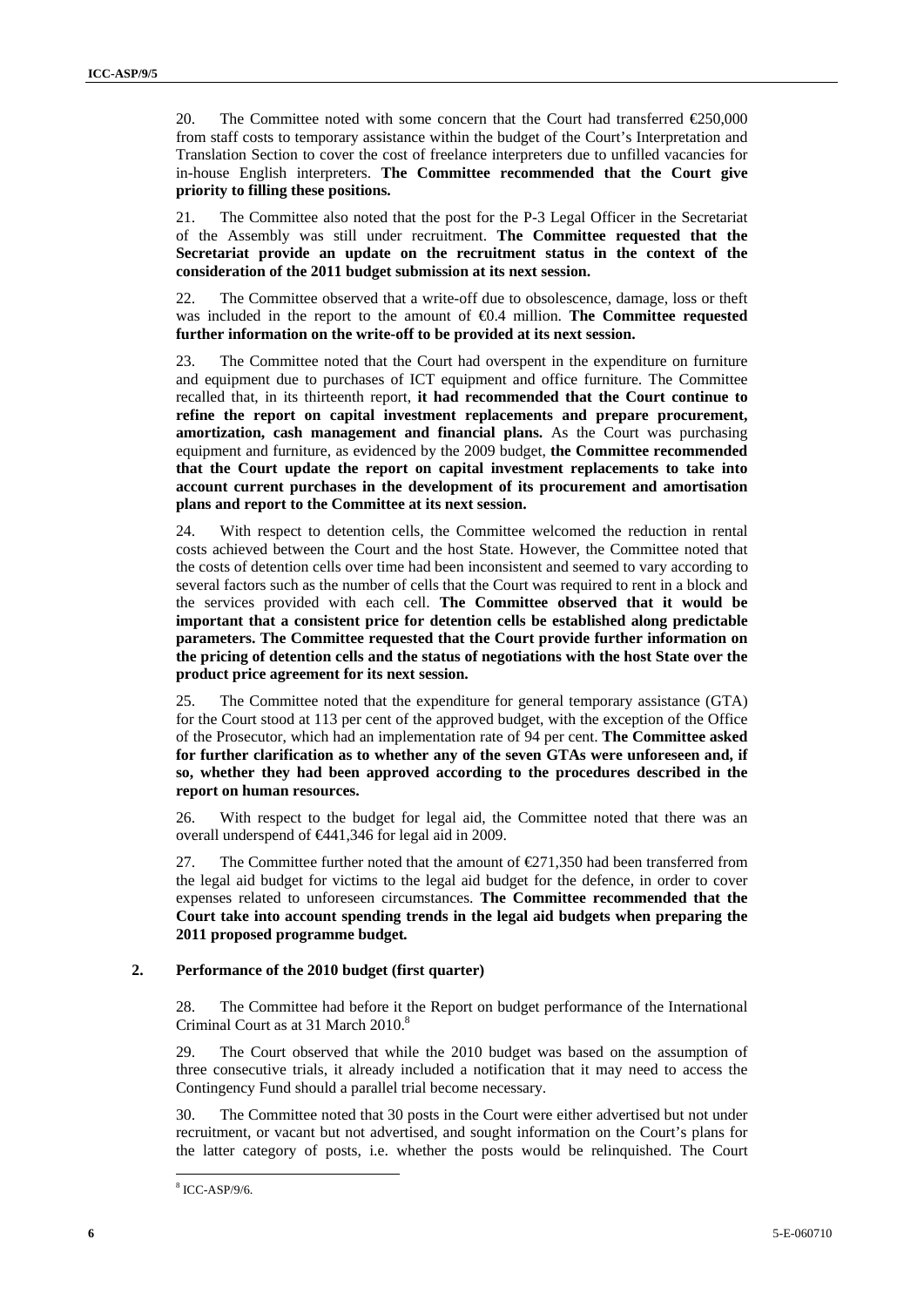20. The Committee noted with some concern that the Court had transferred  $\epsilon$ 250,000 from staff costs to temporary assistance within the budget of the Court's Interpretation and Translation Section to cover the cost of freelance interpreters due to unfilled vacancies for in-house English interpreters. **The Committee recommended that the Court give priority to filling these positions.** 

21. The Committee also noted that the post for the P-3 Legal Officer in the Secretariat of the Assembly was still under recruitment. **The Committee requested that the Secretariat provide an update on the recruitment status in the context of the consideration of the 2011 budget submission at its next session.** 

22. The Committee observed that a write-off due to obsolescence, damage, loss or theft was included in the report to the amount of €0.4 million. **The Committee requested further information on the write-off to be provided at its next session.** 

23. The Committee noted that the Court had overspent in the expenditure on furniture and equipment due to purchases of ICT equipment and office furniture. The Committee recalled that, in its thirteenth report, **it had recommended that the Court continue to refine the report on capital investment replacements and prepare procurement, amortization, cash management and financial plans.** As the Court was purchasing equipment and furniture, as evidenced by the 2009 budget, **the Committee recommended that the Court update the report on capital investment replacements to take into account current purchases in the development of its procurement and amortisation plans and report to the Committee at its next session.** 

24. With respect to detention cells, the Committee welcomed the reduction in rental costs achieved between the Court and the host State. However, the Committee noted that the costs of detention cells over time had been inconsistent and seemed to vary according to several factors such as the number of cells that the Court was required to rent in a block and the services provided with each cell. **The Committee observed that it would be important that a consistent price for detention cells be established along predictable parameters. The Committee requested that the Court provide further information on the pricing of detention cells and the status of negotiations with the host State over the product price agreement for its next session.**

25. The Committee noted that the expenditure for general temporary assistance (GTA) for the Court stood at 113 per cent of the approved budget, with the exception of the Office of the Prosecutor, which had an implementation rate of 94 per cent. **The Committee asked for further clarification as to whether any of the seven GTAs were unforeseen and, if so, whether they had been approved according to the procedures described in the report on human resources.** 

26. With respect to the budget for legal aid, the Committee noted that there was an overall underspend of €441,346 for legal aid in 2009.

27. The Committee further noted that the amount of  $E$  (271,350 had been transferred from the legal aid budget for victims to the legal aid budget for the defence, in order to cover expenses related to unforeseen circumstances. **The Committee recommended that the Court take into account spending trends in the legal aid budgets when preparing the 2011 proposed programme budget***.*

#### **2. Performance of the 2010 budget (first quarter)**

28. The Committee had before it the Report on budget performance of the International Criminal Court as at 31 March 2010.<sup>8</sup>

29. The Court observed that while the 2010 budget was based on the assumption of three consecutive trials, it already included a notification that it may need to access the Contingency Fund should a parallel trial become necessary.

30. The Committee noted that 30 posts in the Court were either advertised but not under recruitment, or vacant but not advertised, and sought information on the Court's plans for the latter category of posts, i.e. whether the posts would be relinquished. The Court

<sup>8</sup> ICC-ASP/9/6.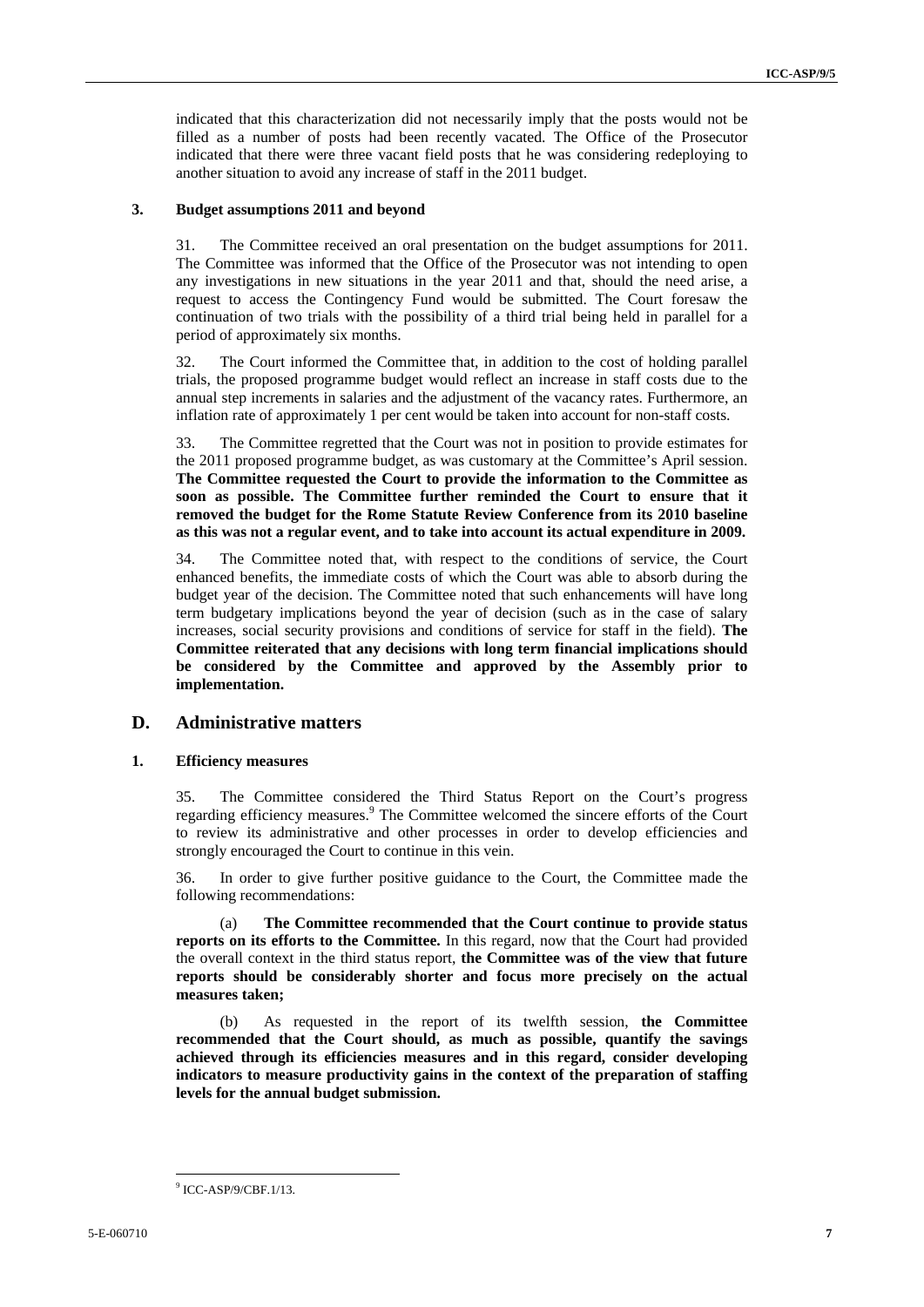indicated that this characterization did not necessarily imply that the posts would not be filled as a number of posts had been recently vacated. The Office of the Prosecutor indicated that there were three vacant field posts that he was considering redeploying to another situation to avoid any increase of staff in the 2011 budget.

#### **3. Budget assumptions 2011 and beyond**

31. The Committee received an oral presentation on the budget assumptions for 2011. The Committee was informed that the Office of the Prosecutor was not intending to open any investigations in new situations in the year 2011 and that, should the need arise, a request to access the Contingency Fund would be submitted. The Court foresaw the continuation of two trials with the possibility of a third trial being held in parallel for a period of approximately six months.

32. The Court informed the Committee that, in addition to the cost of holding parallel trials, the proposed programme budget would reflect an increase in staff costs due to the annual step increments in salaries and the adjustment of the vacancy rates. Furthermore, an inflation rate of approximately 1 per cent would be taken into account for non-staff costs.

33. The Committee regretted that the Court was not in position to provide estimates for the 2011 proposed programme budget, as was customary at the Committee's April session. **The Committee requested the Court to provide the information to the Committee as soon as possible. The Committee further reminded the Court to ensure that it removed the budget for the Rome Statute Review Conference from its 2010 baseline as this was not a regular event, and to take into account its actual expenditure in 2009.** 

34. The Committee noted that, with respect to the conditions of service, the Court enhanced benefits, the immediate costs of which the Court was able to absorb during the budget year of the decision. The Committee noted that such enhancements will have long term budgetary implications beyond the year of decision (such as in the case of salary increases, social security provisions and conditions of service for staff in the field). **The Committee reiterated that any decisions with long term financial implications should be considered by the Committee and approved by the Assembly prior to implementation.** 

#### **D. Administrative matters**

#### **1. Efficiency measures**

35. The Committee considered the Third Status Report on the Court's progress regarding efficiency measures.<sup>9</sup> The Committee welcomed the sincere efforts of the Court to review its administrative and other processes in order to develop efficiencies and strongly encouraged the Court to continue in this vein.

36. In order to give further positive guidance to the Court, the Committee made the following recommendations:

(a) **The Committee recommended that the Court continue to provide status reports on its efforts to the Committee.** In this regard, now that the Court had provided the overall context in the third status report, **the Committee was of the view that future reports should be considerably shorter and focus more precisely on the actual measures taken;** 

(b) As requested in the report of its twelfth session, **the Committee recommended that the Court should, as much as possible, quantify the savings achieved through its efficiencies measures and in this regard, consider developing indicators to measure productivity gains in the context of the preparation of staffing levels for the annual budget submission.** 

<sup>9</sup> ICC-ASP/9/CBF.1/13.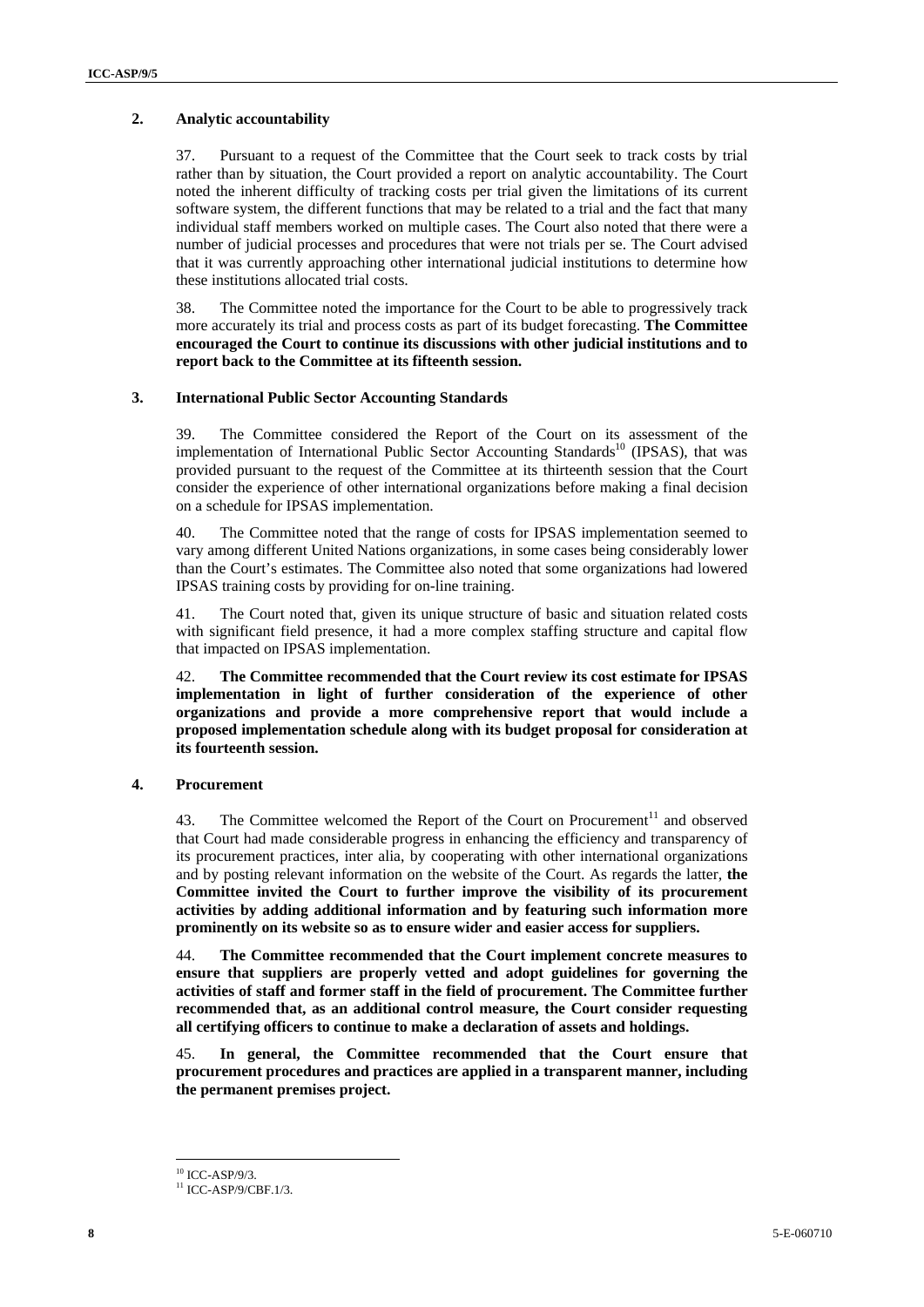#### **2. Analytic accountability**

37. Pursuant to a request of the Committee that the Court seek to track costs by trial rather than by situation, the Court provided a report on analytic accountability. The Court noted the inherent difficulty of tracking costs per trial given the limitations of its current software system, the different functions that may be related to a trial and the fact that many individual staff members worked on multiple cases. The Court also noted that there were a number of judicial processes and procedures that were not trials per se. The Court advised that it was currently approaching other international judicial institutions to determine how these institutions allocated trial costs.

38. The Committee noted the importance for the Court to be able to progressively track more accurately its trial and process costs as part of its budget forecasting. **The Committee encouraged the Court to continue its discussions with other judicial institutions and to report back to the Committee at its fifteenth session.** 

#### **3. International Public Sector Accounting Standards**

39. The Committee considered the Report of the Court on its assessment of the implementation of International Public Sector Accounting Standards<sup>10</sup> (IPSAS), that was provided pursuant to the request of the Committee at its thirteenth session that the Court consider the experience of other international organizations before making a final decision on a schedule for IPSAS implementation.

40. The Committee noted that the range of costs for IPSAS implementation seemed to vary among different United Nations organizations, in some cases being considerably lower than the Court's estimates. The Committee also noted that some organizations had lowered IPSAS training costs by providing for on-line training.

41. The Court noted that, given its unique structure of basic and situation related costs with significant field presence, it had a more complex staffing structure and capital flow that impacted on IPSAS implementation.

42. **The Committee recommended that the Court review its cost estimate for IPSAS implementation in light of further consideration of the experience of other organizations and provide a more comprehensive report that would include a proposed implementation schedule along with its budget proposal for consideration at its fourteenth session.** 

#### **4. Procurement**

43. The Committee welcomed the Report of the Court on Procurement<sup>11</sup> and observed that Court had made considerable progress in enhancing the efficiency and transparency of its procurement practices, inter alia, by cooperating with other international organizations and by posting relevant information on the website of the Court. As regards the latter, **the Committee invited the Court to further improve the visibility of its procurement activities by adding additional information and by featuring such information more prominently on its website so as to ensure wider and easier access for suppliers.** 

44. **The Committee recommended that the Court implement concrete measures to ensure that suppliers are properly vetted and adopt guidelines for governing the activities of staff and former staff in the field of procurement. The Committee further recommended that, as an additional control measure, the Court consider requesting all certifying officers to continue to make a declaration of assets and holdings.** 

45. **In general, the Committee recommended that the Court ensure that procurement procedures and practices are applied in a transparent manner, including the permanent premises project.** 

 $10$  ICC-ASP/9/3.

 $11$  ICC-ASP/9/CBF.1/3.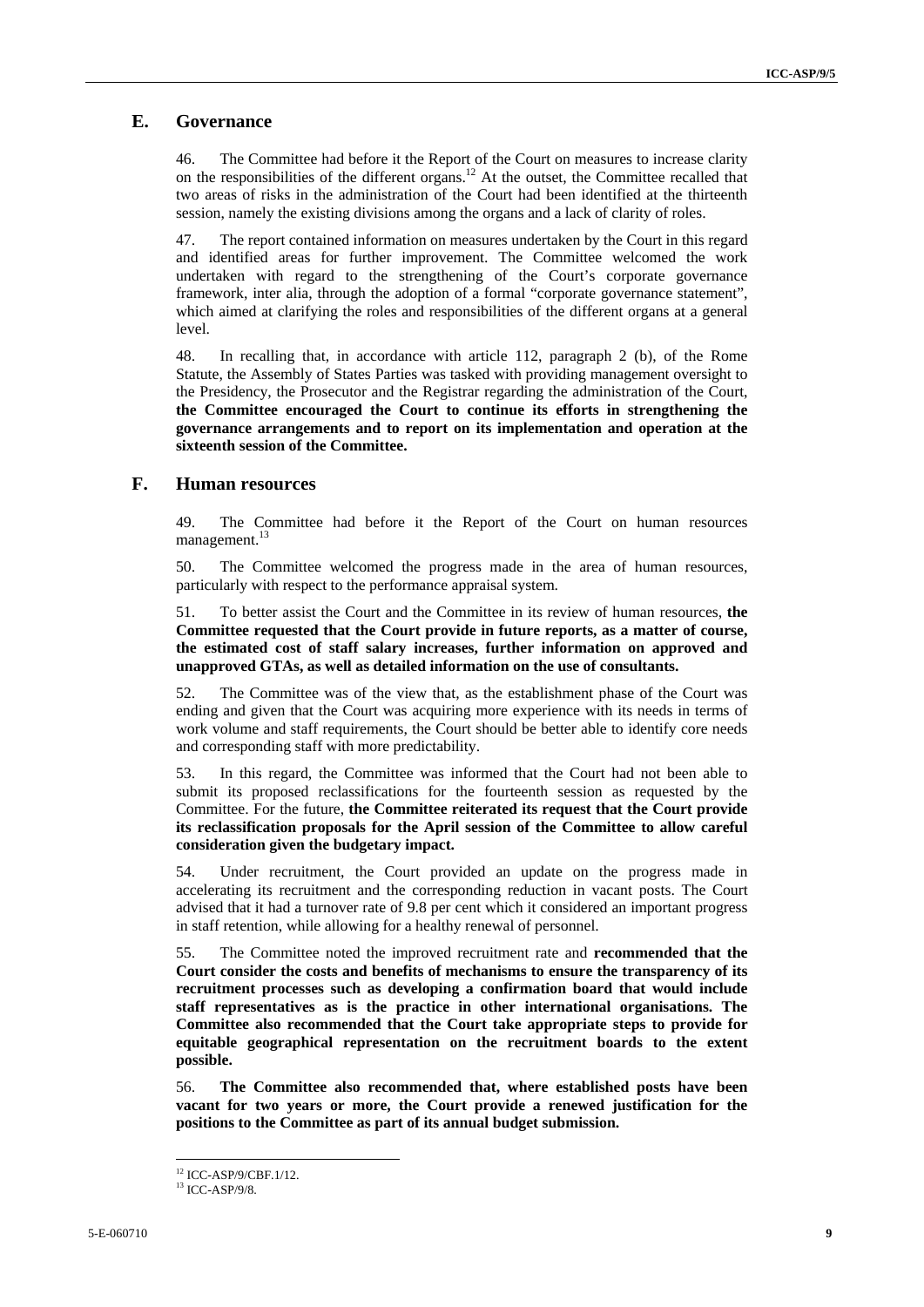#### **E. Governance**

46. The Committee had before it the Report of the Court on measures to increase clarity on the responsibilities of the different organs.<sup>12</sup> At the outset, the Committee recalled that two areas of risks in the administration of the Court had been identified at the thirteenth session, namely the existing divisions among the organs and a lack of clarity of roles.

47. The report contained information on measures undertaken by the Court in this regard and identified areas for further improvement. The Committee welcomed the work undertaken with regard to the strengthening of the Court's corporate governance framework, inter alia, through the adoption of a formal "corporate governance statement", which aimed at clarifying the roles and responsibilities of the different organs at a general level.

48. In recalling that, in accordance with article 112, paragraph 2 (b), of the Rome Statute, the Assembly of States Parties was tasked with providing management oversight to the Presidency, the Prosecutor and the Registrar regarding the administration of the Court, **the Committee encouraged the Court to continue its efforts in strengthening the governance arrangements and to report on its implementation and operation at the sixteenth session of the Committee.** 

#### **F. Human resources**

49. The Committee had before it the Report of the Court on human resources management.<sup>13</sup>

50. The Committee welcomed the progress made in the area of human resources, particularly with respect to the performance appraisal system.

51. To better assist the Court and the Committee in its review of human resources, **the Committee requested that the Court provide in future reports, as a matter of course, the estimated cost of staff salary increases, further information on approved and unapproved GTAs, as well as detailed information on the use of consultants.** 

52. The Committee was of the view that, as the establishment phase of the Court was ending and given that the Court was acquiring more experience with its needs in terms of work volume and staff requirements, the Court should be better able to identify core needs and corresponding staff with more predictability.

53. In this regard, the Committee was informed that the Court had not been able to submit its proposed reclassifications for the fourteenth session as requested by the Committee. For the future, **the Committee reiterated its request that the Court provide its reclassification proposals for the April session of the Committee to allow careful consideration given the budgetary impact.**

54. Under recruitment, the Court provided an update on the progress made in accelerating its recruitment and the corresponding reduction in vacant posts. The Court advised that it had a turnover rate of 9.8 per cent which it considered an important progress in staff retention, while allowing for a healthy renewal of personnel.

55. The Committee noted the improved recruitment rate and **recommended that the Court consider the costs and benefits of mechanisms to ensure the transparency of its recruitment processes such as developing a confirmation board that would include staff representatives as is the practice in other international organisations. The Committee also recommended that the Court take appropriate steps to provide for equitable geographical representation on the recruitment boards to the extent possible.** 

56. **The Committee also recommended that, where established posts have been vacant for two years or more, the Court provide a renewed justification for the positions to the Committee as part of its annual budget submission.** 

<sup>12</sup> ICC-ASP/9/CBF.1/12.

<sup>13</sup> ICC-ASP/9/8.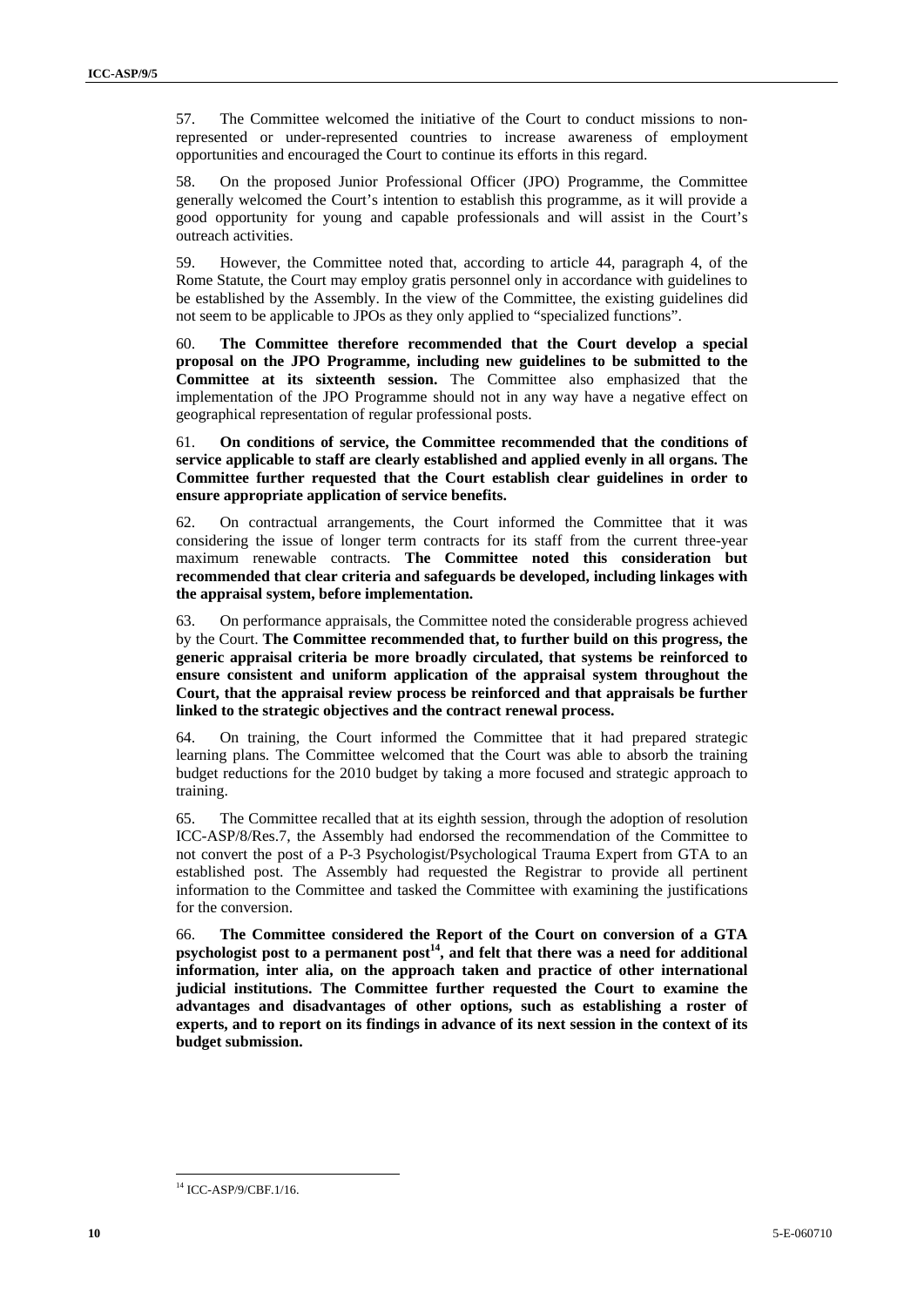57. The Committee welcomed the initiative of the Court to conduct missions to nonrepresented or under-represented countries to increase awareness of employment opportunities and encouraged the Court to continue its efforts in this regard.

58. On the proposed Junior Professional Officer (JPO) Programme, the Committee generally welcomed the Court's intention to establish this programme, as it will provide a good opportunity for young and capable professionals and will assist in the Court's outreach activities.

59. However, the Committee noted that, according to article 44, paragraph 4, of the Rome Statute, the Court may employ gratis personnel only in accordance with guidelines to be established by the Assembly. In the view of the Committee, the existing guidelines did not seem to be applicable to JPOs as they only applied to "specialized functions".

60. **The Committee therefore recommended that the Court develop a special proposal on the JPO Programme, including new guidelines to be submitted to the Committee at its sixteenth session.** The Committee also emphasized that the implementation of the JPO Programme should not in any way have a negative effect on geographical representation of regular professional posts.

61. **On conditions of service, the Committee recommended that the conditions of service applicable to staff are clearly established and applied evenly in all organs. The Committee further requested that the Court establish clear guidelines in order to ensure appropriate application of service benefits.** 

62. On contractual arrangements, the Court informed the Committee that it was considering the issue of longer term contracts for its staff from the current three-year maximum renewable contracts. **The Committee noted this consideration but recommended that clear criteria and safeguards be developed, including linkages with the appraisal system, before implementation.** 

63. On performance appraisals, the Committee noted the considerable progress achieved by the Court. **The Committee recommended that, to further build on this progress, the generic appraisal criteria be more broadly circulated, that systems be reinforced to ensure consistent and uniform application of the appraisal system throughout the Court, that the appraisal review process be reinforced and that appraisals be further linked to the strategic objectives and the contract renewal process.** 

64. On training, the Court informed the Committee that it had prepared strategic learning plans. The Committee welcomed that the Court was able to absorb the training budget reductions for the 2010 budget by taking a more focused and strategic approach to training.

65. The Committee recalled that at its eighth session, through the adoption of resolution ICC-ASP/8/Res.7, the Assembly had endorsed the recommendation of the Committee to not convert the post of a P-3 Psychologist/Psychological Trauma Expert from GTA to an established post. The Assembly had requested the Registrar to provide all pertinent information to the Committee and tasked the Committee with examining the justifications for the conversion.

66. **The Committee considered the Report of the Court on conversion of a GTA**  psychologist post to a permanent post<sup>14</sup>, and felt that there was a need for additional **information, inter alia, on the approach taken and practice of other international judicial institutions. The Committee further requested the Court to examine the advantages and disadvantages of other options, such as establishing a roster of experts, and to report on its findings in advance of its next session in the context of its budget submission.** 

<sup>14</sup> ICC-ASP/9/CBF.1/16.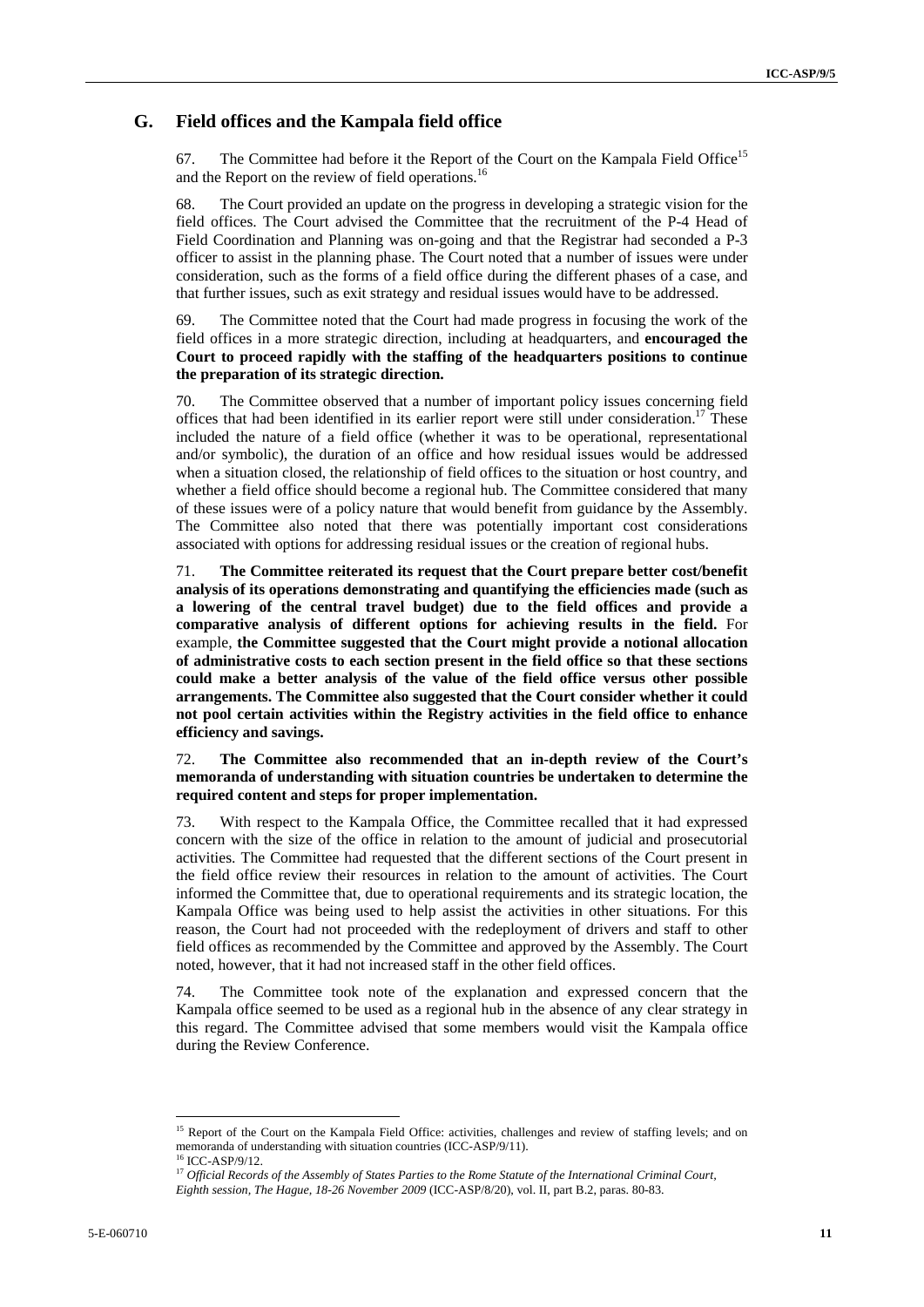#### **G. Field offices and the Kampala field office**

67. The Committee had before it the Report of the Court on the Kampala Field Office<sup>15</sup> and the Report on the review of field operations.<sup>16</sup>

68. The Court provided an update on the progress in developing a strategic vision for the field offices. The Court advised the Committee that the recruitment of the P-4 Head of Field Coordination and Planning was on-going and that the Registrar had seconded a P-3 officer to assist in the planning phase. The Court noted that a number of issues were under consideration, such as the forms of a field office during the different phases of a case, and that further issues, such as exit strategy and residual issues would have to be addressed.

69. The Committee noted that the Court had made progress in focusing the work of the field offices in a more strategic direction, including at headquarters, and **encouraged the Court to proceed rapidly with the staffing of the headquarters positions to continue the preparation of its strategic direction.** 

70. The Committee observed that a number of important policy issues concerning field offices that had been identified in its earlier report were still under consideration.<sup>17</sup> These included the nature of a field office (whether it was to be operational, representational and/or symbolic), the duration of an office and how residual issues would be addressed when a situation closed, the relationship of field offices to the situation or host country, and whether a field office should become a regional hub. The Committee considered that many of these issues were of a policy nature that would benefit from guidance by the Assembly. The Committee also noted that there was potentially important cost considerations associated with options for addressing residual issues or the creation of regional hubs.

71. **The Committee reiterated its request that the Court prepare better cost/benefit analysis of its operations demonstrating and quantifying the efficiencies made (such as a lowering of the central travel budget) due to the field offices and provide a comparative analysis of different options for achieving results in the field.** For example, **the Committee suggested that the Court might provide a notional allocation of administrative costs to each section present in the field office so that these sections could make a better analysis of the value of the field office versus other possible arrangements. The Committee also suggested that the Court consider whether it could not pool certain activities within the Registry activities in the field office to enhance efficiency and savings.** 

#### 72. **The Committee also recommended that an in-depth review of the Court's memoranda of understanding with situation countries be undertaken to determine the required content and steps for proper implementation.**

73. With respect to the Kampala Office, the Committee recalled that it had expressed concern with the size of the office in relation to the amount of judicial and prosecutorial activities. The Committee had requested that the different sections of the Court present in the field office review their resources in relation to the amount of activities. The Court informed the Committee that, due to operational requirements and its strategic location, the Kampala Office was being used to help assist the activities in other situations. For this reason, the Court had not proceeded with the redeployment of drivers and staff to other field offices as recommended by the Committee and approved by the Assembly. The Court noted, however, that it had not increased staff in the other field offices.

74. The Committee took note of the explanation and expressed concern that the Kampala office seemed to be used as a regional hub in the absence of any clear strategy in this regard. The Committee advised that some members would visit the Kampala office during the Review Conference.

<sup>&</sup>lt;sup>15</sup> Report of the Court on the Kampala Field Office: activities, challenges and review of staffing levels; and on memoranda of understanding with situation countries (ICC-ASP/9/11).<br><sup>16</sup> ICC-ASP/9/12.

<sup>&</sup>lt;sup>17</sup> Official Records of the Assembly of States Parties to the Rome Statute of the International Criminal Court, *Eighth session, The Hague, 18-26 November 2009* (ICC-ASP/8/20), vol. II, part B.2, paras. 80-83.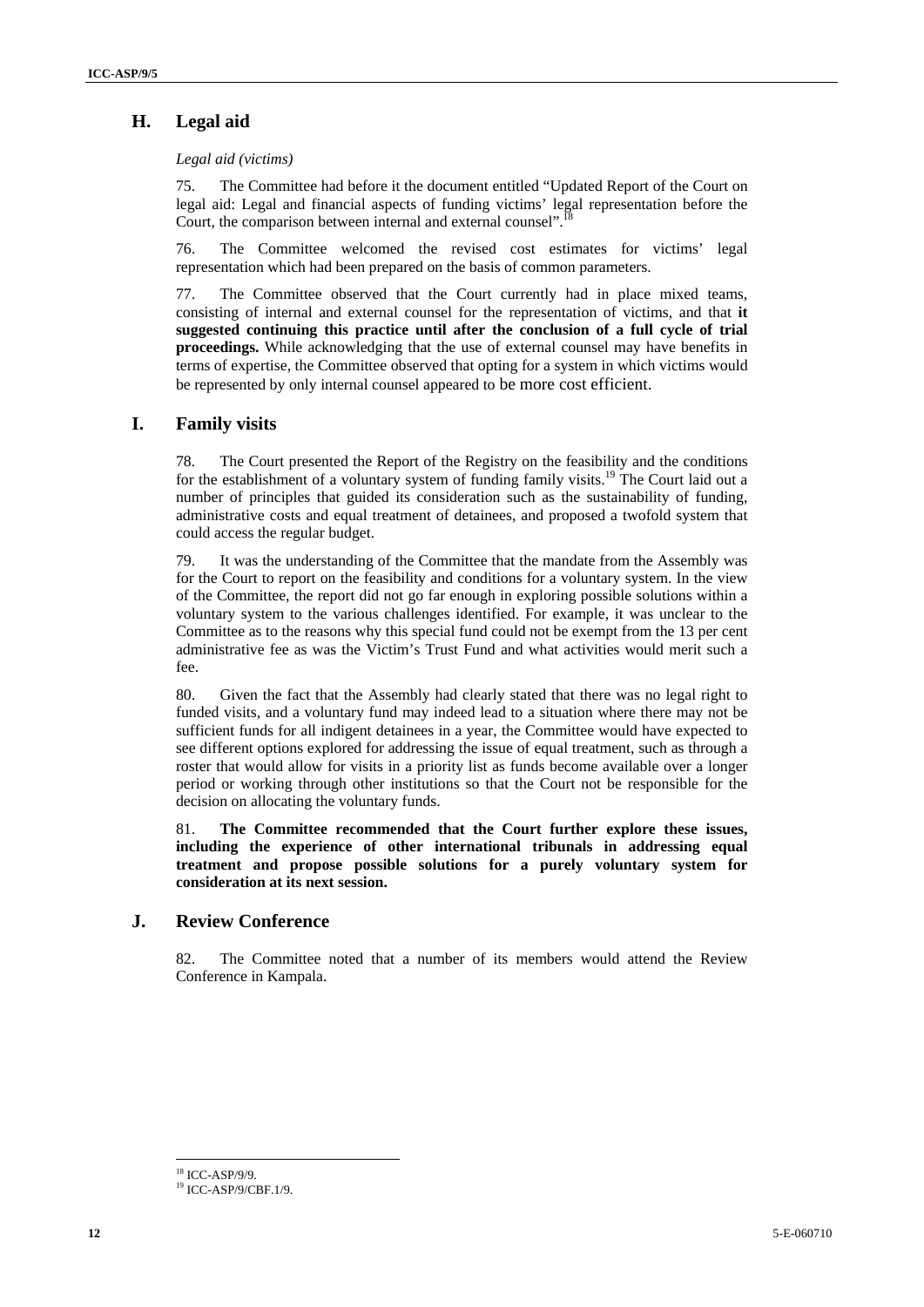## **H. Legal aid**

*Legal aid (victims)* 

75. The Committee had before it the document entitled "Updated Report of the Court on legal aid: Legal and financial aspects of funding victims' legal representation before the Court, the comparison between internal and external counsel".

76. The Committee welcomed the revised cost estimates for victims' legal representation which had been prepared on the basis of common parameters.

77. The Committee observed that the Court currently had in place mixed teams, consisting of internal and external counsel for the representation of victims, and that **it suggested continuing this practice until after the conclusion of a full cycle of trial proceedings.** While acknowledging that the use of external counsel may have benefits in terms of expertise, the Committee observed that opting for a system in which victims would be represented by only internal counsel appeared to be more cost efficient.

#### **I. Family visits**

78. The Court presented the Report of the Registry on the feasibility and the conditions for the establishment of a voluntary system of funding family visits.<sup>19</sup> The Court laid out a number of principles that guided its consideration such as the sustainability of funding, administrative costs and equal treatment of detainees, and proposed a twofold system that could access the regular budget.

79. It was the understanding of the Committee that the mandate from the Assembly was for the Court to report on the feasibility and conditions for a voluntary system. In the view of the Committee, the report did not go far enough in exploring possible solutions within a voluntary system to the various challenges identified. For example, it was unclear to the Committee as to the reasons why this special fund could not be exempt from the 13 per cent administrative fee as was the Victim's Trust Fund and what activities would merit such a fee.

80. Given the fact that the Assembly had clearly stated that there was no legal right to funded visits, and a voluntary fund may indeed lead to a situation where there may not be sufficient funds for all indigent detainees in a year, the Committee would have expected to see different options explored for addressing the issue of equal treatment, such as through a roster that would allow for visits in a priority list as funds become available over a longer period or working through other institutions so that the Court not be responsible for the decision on allocating the voluntary funds.

81. **The Committee recommended that the Court further explore these issues, including the experience of other international tribunals in addressing equal treatment and propose possible solutions for a purely voluntary system for consideration at its next session.** 

#### **J. Review Conference**

82. The Committee noted that a number of its members would attend the Review Conference in Kampala.

 $\overline{a}$ 18 ICC-ASP/9/9.

<sup>19</sup> ICC-ASP/9/CBF.1/9.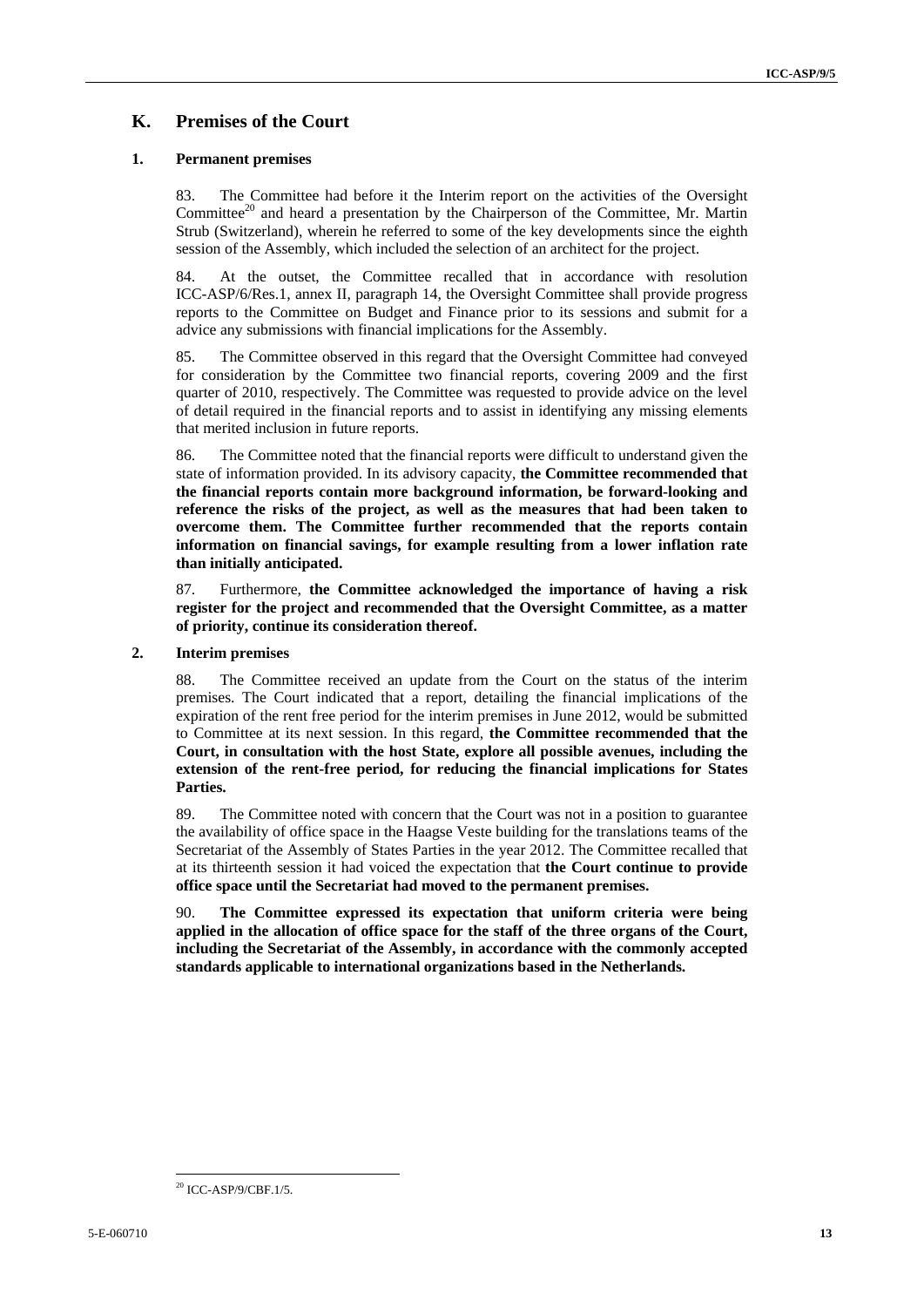### **K. Premises of the Court**

#### **1. Permanent premises**

83. The Committee had before it the Interim report on the activities of the Oversight Committee<sup>20</sup> and heard a presentation by the Chairperson of the Committee, Mr. Martin Strub (Switzerland), wherein he referred to some of the key developments since the eighth session of the Assembly, which included the selection of an architect for the project.

84. At the outset, the Committee recalled that in accordance with resolution ICC-ASP/6/Res.1, annex II, paragraph 14, the Oversight Committee shall provide progress reports to the Committee on Budget and Finance prior to its sessions and submit for a advice any submissions with financial implications for the Assembly.

85. The Committee observed in this regard that the Oversight Committee had conveyed for consideration by the Committee two financial reports, covering 2009 and the first quarter of 2010, respectively. The Committee was requested to provide advice on the level of detail required in the financial reports and to assist in identifying any missing elements that merited inclusion in future reports.

86. The Committee noted that the financial reports were difficult to understand given the state of information provided. In its advisory capacity, **the Committee recommended that the financial reports contain more background information, be forward-looking and reference the risks of the project, as well as the measures that had been taken to overcome them. The Committee further recommended that the reports contain information on financial savings, for example resulting from a lower inflation rate than initially anticipated.**

87. Furthermore, **the Committee acknowledged the importance of having a risk register for the project and recommended that the Oversight Committee, as a matter of priority, continue its consideration thereof.** 

#### **2. Interim premises**

88. The Committee received an update from the Court on the status of the interim premises. The Court indicated that a report, detailing the financial implications of the expiration of the rent free period for the interim premises in June 2012, would be submitted to Committee at its next session. In this regard, **the Committee recommended that the Court, in consultation with the host State, explore all possible avenues, including the extension of the rent-free period, for reducing the financial implications for States Parties.** 

89. The Committee noted with concern that the Court was not in a position to guarantee the availability of office space in the Haagse Veste building for the translations teams of the Secretariat of the Assembly of States Parties in the year 2012. The Committee recalled that at its thirteenth session it had voiced the expectation that **the Court continue to provide office space until the Secretariat had moved to the permanent premises.** 

90. **The Committee expressed its expectation that uniform criteria were being applied in the allocation of office space for the staff of the three organs of the Court, including the Secretariat of the Assembly, in accordance with the commonly accepted standards applicable to international organizations based in the Netherlands.** 

 20 ICC-ASP/9/CBF.1/5.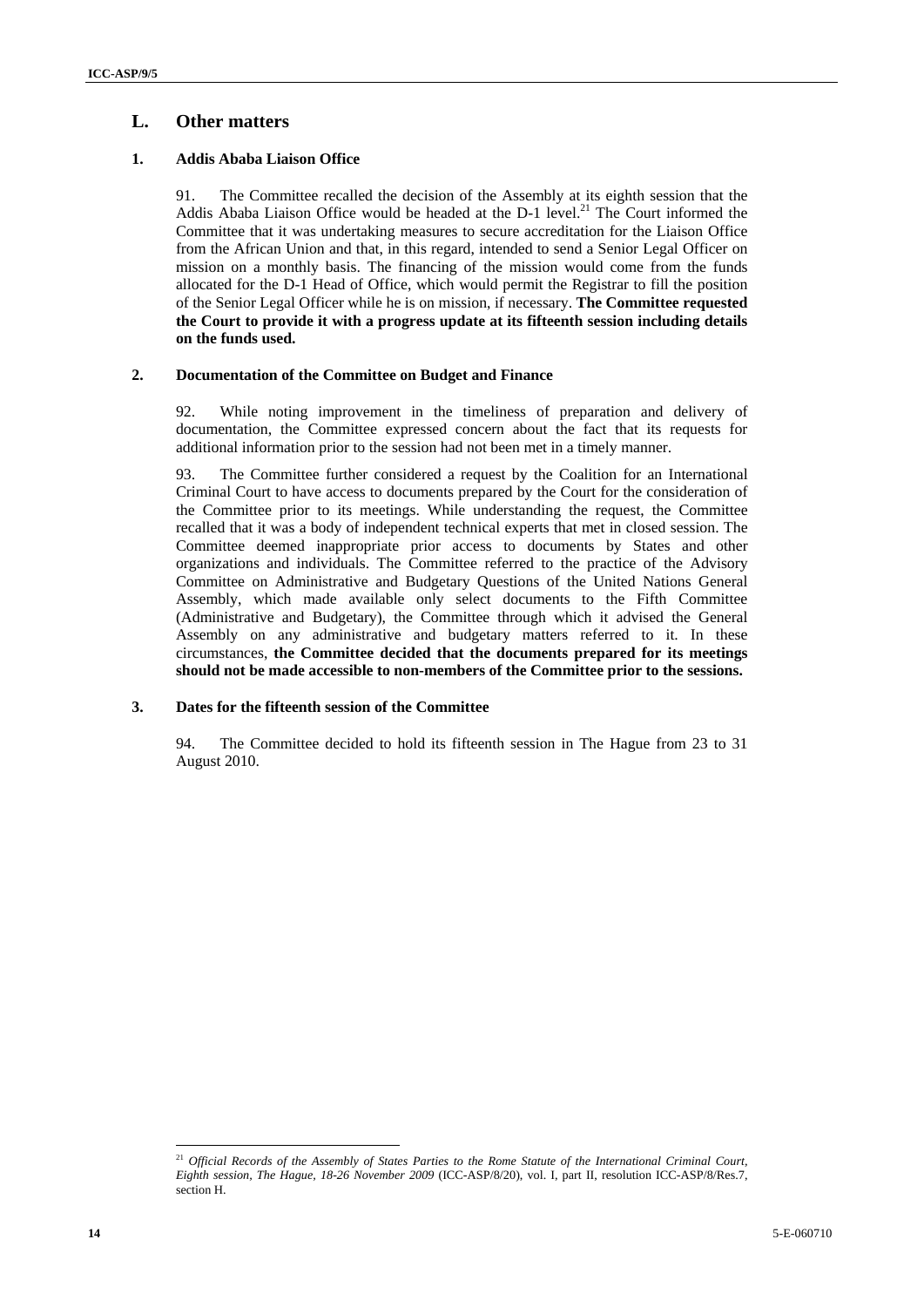#### **L. Other matters**

#### **1. Addis Ababa Liaison Office**

91. The Committee recalled the decision of the Assembly at its eighth session that the Addis Ababa Liaison Office would be headed at the  $D-1$  level.<sup>21</sup> The Court informed the Committee that it was undertaking measures to secure accreditation for the Liaison Office from the African Union and that, in this regard, intended to send a Senior Legal Officer on mission on a monthly basis. The financing of the mission would come from the funds allocated for the D-1 Head of Office, which would permit the Registrar to fill the position of the Senior Legal Officer while he is on mission, if necessary. **The Committee requested the Court to provide it with a progress update at its fifteenth session including details on the funds used.** 

#### **2. Documentation of the Committee on Budget and Finance**

92. While noting improvement in the timeliness of preparation and delivery of documentation, the Committee expressed concern about the fact that its requests for additional information prior to the session had not been met in a timely manner.

93. The Committee further considered a request by the Coalition for an International Criminal Court to have access to documents prepared by the Court for the consideration of the Committee prior to its meetings. While understanding the request, the Committee recalled that it was a body of independent technical experts that met in closed session. The Committee deemed inappropriate prior access to documents by States and other organizations and individuals. The Committee referred to the practice of the Advisory Committee on Administrative and Budgetary Questions of the United Nations General Assembly, which made available only select documents to the Fifth Committee (Administrative and Budgetary), the Committee through which it advised the General Assembly on any administrative and budgetary matters referred to it. In these circumstances, **the Committee decided that the documents prepared for its meetings should not be made accessible to non-members of the Committee prior to the sessions.** 

#### **3. Dates for the fifteenth session of the Committee**

94. The Committee decided to hold its fifteenth session in The Hague from 23 to 31 August 2010.

 $\overline{a}$ <sup>21</sup> Official Records of the Assembly of States Parties to the Rome Statute of the International Criminal Court, *Eighth session, The Hague, 18-26 November 2009* (ICC-ASP/8/20), vol. I, part II, resolution ICC-ASP/8/Res.7, section H.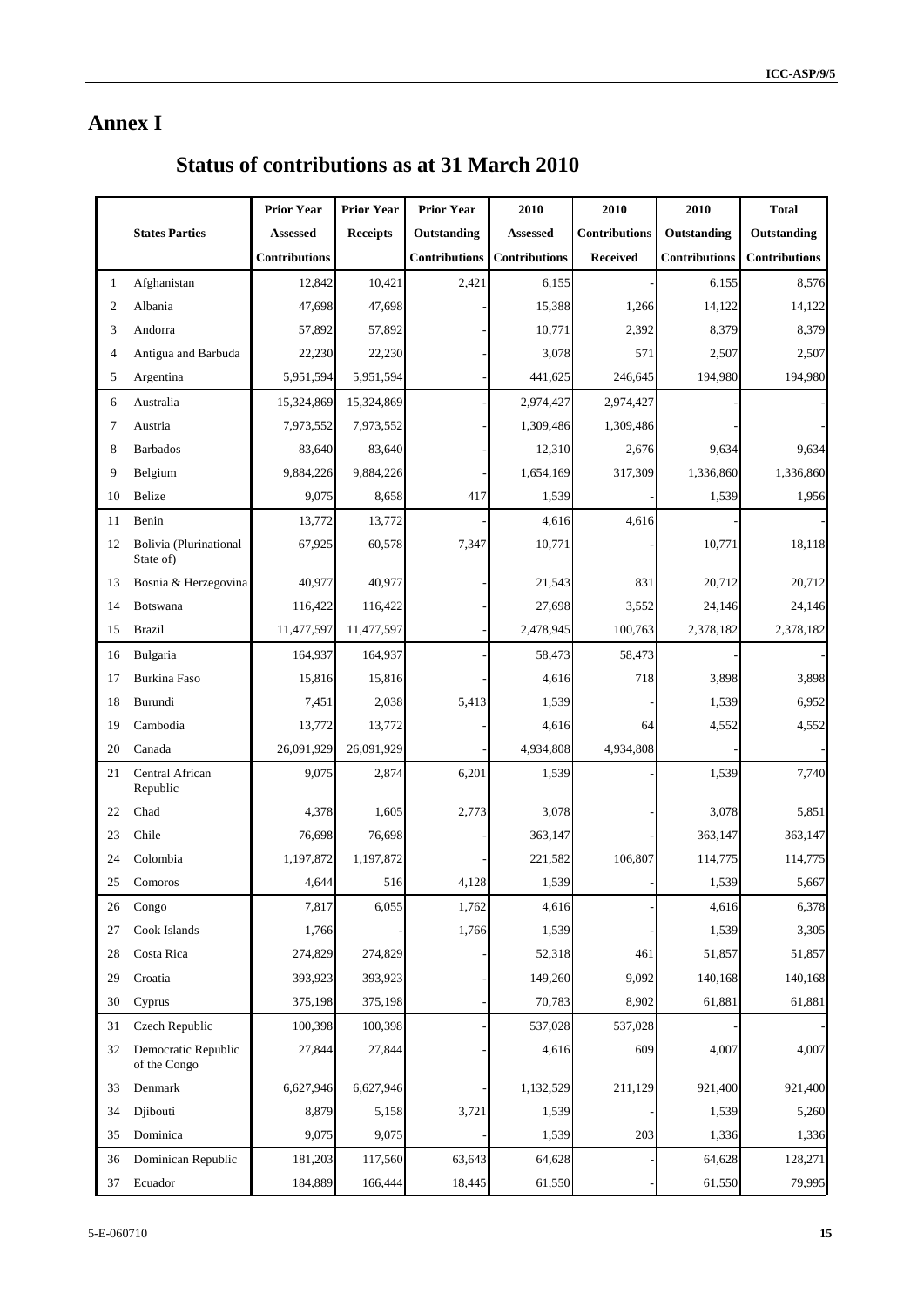# **Annex I**

# **Status of contributions as at 31 March 2010**

|    |                                     | <b>Prior Year</b>    | <b>Prior Year</b> | <b>Prior Year</b>    | 2010                 | 2010                 | 2010                 | <b>Total</b>         |
|----|-------------------------------------|----------------------|-------------------|----------------------|----------------------|----------------------|----------------------|----------------------|
|    | <b>States Parties</b>               | Assessed             | <b>Receipts</b>   | Outstanding          | <b>Assessed</b>      | <b>Contributions</b> | Outstanding          | Outstanding          |
|    |                                     | <b>Contributions</b> |                   | <b>Contributions</b> | <b>Contributions</b> | <b>Received</b>      | <b>Contributions</b> | <b>Contributions</b> |
| 1  | Afghanistan                         | 12,842               | 10,421            | 2,421                | 6,155                |                      | 6,155                | 8,576                |
| 2  | Albania                             | 47,698               | 47,698            |                      | 15,388               | 1,266                | 14,122               | 14,122               |
| 3  | Andorra                             | 57,892               | 57,892            |                      | 10,771               | 2,392                | 8,379                | 8,379                |
| 4  | Antigua and Barbuda                 | 22,230               | 22,230            |                      | 3,078                | 571                  | 2,507                | 2,507                |
| 5  | Argentina                           | 5,951,594            | 5,951,594         |                      | 441,625              | 246,645              | 194,980              | 194,980              |
| 6  | Australia                           | 15,324,869           | 15,324,869        |                      | 2,974,427            | 2,974,427            |                      |                      |
| 7  | Austria                             | 7,973,552            | 7,973,552         |                      | 1,309,486            | 1,309,486            |                      |                      |
| 8  | <b>Barbados</b>                     | 83,640               | 83,640            |                      | 12,310               | 2,676                | 9,634                | 9,634                |
| 9  | Belgium                             | 9,884,226            | 9,884,226         |                      | 1,654,169            | 317,309              | 1,336,860            | 1,336,860            |
| 10 | Belize                              | 9,075                | 8,658             | 417                  | 1,539                |                      | 1,539                | 1,956                |
| 11 | Benin                               | 13,772               | 13,772            |                      | 4,616                | 4,616                |                      |                      |
| 12 | Bolivia (Plurinational<br>State of) | 67,925               | 60,578            | 7,347                | 10,771               |                      | 10,771               | 18,118               |
| 13 | Bosnia & Herzegovina                | 40,977               | 40,977            |                      | 21,543               | 831                  | 20,712               | 20,712               |
| 14 | Botswana                            | 116,422              | 116,422           |                      | 27,698               | 3,552                | 24,146               | 24,146               |
| 15 | <b>Brazil</b>                       | 11,477,597           | 11,477,597        |                      | 2,478,945            | 100,763              | 2,378,182            | 2,378,182            |
| 16 | Bulgaria                            | 164,937              | 164,937           |                      | 58,473               | 58,473               |                      |                      |
| 17 | Burkina Faso                        | 15,816               | 15,816            |                      | 4,616                | 718                  | 3,898                | 3,898                |
| 18 | Burundi                             | 7,451                | 2,038             | 5,413                | 1,539                |                      | 1,539                | 6,952                |
| 19 | Cambodia                            | 13,772               | 13,772            |                      | 4,616                | 64                   | 4,552                | 4,552                |
| 20 | Canada                              | 26,091,929           | 26,091,929        |                      | 4,934,808            | 4,934,808            |                      |                      |
| 21 | Central African<br>Republic         | 9,075                | 2,874             | 6,201                | 1,539                |                      | 1,539                | 7,740                |
| 22 | Chad                                | 4,378                | 1,605             | 2,773                | 3,078                |                      | 3,078                | 5,851                |
| 23 | Chile                               | 76,698               | 76,698            |                      | 363,147              |                      | 363,147              | 363,147              |
| 24 | Colombia                            | 1,197,872            | 1,197,872         |                      | 221,582              | 106,807              | 114,775              | 114,775              |
| 25 | Comoros                             | 4,644                | 516               | 4,128                | 1,539                |                      | 1,539                | 5,667                |
| 26 | Congo                               | 7,817                | 6,055             | 1,762                | 4,616                |                      | 4,616                | 6,378                |
| 27 | Cook Islands                        | 1,766                |                   | 1,766                | 1,539                |                      | 1,539                | 3,305                |
| 28 | Costa Rica                          | 274,829              | 274,829           |                      | 52,318               | 461                  | 51,857               | 51,857               |
| 29 | Croatia                             | 393,923              | 393,923           |                      | 149,260              | 9,092                | 140,168              | 140,168              |
| 30 | Cyprus                              | 375,198              | 375,198           |                      | 70,783               | 8,902                | 61,881               | 61,881               |
| 31 | Czech Republic                      | 100,398              | 100,398           |                      | 537,028              | 537,028              |                      |                      |
| 32 | Democratic Republic<br>of the Congo | 27,844               | 27,844            |                      | 4,616                | 609                  | 4,007                | 4,007                |
| 33 | Denmark                             | 6,627,946            | 6,627,946         |                      | 1,132,529            | 211,129              | 921,400              | 921,400              |
| 34 | Djibouti                            | 8,879                | 5,158             | 3,721                | 1,539                |                      | 1,539                | 5,260                |
| 35 | Dominica                            | 9,075                | 9,075             |                      | 1,539                | 203                  | 1,336                | 1,336                |
| 36 | Dominican Republic                  | 181,203              | 117,560           | 63,643               | 64,628               |                      | 64,628               | 128,271              |
| 37 | Ecuador                             | 184,889              | 166,444           | 18,445               | 61,550               |                      | 61,550               | 79,995               |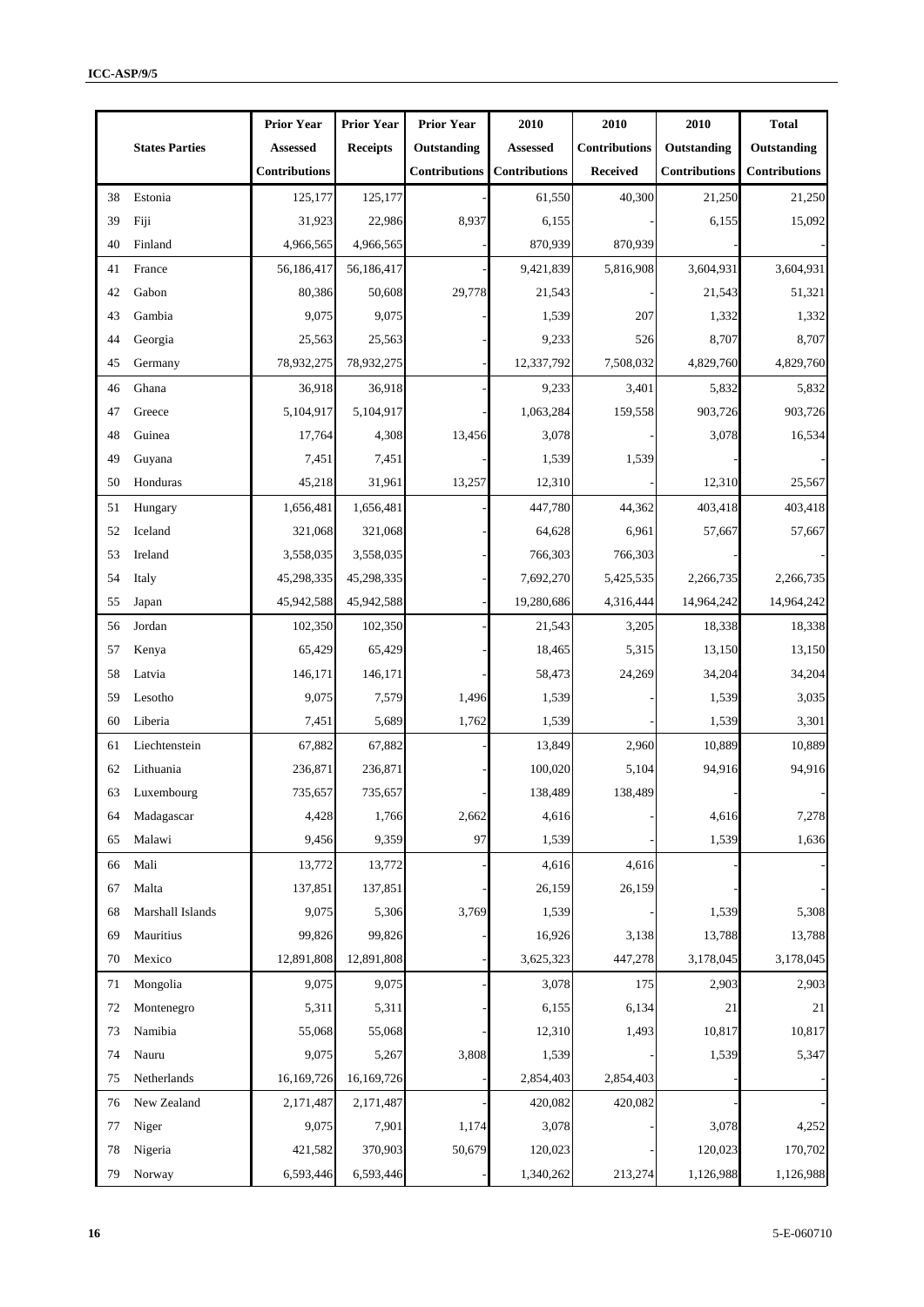|    |                       | <b>Prior Year</b> | <b>Prior Year</b> | <b>Prior Year</b>    | 2010                 | 2010                 | 2010                 | <b>Total</b>         |
|----|-----------------------|-------------------|-------------------|----------------------|----------------------|----------------------|----------------------|----------------------|
|    | <b>States Parties</b> | <b>Assessed</b>   | <b>Receipts</b>   | Outstanding          | <b>Assessed</b>      | <b>Contributions</b> | Outstanding          | Outstanding          |
|    |                       | Contributions     |                   | <b>Contributions</b> | <b>Contributions</b> | <b>Received</b>      | <b>Contributions</b> | <b>Contributions</b> |
| 38 | Estonia               | 125,177           | 125,177           |                      | 61,550               | 40,300               | 21,250               | 21,250               |
| 39 | Fiji                  | 31,923            | 22,986            | 8,937                | 6,155                |                      | 6,155                | 15,092               |
| 40 | Finland               | 4,966,565         | 4,966,565         |                      | 870,939              | 870,939              |                      |                      |
| 41 | France                | 56,186,417        | 56,186,417        |                      | 9,421,839            | 5,816,908            | 3,604,931            | 3,604,931            |
| 42 | Gabon                 | 80,386            | 50,608            | 29,778               | 21,543               |                      | 21,543               | 51,321               |
| 43 | Gambia                | 9,075             | 9,075             |                      | 1,539                | 207                  | 1,332                | 1,332                |
| 44 | Georgia               | 25,563            | 25,563            |                      | 9,233                | 526                  | 8,707                | 8,707                |
| 45 | Germany               | 78,932,275        | 78,932,275        |                      | 12,337,792           | 7,508,032            | 4,829,760            | 4,829,760            |
| 46 | Ghana                 | 36,918            | 36,918            |                      | 9,233                | 3,401                | 5,832                | 5,832                |
| 47 | Greece                | 5,104,917         | 5,104,917         |                      | 1,063,284            | 159,558              | 903,726              | 903,726              |
| 48 | Guinea                | 17,764            | 4,308             | 13,456               | 3,078                |                      | 3,078                | 16,534               |
| 49 | Guyana                | 7,451             | 7,451             |                      | 1,539                | 1,539                |                      |                      |
| 50 | Honduras              | 45,218            | 31,961            | 13,257               | 12,310               |                      | 12,310               | 25,567               |
| 51 | Hungary               | 1,656,481         | 1,656,481         |                      | 447,780              | 44,362               | 403,418              | 403,418              |
| 52 | Iceland               | 321,068           | 321,068           |                      | 64,628               | 6,961                | 57,667               | 57,667               |
| 53 | Ireland               | 3,558,035         | 3,558,035         |                      | 766,303              | 766,303              |                      |                      |
| 54 | Italy                 | 45,298,335        | 45,298,335        |                      | 7,692,270            | 5,425,535            | 2,266,735            | 2,266,735            |
| 55 | Japan                 | 45,942,588        | 45,942,588        |                      | 19,280,686           | 4,316,444            | 14,964,242           | 14,964,242           |
| 56 | Jordan                | 102,350           | 102,350           |                      | 21,543               | 3,205                | 18,338               | 18,338               |
| 57 | Kenya                 | 65,429            | 65,429            |                      | 18,465               | 5,315                | 13,150               | 13,150               |
| 58 | Latvia                | 146,171           | 146,171           |                      | 58,473               | 24,269               | 34,204               | 34,204               |
| 59 | Lesotho               | 9,075             | 7,579             | 1,496                | 1,539                |                      | 1,539                | 3,035                |
| 60 | Liberia               | 7,451             | 5,689             | 1,762                | 1,539                |                      | 1,539                | 3,301                |
| 61 | Liechtenstein         | 67,882            | 67,882            |                      | 13,849               | 2,960                | 10,889               | 10,889               |
| 62 | Lithuania             | 236,871           | 236,871           |                      | 100,020              | 5,104                | 94,916               | 94,916               |
| 63 | Luxembourg            | 735,657           | 735,657           |                      | 138,489              | 138,489              |                      |                      |
| 64 | Madagascar            | 4,428             | 1,766             | 2,662                | 4,616                |                      | 4,616                | 7,278                |
| 65 | Malawi                | 9,456             | 9,359             | 97                   | 1,539                |                      | 1,539                | 1,636                |
| 66 | Mali                  | 13,772            | 13,772            |                      | 4,616                | 4,616                |                      |                      |
| 67 | Malta                 | 137,851           | 137,851           |                      | 26,159               | 26,159               |                      |                      |
| 68 | Marshall Islands      | 9,075             | 5,306             | 3,769                | 1,539                |                      | 1,539                | 5,308                |
| 69 | Mauritius             | 99,826            | 99,826            |                      | 16,926               | 3,138                | 13,788               | 13,788               |
| 70 | Mexico                | 12,891,808        | 12,891,808        |                      | 3,625,323            | 447,278              | 3,178,045            | 3,178,045            |
| 71 | Mongolia              | 9,075             | 9,075             |                      | 3,078                | 175                  | 2,903                | 2,903                |
| 72 | Montenegro            | 5,311             | 5,311             |                      | 6,155                | 6,134                | 21                   | 21                   |
| 73 | Namibia               | 55,068            | 55,068            |                      | 12,310               | 1,493                | 10,817               | 10,817               |
| 74 | Nauru                 | 9,075             | 5,267             | 3,808                | 1,539                |                      | 1,539                | 5,347                |
| 75 | Netherlands           | 16,169,726        | 16,169,726        |                      | 2,854,403            | 2,854,403            |                      |                      |
| 76 | New Zealand           | 2,171,487         | 2,171,487         |                      | 420,082              | 420,082              |                      |                      |
| 77 | Niger                 | 9,075             | 7,901             | 1,174                | 3,078                |                      | 3,078                | 4,252                |
| 78 | Nigeria               | 421,582           | 370,903           | 50,679               | 120,023              |                      | 120,023              | 170,702              |
| 79 | Norway                | 6,593,446         | 6,593,446         |                      | 1,340,262            | 213,274              | 1,126,988            | 1,126,988            |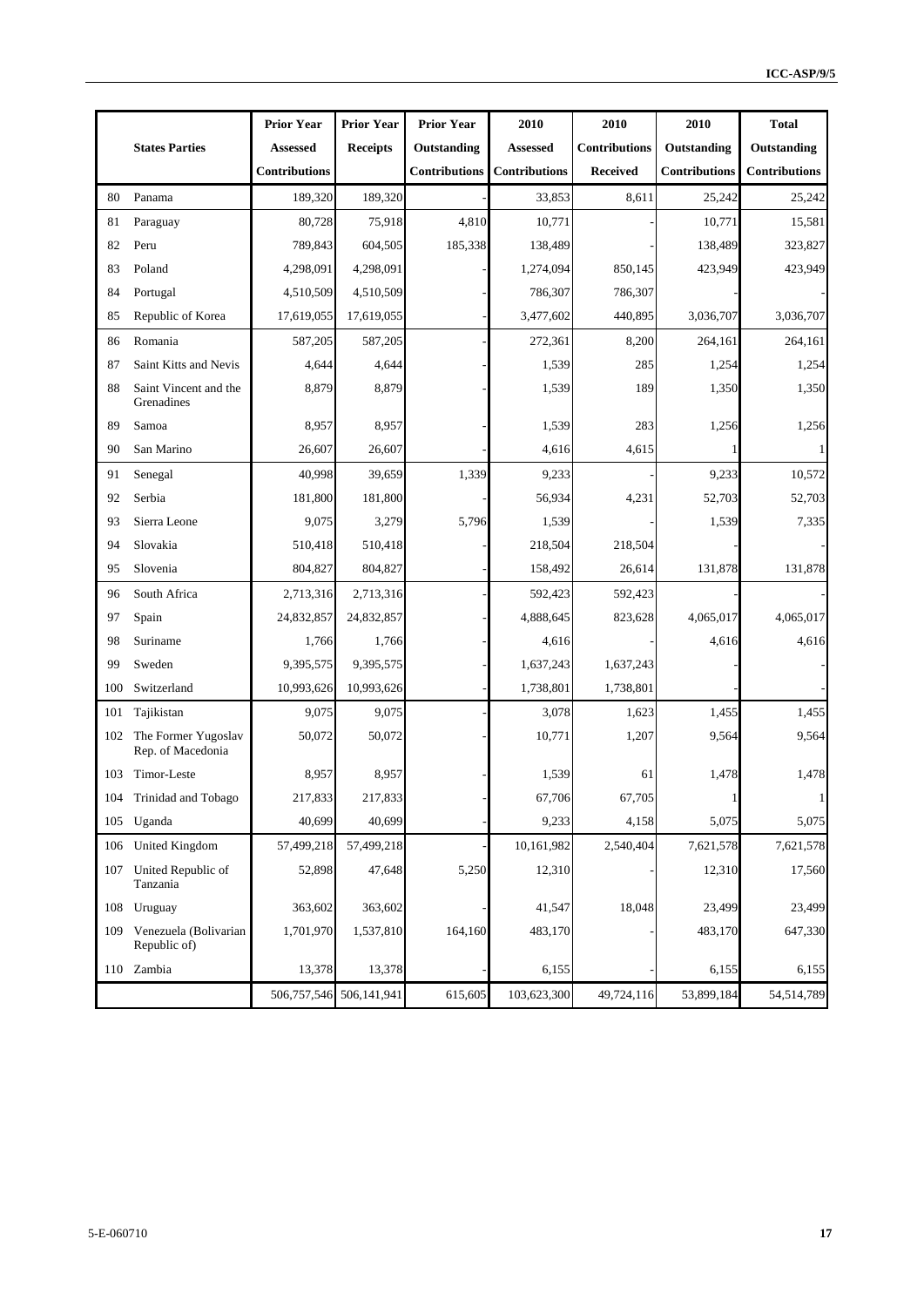|     |                                          | <b>Prior Year</b>    | <b>Prior Year</b>           | <b>Prior Year</b>    | 2010                 | 2010                 | 2010                 | <b>Total</b>         |
|-----|------------------------------------------|----------------------|-----------------------------|----------------------|----------------------|----------------------|----------------------|----------------------|
|     | <b>States Parties</b>                    | <b>Assessed</b>      | <b>Receipts</b>             | Outstanding          | Assessed             | <b>Contributions</b> | Outstanding          | Outstanding          |
|     |                                          | <b>Contributions</b> |                             | <b>Contributions</b> | <b>Contributions</b> | <b>Received</b>      | <b>Contributions</b> | <b>Contributions</b> |
| 80  | Panama                                   | 189,320              | 189,320                     |                      | 33,853               | 8,611                | 25,242               | 25,242               |
| 81  | Paraguay                                 | 80,728               | 75,918                      | 4,810                | 10,771               |                      | 10,771               | 15,581               |
| 82  | Peru                                     | 789,843              | 604,505                     | 185,338              | 138,489              |                      | 138,489              | 323,827              |
| 83  | Poland                                   | 4,298,091            | 4,298,091                   |                      | 1,274,094            | 850,145              | 423,949              | 423,949              |
| 84  | Portugal                                 | 4,510,509            | 4,510,509                   |                      | 786,307              | 786,307              |                      |                      |
| 85  | Republic of Korea                        | 17,619,055           | 17,619,055                  |                      | 3,477,602            | 440,895              | 3,036,707            | 3,036,707            |
| 86  | Romania                                  | 587,205              | 587,205                     |                      | 272,361              | 8,200                | 264,161              | 264,161              |
| 87  | Saint Kitts and Nevis                    | 4,644                | 4,644                       |                      | 1,539                | 285                  | 1,254                | 1,254                |
| 88  | Saint Vincent and the<br>Grenadines      | 8,879                | 8,879                       |                      | 1,539                | 189                  | 1,350                | 1,350                |
| 89  | Samoa                                    | 8,957                | 8,957                       |                      | 1,539                | 283                  | 1,256                | 1,256                |
| 90  | San Marino                               | 26,607               | 26,607                      |                      | 4,616                | 4,615                |                      |                      |
| 91  | Senegal                                  | 40,998               | 39,659                      | 1,339                | 9,233                |                      | 9,233                | 10,572               |
| 92  | Serbia                                   | 181,800              | 181,800                     |                      | 56,934               | 4,231                | 52,703               | 52,703               |
| 93  | Sierra Leone                             | 9,075                | 3,279                       | 5,796                | 1,539                |                      | 1,539                | 7,335                |
| 94  | Slovakia                                 | 510,418              | 510,418                     |                      | 218,504              | 218,504              |                      |                      |
| 95  | Slovenia                                 | 804,827              | 804,827                     |                      | 158,492              | 26,614               | 131,878              | 131,878              |
| 96  | South Africa                             | 2,713,316            | 2,713,316                   |                      | 592,423              | 592,423              |                      |                      |
| 97  | Spain                                    | 24,832,857           | 24,832,857                  |                      | 4,888,645            | 823,628              | 4,065,017            | 4,065,017            |
| 98  | Suriname                                 | 1,766                | 1,766                       |                      | 4,616                |                      | 4,616                | 4,616                |
| 99  | Sweden                                   | 9,395,575            | 9,395,575                   |                      | 1,637,243            | 1,637,243            |                      |                      |
| 100 | Switzerland                              | 10,993,626           | 10,993,626                  |                      | 1,738,801            | 1,738,801            |                      |                      |
| 101 | Tajikistan                               | 9,075                | 9,075                       |                      | 3,078                | 1,623                | 1,455                | 1,455                |
| 102 | The Former Yugoslav<br>Rep. of Macedonia | 50,072               | 50,072                      |                      | 10,771               | 1,207                | 9,564                | 9,564                |
| 103 | Timor-Leste                              | 8,957                | 8,957                       |                      | 1,539                | 61                   | 1,478                | 1,478                |
|     | 104 Trinidad and Tobago                  | 217,833              | 217,833                     |                      | 67,706               | 67,705               |                      | $\mathbf{1}$         |
| 105 | Uganda                                   | 40,699               | 40,699                      |                      | 9,233                | 4,158                | 5,075                | 5,075                |
| 106 | United Kingdom                           | 57,499,218           | 57,499,218                  |                      | 10,161,982           | 2,540,404            | 7,621,578            | 7,621,578            |
|     | 107 United Republic of<br>Tanzania       | 52,898               | 47,648                      | 5,250                | 12,310               |                      | 12,310               | 17,560               |
| 108 | Uruguay                                  | 363,602              | 363,602                     |                      | 41,547               | 18,048               | 23,499               | 23,499               |
| 109 | Venezuela (Bolivarian<br>Republic of)    | 1,701,970            | 1,537,810                   | 164,160              | 483,170              |                      | 483,170              | 647,330              |
|     | 110 Zambia                               | 13,378               | 13,378                      |                      | 6,155                |                      | 6,155                | 6,155                |
|     |                                          |                      | 506, 757, 546 506, 141, 941 | 615,605              | 103,623,300          | 49,724,116           | 53,899,184           | 54,514,789           |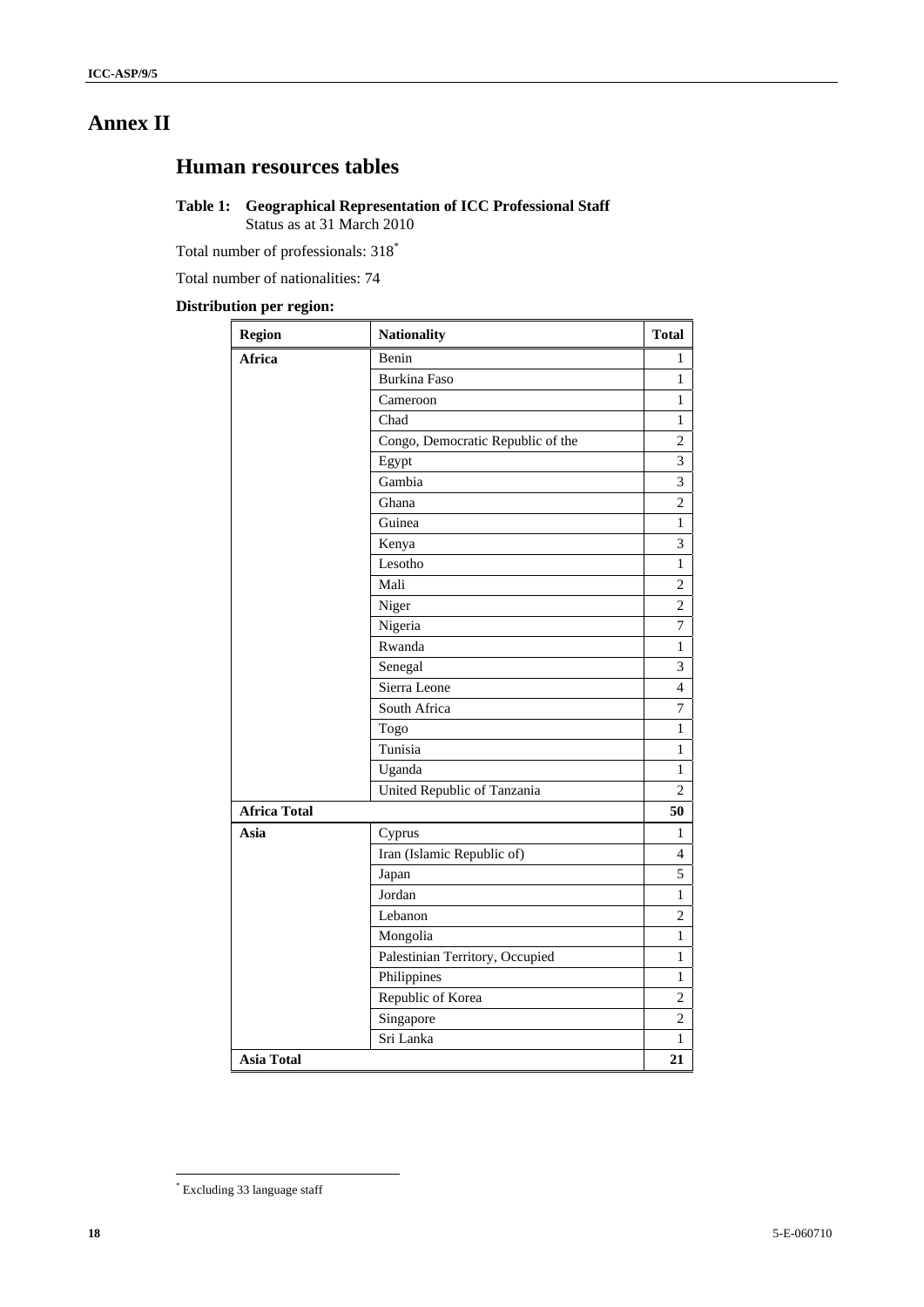# **Annex II**

# **Human resources tables**

#### **Table 1: Geographical Representation of ICC Professional Staff**  Status as at 31 March 2010

Total number of professionals: 318\*

Total number of nationalities: 74

#### **Distribution per region:**

| <b>Region</b>       | <b>Nationality</b>                | <b>Total</b>   |
|---------------------|-----------------------------------|----------------|
| Africa              | Benin                             | 1              |
|                     | <b>Burkina Faso</b>               | $\mathbf{1}$   |
|                     | Cameroon                          | $\mathbf{1}$   |
|                     | Chad                              | $\mathbf{1}$   |
|                     | Congo, Democratic Republic of the | $\overline{c}$ |
|                     | Egypt                             | $\overline{3}$ |
|                     | Gambia                            | 3              |
|                     | Ghana                             | $\overline{c}$ |
|                     | Guinea                            | $\,1$          |
|                     | Kenya                             | $\overline{3}$ |
|                     | Lesotho                           | $\,1$          |
|                     | Mali                              | $\sqrt{2}$     |
|                     | Niger                             | $\overline{c}$ |
|                     | Nigeria                           | $\overline{7}$ |
|                     | Rwanda                            | 1              |
|                     | Senegal                           | 3              |
|                     | Sierra Leone                      | $\overline{4}$ |
|                     | South Africa                      | 7              |
|                     | Togo                              | $\mathbf{1}$   |
|                     | Tunisia                           | $\mathbf{1}$   |
|                     | Uganda                            | $\mathbf{1}$   |
|                     | United Republic of Tanzania       | $\overline{c}$ |
| <b>Africa Total</b> |                                   | 50             |
| Asia                | Cyprus                            | 1              |
|                     | Iran (Islamic Republic of)        | $\overline{4}$ |
|                     | Japan                             | 5              |
|                     | Jordan                            | $\mathbf{1}$   |
|                     | Lebanon                           | 2              |
|                     | Mongolia                          | 1              |
|                     | Palestinian Territory, Occupied   | 1              |
|                     | Philippines                       | 1              |
|                     | Republic of Korea                 | $\overline{2}$ |
|                     | Singapore                         | $\overline{c}$ |
|                     | Sri Lanka                         | $\mathbf{1}$   |
| <b>Asia Total</b>   |                                   | 21             |

<sup>\*</sup> Excluding 33 language staff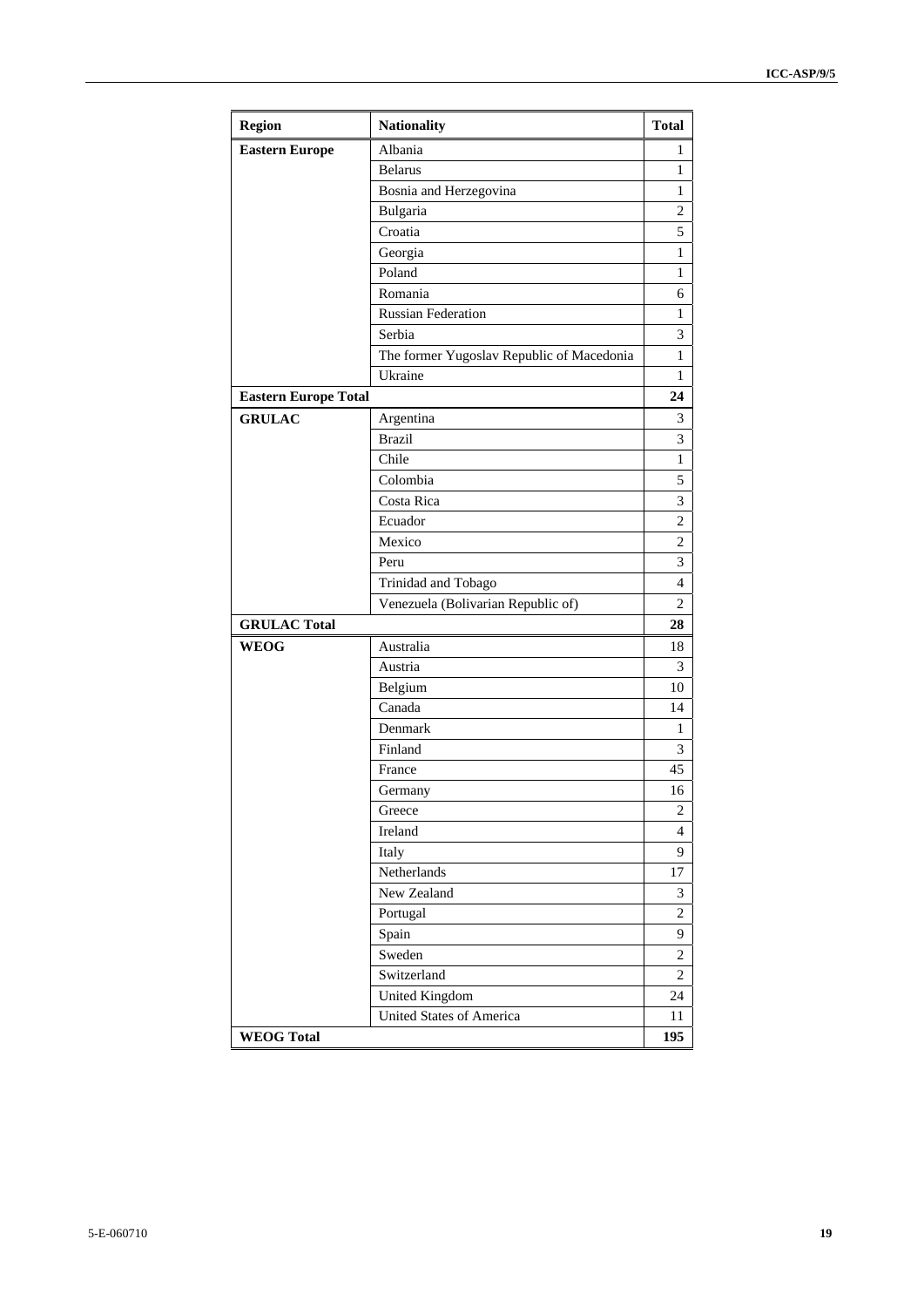| <b>Region</b>               | <b>Nationality</b>                        | <b>Total</b>   |
|-----------------------------|-------------------------------------------|----------------|
| <b>Eastern Europe</b>       | Albania                                   | 1              |
|                             | <b>Belarus</b>                            | 1              |
|                             | Bosnia and Herzegovina                    | 1              |
|                             | Bulgaria                                  | 2              |
|                             | Croatia                                   | 5              |
|                             | Georgia                                   | 1              |
|                             | Poland                                    | 1              |
|                             | Romania                                   | 6              |
|                             | <b>Russian Federation</b>                 | 1              |
|                             | Serbia                                    | 3              |
|                             | The former Yugoslav Republic of Macedonia | 1              |
|                             | Ukraine                                   | 1              |
| <b>Eastern Europe Total</b> |                                           | 24             |
| <b>GRULAC</b>               | Argentina                                 | 3              |
|                             | <b>Brazil</b>                             | 3              |
|                             | Chile                                     | 1              |
|                             | Colombia                                  | 5              |
|                             | Costa Rica                                | 3              |
|                             | Ecuador                                   | $\overline{c}$ |
|                             | Mexico                                    | 2              |
|                             | Peru                                      | 3              |
|                             | Trinidad and Tobago                       | 4              |
|                             | Venezuela (Bolivarian Republic of)        | 2              |
| <b>GRULAC Total</b>         |                                           | 28             |
| <b>WEOG</b>                 | Australia                                 | 18             |
|                             | Austria                                   | 3              |
|                             | Belgium                                   | 10             |
|                             | Canada                                    | 14             |
|                             | Denmark                                   | 1              |
|                             | Finland                                   | 3              |
|                             | France                                    | 45             |
|                             | Germany                                   | 16             |
|                             | Greece                                    | 2              |
|                             | Ireland                                   | $\overline{4}$ |
|                             | Italy                                     | 9              |
|                             | Netherlands                               | 17             |
|                             | New Zealand                               | 3              |
|                             | Portugal                                  | $\overline{c}$ |
|                             | Spain                                     | 9              |
|                             | Sweden                                    | $\overline{c}$ |
|                             | Switzerland                               | $\overline{c}$ |
|                             | <b>United Kingdom</b>                     | 24             |
|                             | <b>United States of America</b>           | 11             |
| <b>WEOG Total</b>           |                                           | 195            |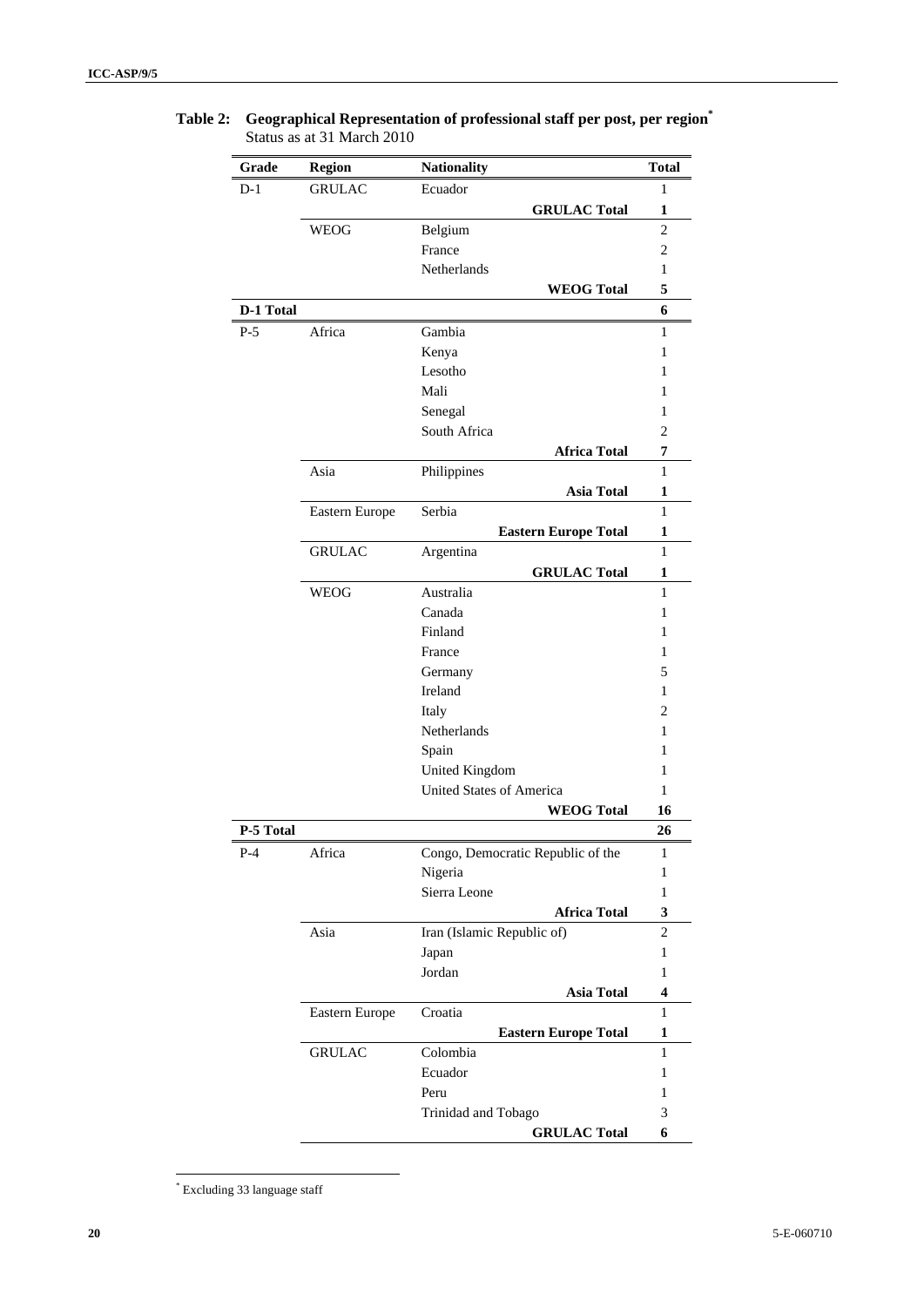| Grade     | <b>Region</b>  | <b>Nationality</b>                | <b>Total</b>   |
|-----------|----------------|-----------------------------------|----------------|
| $D-1$     | <b>GRULAC</b>  | Ecuador                           | 1              |
|           |                | <b>GRULAC Total</b>               | 1              |
|           | <b>WEOG</b>    | Belgium                           | $\overline{2}$ |
|           |                | France                            | $\overline{c}$ |
|           |                | Netherlands                       | 1              |
|           |                | <b>WEOG Total</b>                 | 5              |
| D-1 Total |                |                                   | 6              |
| $P-5$     | Africa         | Gambia                            | 1              |
|           |                | Kenya                             | 1              |
|           |                | Lesotho                           | 1              |
|           |                | Mali                              | 1              |
|           |                | Senegal                           | 1              |
|           |                | South Africa                      | $\overline{c}$ |
|           |                | <b>Africa Total</b>               | 7              |
|           | Asia           | Philippines                       | 1              |
|           |                | <b>Asia Total</b>                 | 1              |
|           | Eastern Europe | Serbia                            | 1              |
|           |                | <b>Eastern Europe Total</b>       | 1              |
|           | <b>GRULAC</b>  | Argentina                         | 1              |
|           |                | <b>GRULAC Total</b>               | 1              |
|           | <b>WEOG</b>    | Australia                         | $\mathbf{1}$   |
|           |                | Canada                            | 1              |
|           |                | Finland                           | 1              |
|           |                | France                            | 1              |
|           |                | Germany                           | 5              |
|           |                | Ireland                           | 1              |
|           |                | Italy                             | 2              |
|           |                | Netherlands                       | 1              |
|           |                | Spain                             | 1              |
|           |                | United Kingdom                    | 1              |
|           |                | United States of America          | 1              |
|           |                | <b>WEOG Total</b>                 | 16             |
| P-5 Total |                |                                   | 26             |
| $P-4$     | Africa         | Congo, Democratic Republic of the | $\mathbf{1}$   |
|           |                | Nigeria                           | 1              |
|           |                | Sierra Leone                      | $\mathbf{1}$   |
|           |                | <b>Africa Total</b>               | 3              |
|           | Asia           | Iran (Islamic Republic of)        | $\overline{c}$ |
|           |                | Japan                             | $\mathbf{1}$   |
|           |                | Jordan                            | 1              |
|           |                | <b>Asia Total</b>                 | 4              |
|           | Eastern Europe | Croatia                           | $\mathbf{1}$   |
|           |                | <b>Eastern Europe Total</b>       | 1              |
|           | <b>GRULAC</b>  | Colombia                          | $\,1$          |
|           |                | Ecuador                           | $\mathbf{1}$   |
|           |                | Peru                              | $\mathbf{1}$   |
|           |                | Trinidad and Tobago               | 3              |
|           |                | <b>GRULAC Total</b>               | 6              |

**Table 2: Geographical Representation of professional staff per post, per region\*** Status as at 31 March 2010

 \* Excluding 33 language staff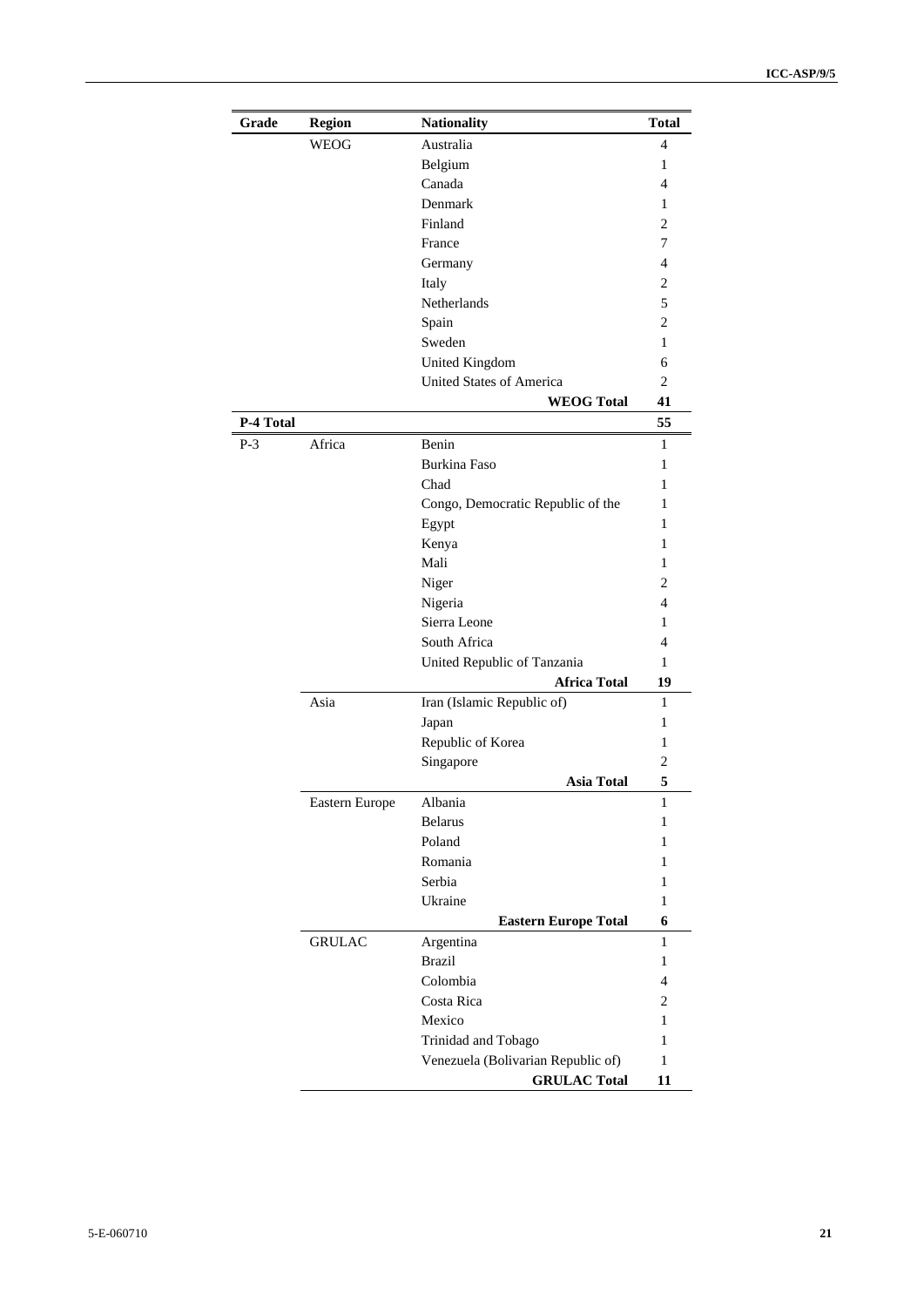| Grade     | <b>Region</b>  | <b>Nationality</b>                 | <b>Total</b>   |
|-----------|----------------|------------------------------------|----------------|
|           | WEOG           | Australia                          | 4              |
|           |                | Belgium                            | 1              |
|           |                | Canada                             | 4              |
|           |                | Denmark                            | 1              |
|           |                | Finland                            | 2              |
|           |                | France                             | 7              |
|           |                | Germany                            | $\overline{4}$ |
|           |                | Italy                              | $\overline{c}$ |
|           |                | Netherlands                        | 5              |
|           |                | Spain                              | $\overline{c}$ |
|           |                | Sweden                             | $\mathbf{1}$   |
|           |                | United Kingdom                     | 6              |
|           |                | United States of America           | $\overline{2}$ |
|           |                | <b>WEOG Total</b>                  | 41             |
| P-4 Total |                |                                    | 55             |
| $P-3$     | Africa         | Benin                              | 1              |
|           |                | <b>Burkina Faso</b>                | 1              |
|           |                | Chad                               | 1              |
|           |                | Congo, Democratic Republic of the  | 1              |
|           |                | Egypt                              | 1              |
|           |                | Kenya                              | 1              |
|           |                | Mali                               | 1              |
|           |                | Niger                              | $\overline{c}$ |
|           |                | Nigeria                            | $\overline{4}$ |
|           |                | Sierra Leone                       | 1              |
|           |                | South Africa                       | $\overline{4}$ |
|           |                | United Republic of Tanzania        | 1              |
|           |                | <b>Africa Total</b>                | 19             |
|           | Asia           | Iran (Islamic Republic of)         | 1              |
|           |                | Japan                              | 1              |
|           |                | Republic of Korea                  | 1              |
|           |                | Singapore                          | 2              |
|           |                | <b>Asia Total</b>                  | 5              |
|           | Eastern Europe | Albania                            | 1              |
|           |                | <b>Belarus</b>                     | 1              |
|           |                | Poland                             | 1              |
|           |                | Romania                            | 1              |
|           |                | Serbia                             | 1              |
|           |                | Ukraine                            | $\mathbf{1}$   |
|           |                | <b>Eastern Europe Total</b>        | 6              |
|           | <b>GRULAC</b>  | Argentina                          | 1              |
|           |                | <b>Brazil</b>                      | $\mathbf{1}$   |
|           |                | Colombia                           | 4              |
|           |                | Costa Rica                         | $\overline{c}$ |
|           |                | Mexico                             | 1              |
|           |                | Trinidad and Tobago                | 1              |
|           |                | Venezuela (Bolivarian Republic of) | $\mathbf{1}$   |
|           |                | <b>GRULAC Total</b>                | 11             |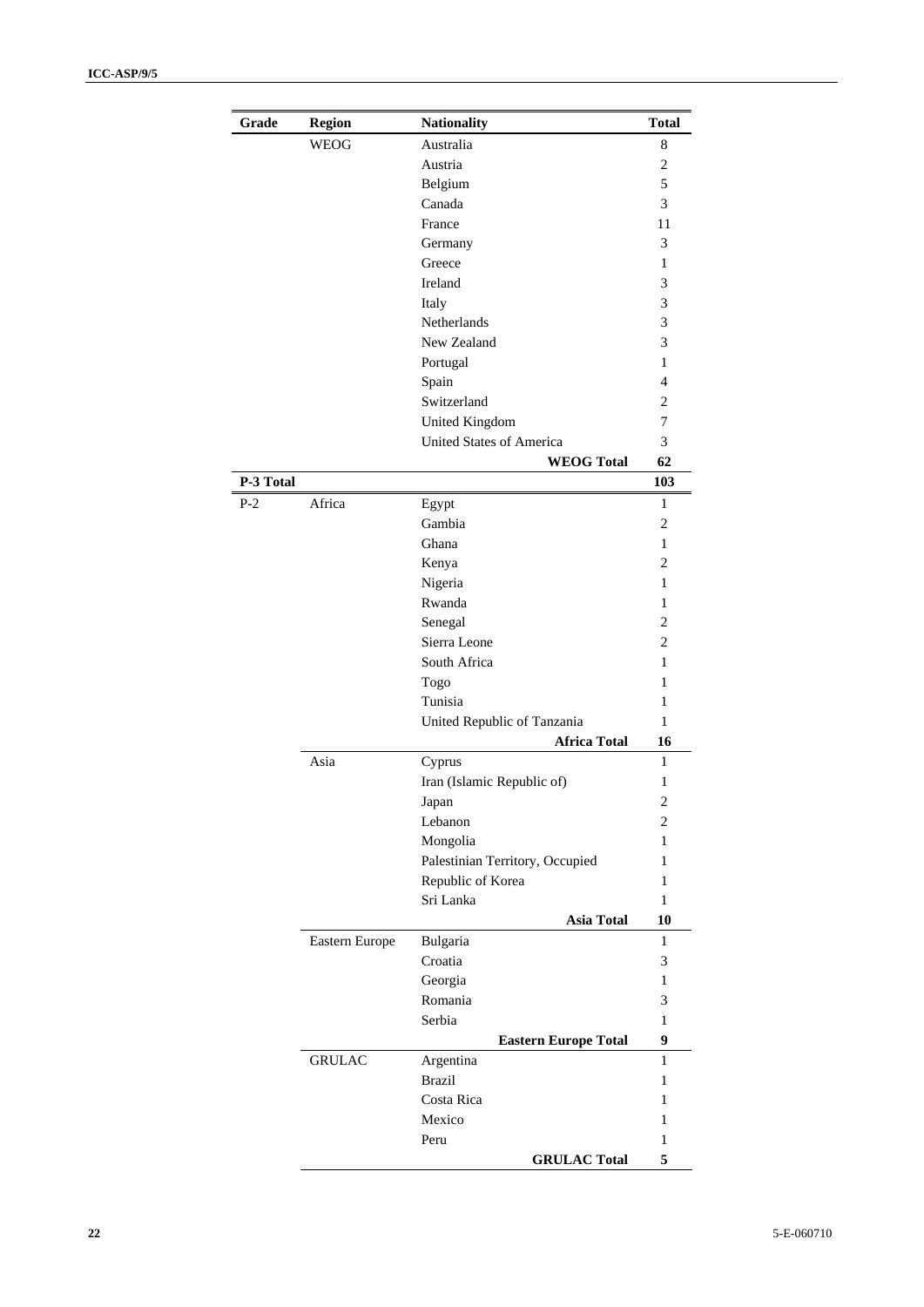| Grade     | <b>Region</b>  | <b>Nationality</b>              | <b>Total</b>            |
|-----------|----------------|---------------------------------|-------------------------|
|           | WEOG           | Australia                       | 8                       |
|           |                | Austria                         | 2                       |
|           |                | Belgium                         | 5                       |
|           |                | Canada                          | 3                       |
|           |                | France                          | 11                      |
|           |                | Germany                         | 3                       |
|           |                | Greece                          | 1                       |
|           |                | Ireland                         | 3                       |
|           |                | Italy                           | 3                       |
|           |                | Netherlands                     | 3                       |
|           |                | New Zealand                     | 3                       |
|           |                | Portugal                        | 1                       |
|           |                | Spain                           | 4                       |
|           |                | Switzerland                     | 2                       |
|           |                | <b>United Kingdom</b>           | 7                       |
|           |                | United States of America        | 3                       |
|           |                | <b>WEOG Total</b>               | 62                      |
| P-3 Total |                |                                 | 103                     |
| P-2       | Africa         | Egypt                           | 1                       |
|           |                | Gambia                          | 2                       |
|           |                | Ghana                           | 1                       |
|           |                | Kenya                           | 2                       |
|           |                | Nigeria                         | 1                       |
|           |                | Rwanda                          | 1                       |
|           |                | Senegal                         | 2                       |
|           |                | Sierra Leone                    | 2                       |
|           |                | South Africa                    | 1                       |
|           |                | Togo                            | 1                       |
|           |                | Tunisia                         | 1                       |
|           |                | United Republic of Tanzania     | 1                       |
|           |                | <b>Africa Total</b>             | 16                      |
|           | Asia           | Cyprus                          | $\mathbf{1}$            |
|           |                | Iran (Islamic Republic of)      | 1                       |
|           |                | Japan                           | $\overline{\mathbf{c}}$ |
|           |                | Lebanon                         | 2                       |
|           |                | Mongolia                        | 1                       |
|           |                | Palestinian Territory, Occupied | 1                       |
|           |                | Republic of Korea               | 1                       |
|           |                | Sri Lanka                       | $\mathbf{1}$            |
|           |                | <b>Asia Total</b>               | 10                      |
|           | Eastern Europe | Bulgaria                        | 1                       |
|           |                | Croatia                         | 3                       |
|           |                | Georgia                         | $\mathbf{1}$            |
|           |                | Romania                         | 3                       |
|           |                | Serbia                          | $\mathbf{1}$            |
|           |                | <b>Eastern Europe Total</b>     | 9                       |
|           | <b>GRULAC</b>  | Argentina                       | 1                       |
|           |                | <b>Brazil</b>                   | 1                       |
|           |                | Costa Rica                      | 1                       |
|           |                | Mexico                          | 1                       |
|           |                | Peru                            | 1                       |
|           |                | <b>GRULAC Total</b>             | 5                       |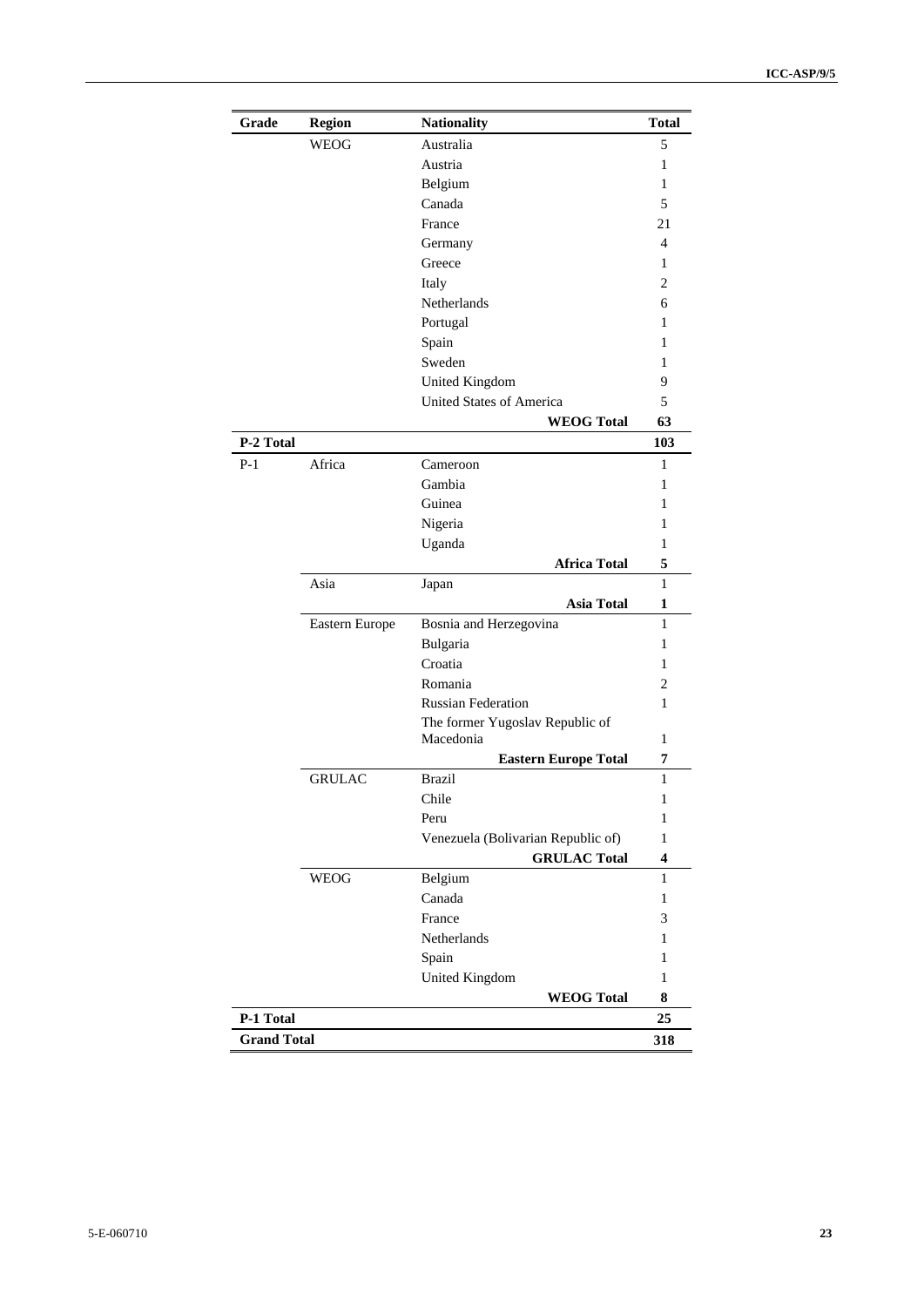| Grade              | <b>Region</b>  | <b>Nationality</b>                 | <b>Total</b>     |
|--------------------|----------------|------------------------------------|------------------|
|                    | <b>WEOG</b>    | Australia                          | 5                |
|                    |                | Austria                            | 1                |
|                    |                | Belgium                            | 1                |
|                    |                | Canada                             | 5                |
|                    |                | France                             | 21               |
|                    |                | Germany                            | 4                |
|                    |                | Greece                             | 1                |
|                    |                | Italy                              | $\overline{c}$   |
|                    |                | Netherlands                        | 6                |
|                    |                | Portugal                           | 1                |
|                    |                | Spain                              | 1                |
|                    |                | Sweden                             | 1                |
|                    |                | United Kingdom                     | 9                |
|                    |                | United States of America           | 5                |
|                    |                | <b>WEOG Total</b>                  | 63               |
| P-2 Total          |                |                                    | 103              |
| $P-1$              | Africa         | Cameroon                           | 1                |
|                    |                | Gambia                             | 1                |
|                    |                | Guinea                             | 1                |
|                    |                | Nigeria                            | 1                |
|                    |                | Uganda                             | 1                |
|                    |                | <b>Africa Total</b>                | 5                |
|                    | Asia           | Japan                              | 1                |
|                    |                | <b>Asia Total</b>                  | 1                |
|                    | Eastern Europe | Bosnia and Herzegovina             | 1                |
|                    |                | Bulgaria                           | 1                |
|                    |                | Croatia                            | 1                |
|                    |                | Romania                            | $\overline{c}$   |
|                    |                | <b>Russian Federation</b>          | 1                |
|                    |                | The former Yugoslav Republic of    |                  |
|                    |                | Macedonia                          | 1                |
|                    |                | <b>Eastern Europe Total</b>        | 7                |
|                    | <b>GRULAC</b>  | <b>Brazil</b>                      | $\mathbf{1}$     |
|                    |                | Chile                              | 1                |
|                    |                | Peru                               | 1                |
|                    |                | Venezuela (Bolivarian Republic of) | $\mathbf{1}$     |
|                    |                | <b>GRULAC Total</b>                | $\boldsymbol{4}$ |
|                    | <b>WEOG</b>    | Belgium                            | $\mathbf{1}$     |
|                    |                | Canada                             | $\mathbf{1}$     |
|                    |                | France                             | $\mathfrak{Z}$   |
|                    |                | Netherlands                        | $\mathbf{1}$     |
|                    |                | Spain                              | $\,1$            |
|                    |                | <b>United Kingdom</b>              | $\mathbf{1}$     |
|                    |                | <b>WEOG Total</b>                  | 8                |
| P-1 Total          |                |                                    | 25               |
| <b>Grand Total</b> |                |                                    | 318              |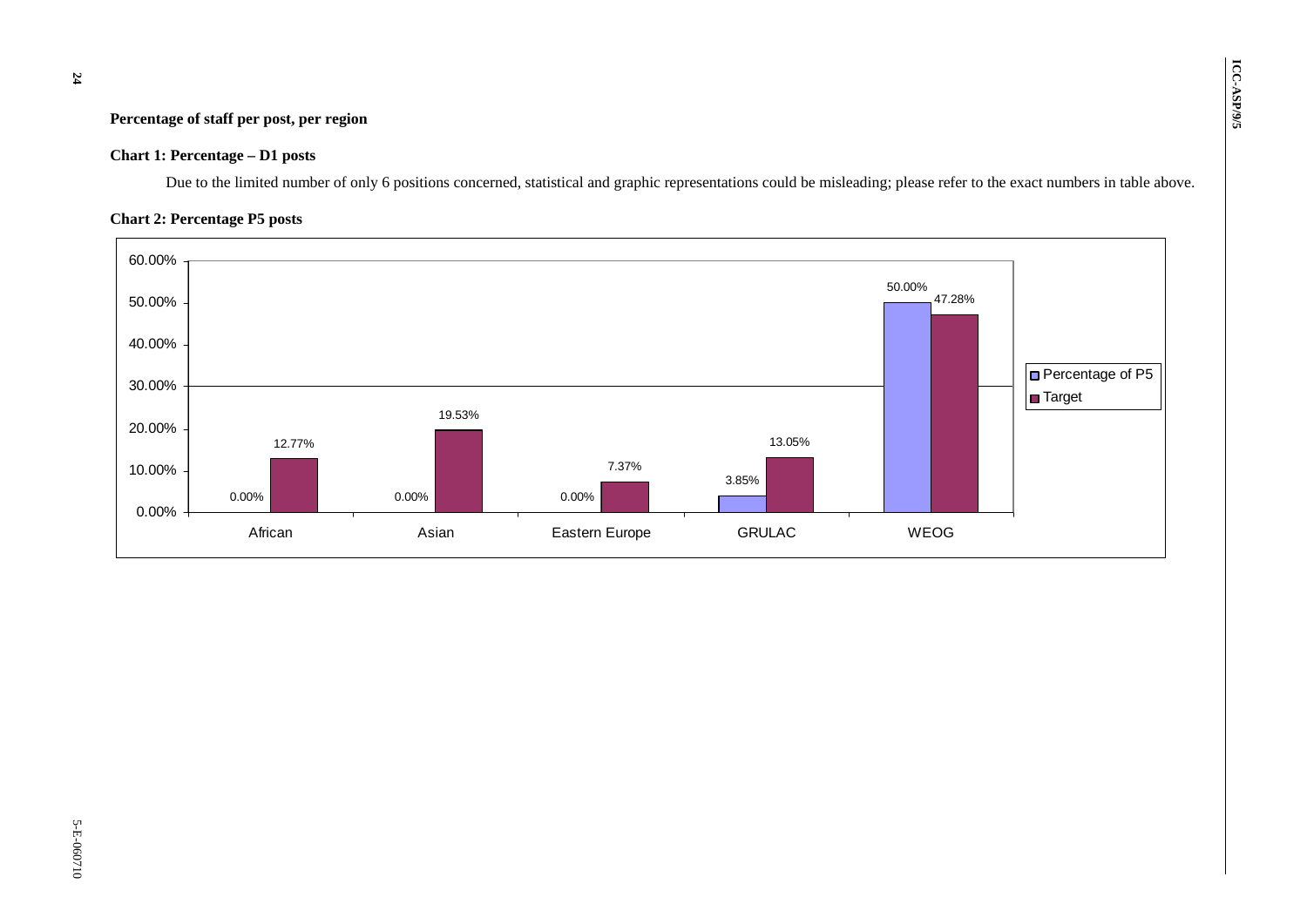# **Percentage of staff per post, per region**  $\begin{bmatrix} 0 & 0 \\ 0 & 0 \end{bmatrix}$

#### **Chart 1: Percentage – D1 posts**

Due to the limited number of only 6 positions concerned, statistical and graphic representations could be misleading; please refer to the exact numbers in table above.

#### **Chart 2: Percentage P5 posts**

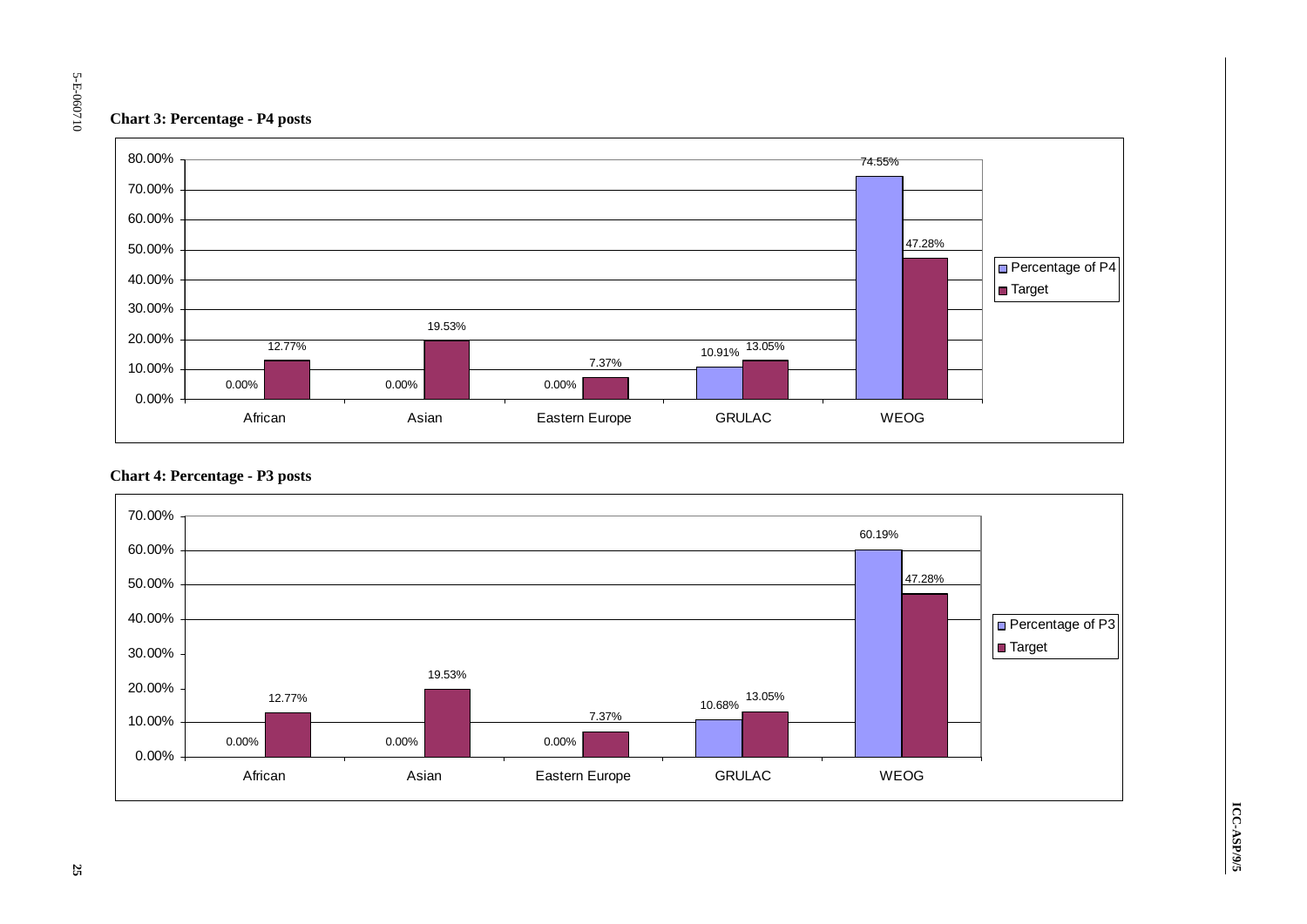#### **Chart 3: Percentage - P4 posts**



#### **Chart 4: Percentage - P3 posts**

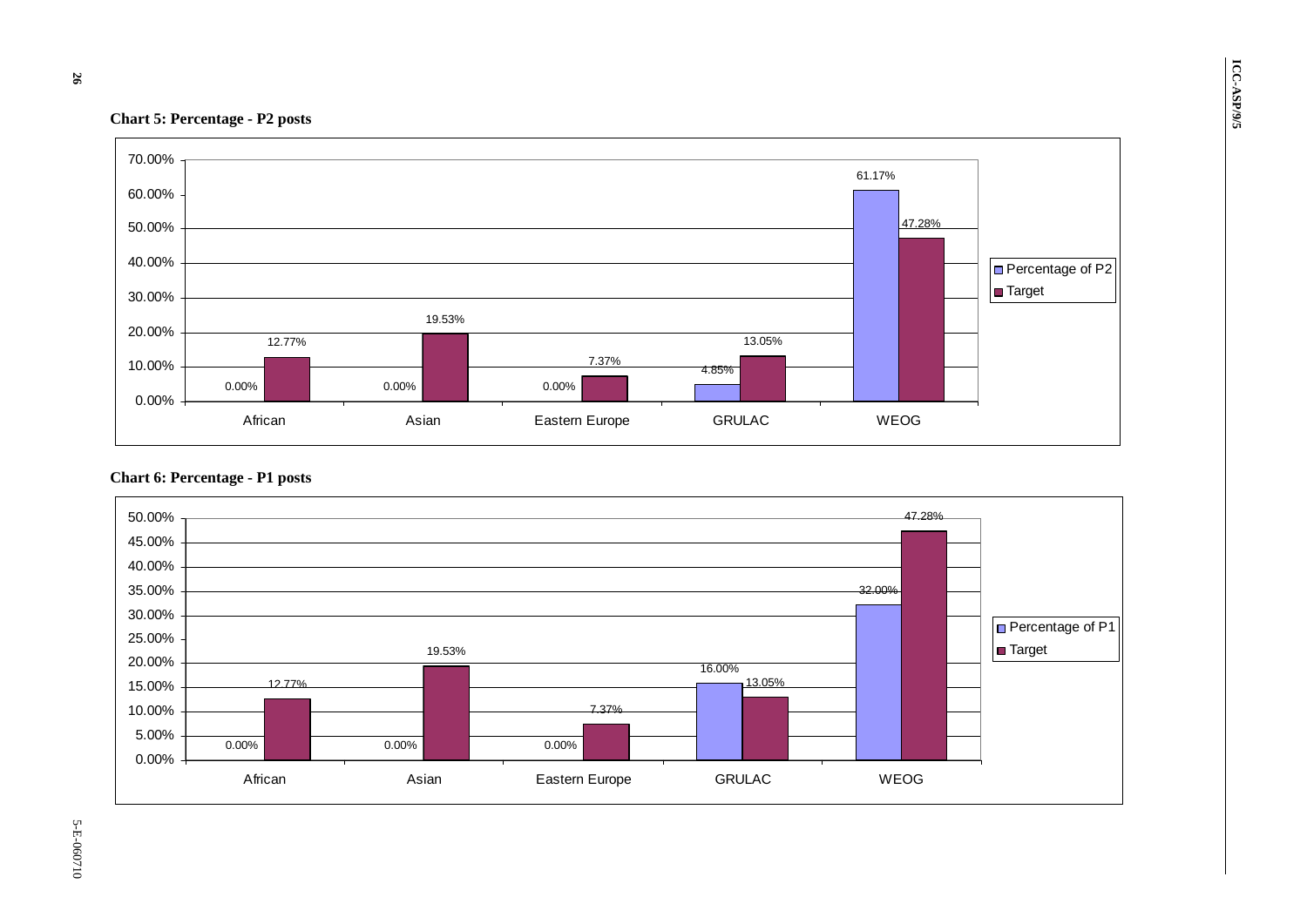

#### **Chart 6: Percentage - P1 posts**

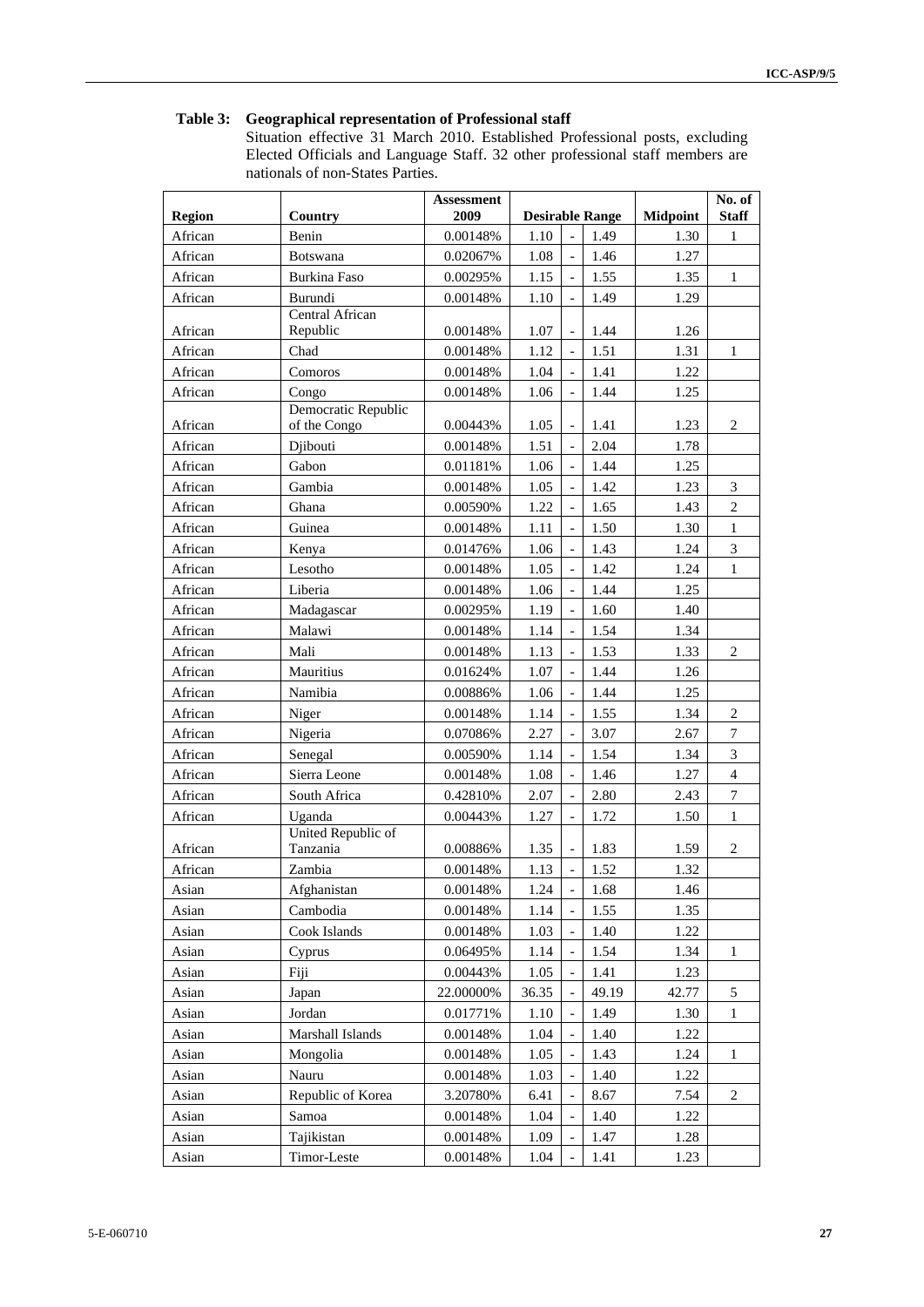#### **Table 3: Geographical representation of Professional staff**

Situation effective 31 March 2010. Established Professional posts, excluding Elected Officials and Language Staff. 32 other professional staff members are nationals of non-States Parties.

|               |                                     | <b>Assessment</b> |       |                          |                        | No. of          |                  |
|---------------|-------------------------------------|-------------------|-------|--------------------------|------------------------|-----------------|------------------|
| <b>Region</b> | Country                             | 2009              |       |                          | <b>Desirable Range</b> | <b>Midpoint</b> | <b>Staff</b>     |
| African       | Benin                               | 0.00148%          | 1.10  |                          | 1.49                   | 1.30            | $\mathbf{1}$     |
| African       | Botswana                            | 0.02067%          | 1.08  | $\overline{\phantom{0}}$ | 1.46                   | 1.27            |                  |
| African       | <b>Burkina Faso</b>                 | 0.00295%          | 1.15  |                          | 1.55                   | 1.35            | $\mathbf{1}$     |
| African       | Burundi                             | 0.00148%          | 1.10  |                          | 1.49                   | 1.29            |                  |
| African       | Central African<br>Republic         | 0.00148%          | 1.07  |                          | 1.44                   | 1.26            |                  |
| African       | Chad                                | 0.00148%          | 1.12  |                          | 1.51                   | 1.31            | $\mathbf{1}$     |
| African       | Comoros                             | 0.00148%          | 1.04  |                          | 1.41                   | 1.22            |                  |
| African       | Congo                               | 0.00148%          | 1.06  |                          | 1.44                   | 1.25            |                  |
| African       | Democratic Republic<br>of the Congo | 0.00443%          | 1.05  | $\qquad \qquad -$        | 1.41                   | 1.23            | $\overline{c}$   |
| African       | Djibouti                            | 0.00148%          | 1.51  |                          | 2.04                   | 1.78            |                  |
| African       | Gabon                               | 0.01181%          | 1.06  |                          | 1.44                   | 1.25            |                  |
| African       | Gambia                              | 0.00148%          | 1.05  |                          | 1.42                   | 1.23            | 3                |
| African       | Ghana                               | 0.00590%          | 1.22  |                          | 1.65                   | 1.43            | $\overline{c}$   |
| African       | Guinea                              | 0.00148%          | 1.11  |                          | 1.50                   | 1.30            | $\,1\,$          |
| African       | Kenya                               | 0.01476%          | 1.06  | $\overline{a}$           | 1.43                   | 1.24            | 3                |
| African       | Lesotho                             | 0.00148%          | 1.05  |                          | 1.42                   | 1.24            | $\mathbf{1}$     |
| African       | Liberia                             | 0.00148%          | 1.06  |                          | 1.44                   | 1.25            |                  |
| African       | Madagascar                          | 0.00295%          | 1.19  |                          | 1.60                   | 1.40            |                  |
| African       | Malawi                              | 0.00148%          | 1.14  |                          | 1.54                   | 1.34            |                  |
| African       | Mali                                | 0.00148%          | 1.13  |                          | 1.53                   | 1.33            | $\overline{c}$   |
| African       | Mauritius                           | 0.01624%          | 1.07  |                          | 1.44                   | 1.26            |                  |
| African       | Namibia                             | 0.00886%          | 1.06  |                          | 1.44                   | 1.25            |                  |
| African       | Niger                               | 0.00148%          | 1.14  |                          | 1.55                   | 1.34            | $\overline{c}$   |
| African       | Nigeria                             | 0.07086%          | 2.27  |                          | 3.07                   | 2.67            | $\boldsymbol{7}$ |
| African       | Senegal                             | 0.00590%          | 1.14  | $\overline{a}$           | 1.54                   | 1.34            | 3                |
| African       | Sierra Leone                        | 0.00148%          | 1.08  |                          | 1.46                   | 1.27            | $\overline{4}$   |
| African       | South Africa                        | 0.42810%          | 2.07  |                          | 2.80                   | 2.43            | $\overline{7}$   |
| African       | Uganda                              | 0.00443%          | 1.27  |                          | 1.72                   | 1.50            | $\mathbf{1}$     |
|               | United Republic of                  |                   |       |                          |                        |                 |                  |
| African       | Tanzania                            | 0.00886%          | 1.35  |                          | 1.83                   | 1.59            | $\mathbf{2}$     |
| African       | Zambia                              | 0.00148%          | 1.13  | $\overline{\phantom{0}}$ | 1.52                   | 1.32            |                  |
| Asian         | Afghanistan                         | 0.00148%          | 1.24  |                          | 1.68                   | 1.46            |                  |
| Asian         | Cambodia                            | 0.00148%          | 1.14  |                          | 1.55                   | 1.35            |                  |
| Asian         | Cook Islands                        | 0.00148%          | 1.03  | $\overline{\phantom{a}}$ | 1.40                   | 1.22            |                  |
| Asian         | Cyprus                              | 0.06495%          | 1.14  |                          | 1.54                   | 1.34            | 1                |
| Asian         | Fiji                                | 0.00443%          | 1.05  | $\overline{\phantom{a}}$ | 1.41                   | 1.23            |                  |
| Asian         | Japan                               | 22.00000%         | 36.35 |                          | 49.19                  | 42.77           | 5                |
| Asian         | Jordan                              | 0.01771%          | 1.10  | $\overline{\phantom{a}}$ | 1.49                   | 1.30            | 1                |
| Asian         | Marshall Islands                    | 0.00148%          | 1.04  |                          | 1.40                   | 1.22            |                  |
| Asian         | Mongolia                            | 0.00148%          | 1.05  |                          | 1.43                   | 1.24            | 1                |
| Asian         | Nauru                               | 0.00148%          | 1.03  |                          | 1.40                   | 1.22            |                  |
| Asian         | Republic of Korea                   | 3.20780%          | 6.41  |                          | 8.67                   | 7.54            | $\overline{c}$   |
| Asian         | Samoa                               | 0.00148%          | 1.04  | $\overline{\phantom{a}}$ | 1.40                   | 1.22            |                  |
| Asian         | Tajikistan                          | 0.00148%          | 1.09  |                          | 1.47                   | 1.28            |                  |
| Asian         | Timor-Leste                         | 0.00148%          | 1.04  |                          | 1.41                   | 1.23            |                  |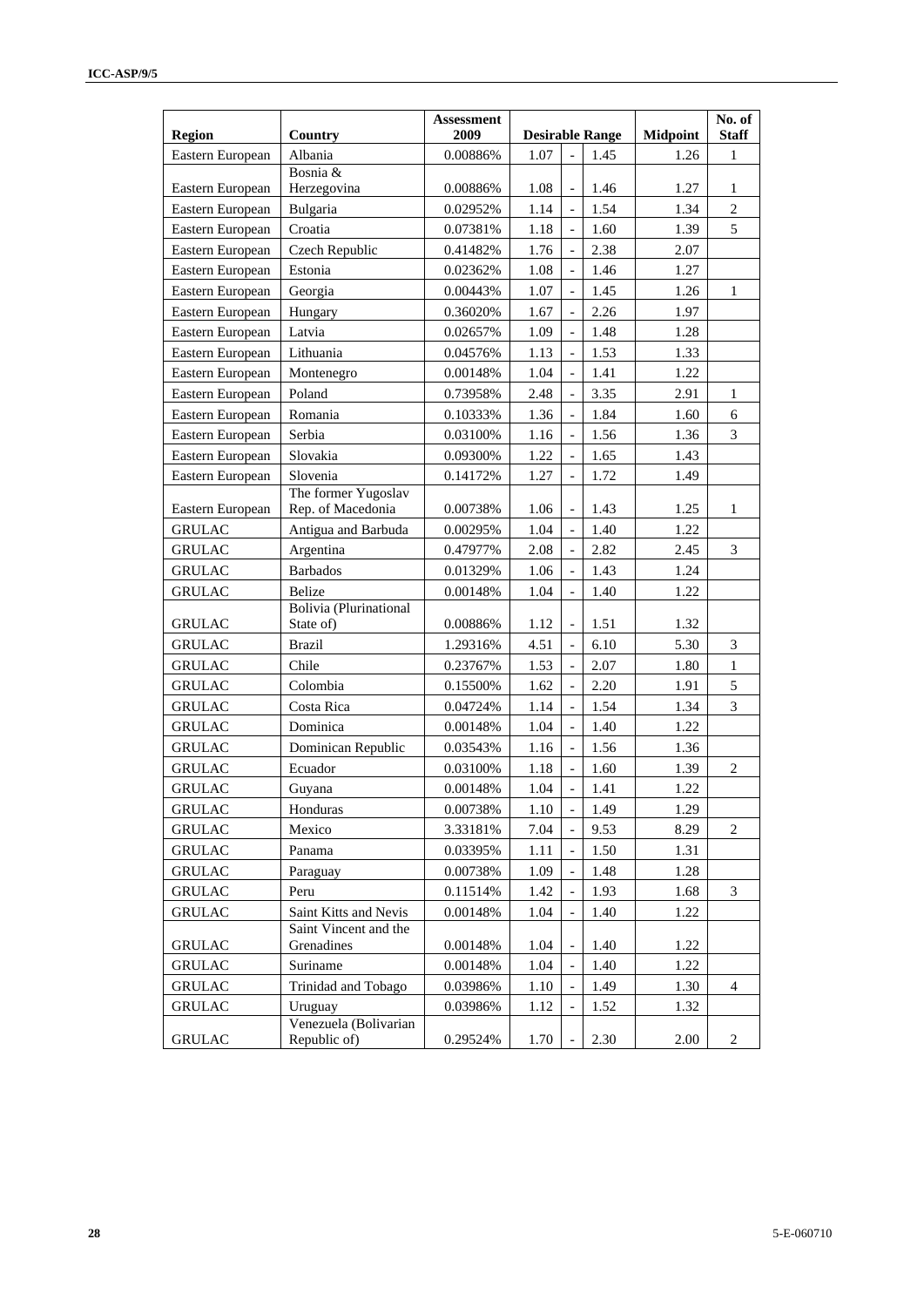| Region           | Country                                        | <b>Assessment</b><br>2009 |      |                          | <b>Desirable Range</b> | <b>Midpoint</b> | No. of<br><b>Staff</b> |
|------------------|------------------------------------------------|---------------------------|------|--------------------------|------------------------|-----------------|------------------------|
| Eastern European | Albania                                        | 0.00886%                  | 1.07 | $\overline{a}$           | 1.45                   | 1.26            | $\mathbf{1}$           |
|                  | Bosnia &                                       |                           |      |                          |                        |                 |                        |
| Eastern European | Herzegovina                                    | 0.00886%                  | 1.08 | $\overline{\phantom{a}}$ | 1.46                   | 1.27            | 1                      |
| Eastern European | Bulgaria                                       | 0.02952%                  | 1.14 |                          | 1.54                   | 1.34            | $\overline{c}$         |
| Eastern European | Croatia                                        | 0.07381%                  | 1.18 |                          | 1.60                   | 1.39            | 5                      |
| Eastern European | Czech Republic                                 | 0.41482%                  | 1.76 |                          | 2.38                   | 2.07            |                        |
| Eastern European | Estonia                                        | 0.02362%                  | 1.08 |                          | 1.46                   | 1.27            |                        |
| Eastern European | Georgia                                        | 0.00443%                  | 1.07 |                          | 1.45                   | 1.26            | $\mathbf{1}$           |
| Eastern European | Hungary                                        | 0.36020%                  | 1.67 |                          | 2.26                   | 1.97            |                        |
| Eastern European | Latvia                                         | 0.02657%                  | 1.09 |                          | 1.48                   | 1.28            |                        |
| Eastern European | Lithuania                                      | 0.04576%                  | 1.13 |                          | 1.53                   | 1.33            |                        |
| Eastern European | Montenegro                                     | 0.00148%                  | 1.04 |                          | 1.41                   | 1.22            |                        |
| Eastern European | Poland                                         | 0.73958%                  | 2.48 |                          | 3.35                   | 2.91            | 1                      |
| Eastern European | Romania                                        | 0.10333%                  | 1.36 |                          | 1.84                   | 1.60            | 6                      |
| Eastern European | Serbia                                         | 0.03100%                  | 1.16 |                          | 1.56                   | 1.36            | 3                      |
| Eastern European | Slovakia                                       | 0.09300%                  | 1.22 |                          | 1.65                   | 1.43            |                        |
| Eastern European | Slovenia                                       | 0.14172%                  | 1.27 |                          | 1.72                   | 1.49            |                        |
|                  | The former Yugoslav                            |                           |      |                          |                        |                 |                        |
| Eastern European | Rep. of Macedonia                              | 0.00738%                  | 1.06 |                          | 1.43                   | 1.25            | $\mathbf{1}$           |
| <b>GRULAC</b>    | Antigua and Barbuda                            | 0.00295%                  | 1.04 |                          | 1.40                   | 1.22            |                        |
| <b>GRULAC</b>    | Argentina                                      | 0.47977%                  | 2.08 |                          | 2.82                   | 2.45            | 3                      |
| <b>GRULAC</b>    | <b>Barbados</b>                                | 0.01329%                  | 1.06 |                          | 1.43                   | 1.24            |                        |
| <b>GRULAC</b>    | <b>Belize</b>                                  | 0.00148%                  | 1.04 | $\overline{\phantom{a}}$ | 1.40                   | 1.22            |                        |
| <b>GRULAC</b>    | <b>Bolivia</b> (Plurinational<br>State of)     | 0.00886%                  | 1.12 |                          | 1.51                   | 1.32            |                        |
| <b>GRULAC</b>    | <b>Brazil</b>                                  | 1.29316%                  | 4.51 |                          | 6.10                   | 5.30            | 3                      |
| <b>GRULAC</b>    | Chile                                          | 0.23767%                  | 1.53 |                          | 2.07                   | 1.80            | $\,1$                  |
| <b>GRULAC</b>    | Colombia                                       | 0.15500%                  | 1.62 |                          | 2.20                   | 1.91            | 5                      |
| <b>GRULAC</b>    | Costa Rica                                     | 0.04724%                  | 1.14 |                          | 1.54                   | 1.34            | 3                      |
| <b>GRULAC</b>    | Dominica                                       | 0.00148%                  | 1.04 |                          | 1.40                   | 1.22            |                        |
| <b>GRULAC</b>    | Dominican Republic                             | 0.03543%                  | 1.16 |                          | 1.56                   | 1.36            |                        |
| <b>GRULAC</b>    | Ecuador                                        | 0.03100%                  | 1.18 |                          | 1.60                   | 1.39            | $\overline{c}$         |
| <b>GRULAC</b>    | Guyana                                         | 0.00148%                  | 1.04 |                          | 1.41                   | 1.22            |                        |
| <b>GRULAC</b>    | Honduras                                       | 0.00738%                  | 1.10 |                          | 1.49                   | 1.29            |                        |
| <b>GRULAC</b>    | Mexico                                         | 3.33181%                  | 7.04 |                          | 9.53                   | 8.29            | $\overline{c}$         |
| <b>GRULAC</b>    | Panama                                         | 0.03395%                  | 1.11 |                          | 1.50                   | 1.31            |                        |
|                  |                                                |                           |      |                          |                        |                 |                        |
| <b>GRULAC</b>    | Paraguay                                       | 0.00738%                  | 1.09 |                          | 1.48                   | 1.28            |                        |
| <b>GRULAC</b>    | Peru                                           | 0.11514%                  | 1.42 |                          | 1.93                   | 1.68            | 3                      |
| <b>GRULAC</b>    | Saint Kitts and Nevis<br>Saint Vincent and the | 0.00148%                  | 1.04 |                          | 1.40                   | 1.22            |                        |
| <b>GRULAC</b>    | Grenadines                                     | 0.00148%                  | 1.04 |                          | 1.40                   | 1.22            |                        |
| <b>GRULAC</b>    | Suriname                                       | 0.00148%                  | 1.04 |                          | 1.40                   | 1.22            |                        |
| <b>GRULAC</b>    | Trinidad and Tobago                            | $0.03986\%$               | 1.10 |                          | 1.49                   | 1.30            | 4                      |
| <b>GRULAC</b>    | Uruguay                                        | 0.03986%                  | 1.12 |                          | 1.52                   | 1.32            |                        |
| <b>GRULAC</b>    | Venezuela (Bolivarian<br>Republic of)          | 0.29524%                  | 1.70 |                          | 2.30                   | 2.00            | $\overline{c}$         |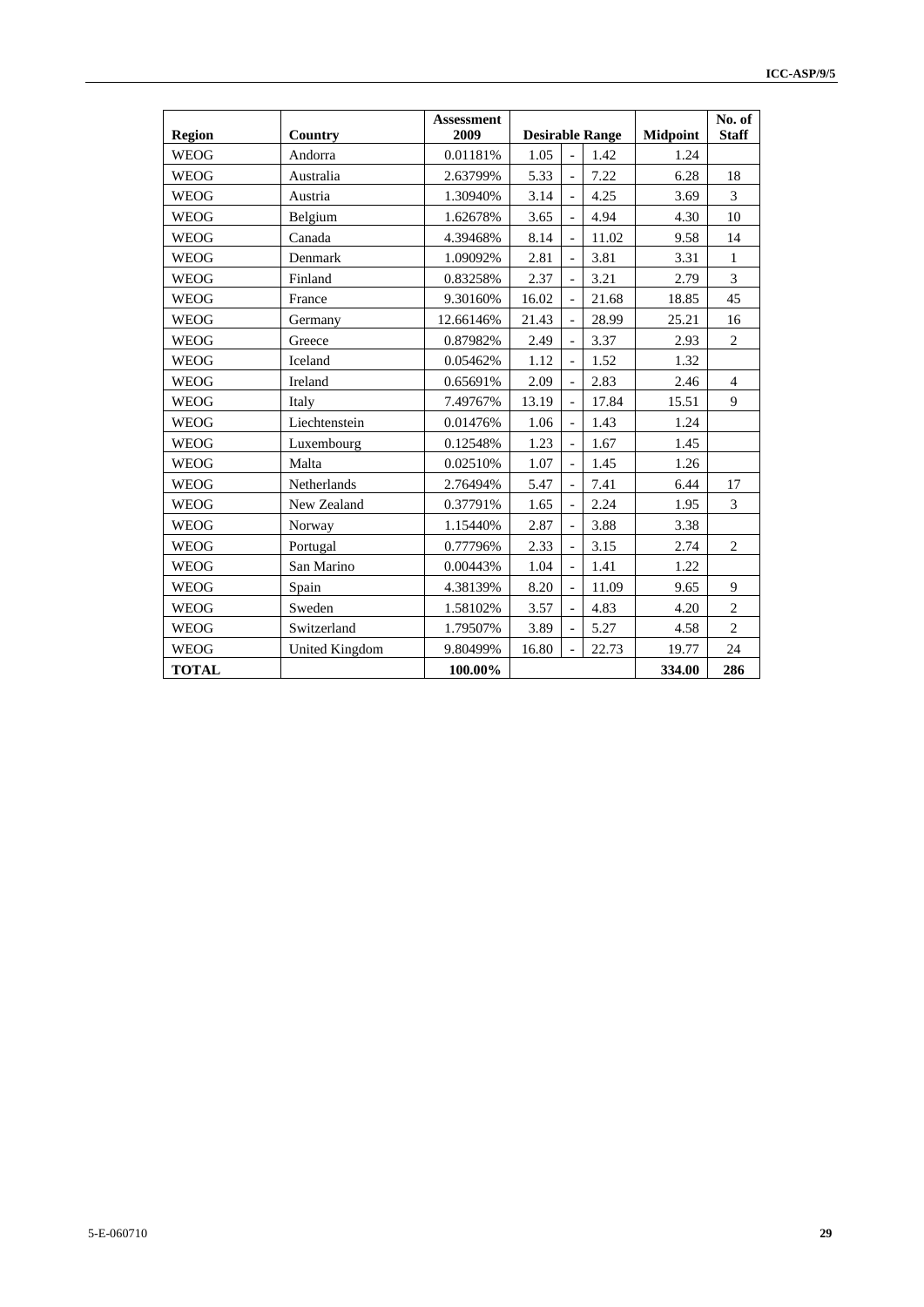| <b>Region</b> | Country        | <b>Assessment</b><br>2009 |       |                          | <b>Desirable Range</b> | <b>Midpoint</b> | No. of<br><b>Staff</b> |
|---------------|----------------|---------------------------|-------|--------------------------|------------------------|-----------------|------------------------|
| <b>WEOG</b>   | Andorra        | 0.01181%                  | 1.05  |                          | 1.42                   | 1.24            |                        |
| <b>WEOG</b>   | Australia      | 2.63799%                  | 5.33  |                          | 7.22                   | 6.28            | 18                     |
| <b>WEOG</b>   | Austria        | 1.30940%                  | 3.14  |                          | 4.25                   | 3.69            | 3                      |
| <b>WEOG</b>   | Belgium        | 1.62678%                  | 3.65  |                          | 4.94                   | 4.30            | 10                     |
| <b>WEOG</b>   | Canada         | 4.39468%                  | 8.14  |                          | 11.02                  | 9.58            | 14                     |
| <b>WEOG</b>   | Denmark        | 1.09092%                  | 2.81  |                          | 3.81                   | 3.31            | $\mathbf{1}$           |
| <b>WEOG</b>   | Finland        | 0.83258%                  | 2.37  |                          | 3.21                   | 2.79            | $\overline{3}$         |
| <b>WEOG</b>   | France         | 9.30160%                  | 16.02 |                          | 21.68                  | 18.85           | 45                     |
| <b>WEOG</b>   | Germany        | 12.66146%                 | 21.43 |                          | 28.99                  | 25.21           | 16                     |
| <b>WEOG</b>   | Greece         | 0.87982%                  | 2.49  |                          | 3.37                   | 2.93            | $\overline{c}$         |
| <b>WEOG</b>   | Iceland        | 0.05462%                  | 1.12  |                          | 1.52                   | 1.32            |                        |
| <b>WEOG</b>   | Ireland        | 0.65691%                  | 2.09  |                          | 2.83                   | 2.46            | $\overline{4}$         |
| <b>WEOG</b>   | Italy          | 7.49767%                  | 13.19 |                          | 17.84                  | 15.51           | 9                      |
| <b>WEOG</b>   | Liechtenstein  | 0.01476%                  | 1.06  |                          | 1.43                   | 1.24            |                        |
| <b>WEOG</b>   | Luxembourg     | 0.12548%                  | 1.23  |                          | 1.67                   | 1.45            |                        |
| <b>WEOG</b>   | Malta          | 0.02510%                  | 1.07  |                          | 1.45                   | 1.26            |                        |
| <b>WEOG</b>   | Netherlands    | 2.76494%                  | 5.47  |                          | 7.41                   | 6.44            | 17                     |
| <b>WEOG</b>   | New Zealand    | 0.37791%                  | 1.65  |                          | 2.24                   | 1.95            | 3                      |
| <b>WEOG</b>   | Norway         | 1.15440%                  | 2.87  |                          | 3.88                   | 3.38            |                        |
| <b>WEOG</b>   | Portugal       | 0.77796%                  | 2.33  |                          | 3.15                   | 2.74            | $\overline{2}$         |
| <b>WEOG</b>   | San Marino     | 0.00443%                  | 1.04  | $\overline{\phantom{a}}$ | 1.41                   | 1.22            |                        |
| <b>WEOG</b>   | Spain          | 4.38139%                  | 8.20  |                          | 11.09                  | 9.65            | 9                      |
| <b>WEOG</b>   | Sweden         | 1.58102%                  | 3.57  |                          | 4.83                   | 4.20            | $\overline{c}$         |
| <b>WEOG</b>   | Switzerland    | 1.79507%                  | 3.89  |                          | 5.27                   | 4.58            | $\overline{c}$         |
| <b>WEOG</b>   | United Kingdom | 9.80499%                  | 16.80 |                          | 22.73                  | 19.77           | 24                     |
| <b>TOTAL</b>  |                | 100.00%                   |       |                          |                        | 334.00          | 286                    |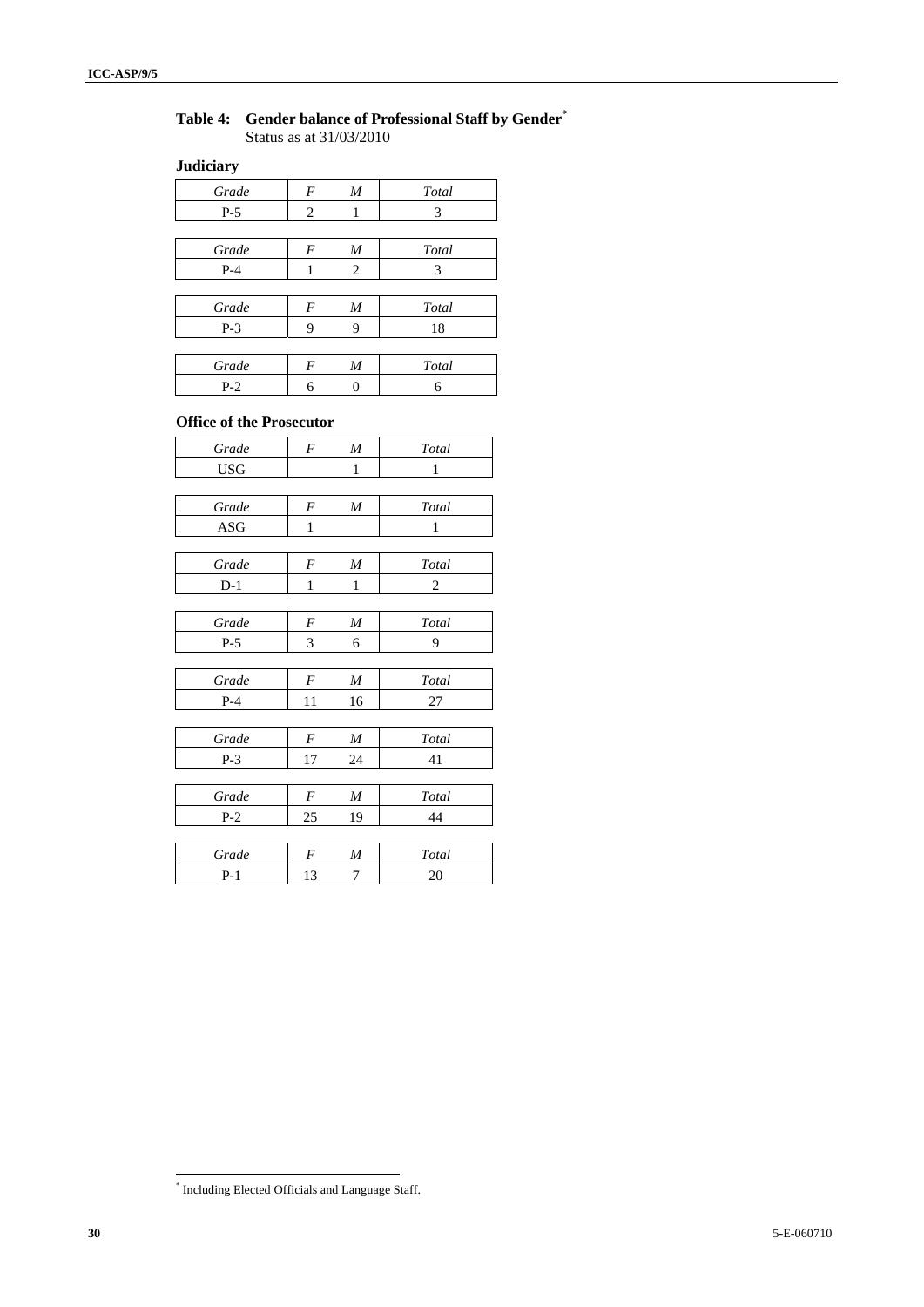#### **Table 4: Gender balance of Professional Staff by Gender\*** Status as at 31/03/2010

#### **Judiciary**

| Grade                           | $\boldsymbol{F}$ | M | Total |
|---------------------------------|------------------|---|-------|
| $P-5$                           | 2                | 1 | 3     |
|                                 |                  |   |       |
| Grade                           | $\boldsymbol{F}$ | M | Total |
| $P-4$                           | 1                | 2 | 3     |
|                                 |                  |   |       |
| Grade                           | $\boldsymbol{F}$ | M | Total |
| $P-3$                           | 9                | 9 | 18    |
|                                 |                  |   |       |
| Grade                           | $\boldsymbol{F}$ | M | Total |
| $P-2$                           | 6                | 0 | 6     |
|                                 |                  |   |       |
| <b>Office of the Prosecutor</b> |                  |   |       |

| Grade      | F              | M  | Total        |
|------------|----------------|----|--------------|
| <b>USG</b> |                | 1  | $\mathbf{1}$ |
|            |                |    |              |
| Grade      | $\overline{F}$ | M  | Total        |
| <b>ASG</b> | 1              |    | 1            |
|            |                |    |              |
| Grade      | F              | M  | Total        |
| $D-1$      | 1              | 1  | 2            |
|            |                |    |              |
| Grade      | F              | M  | Total        |
| $P-5$      | 3              | 6  | 9            |
|            |                |    |              |
| Grade      | F              | M  | Total        |
| $P-4$      | 11             | 16 | 27           |
|            |                |    |              |
| Grade      | $\overline{F}$ | M  | Total        |
| $P-3$      | 17             | 24 | 41           |
|            |                |    |              |
| Grade      | F              | M  | Total        |
| $P-2$      | 25             | 19 | 44           |
|            |                |    |              |
| Grade      | F              | M  | Total        |
| $P-1$      | 13             | 7  | 20           |

 \* Including Elected Officials and Language Staff.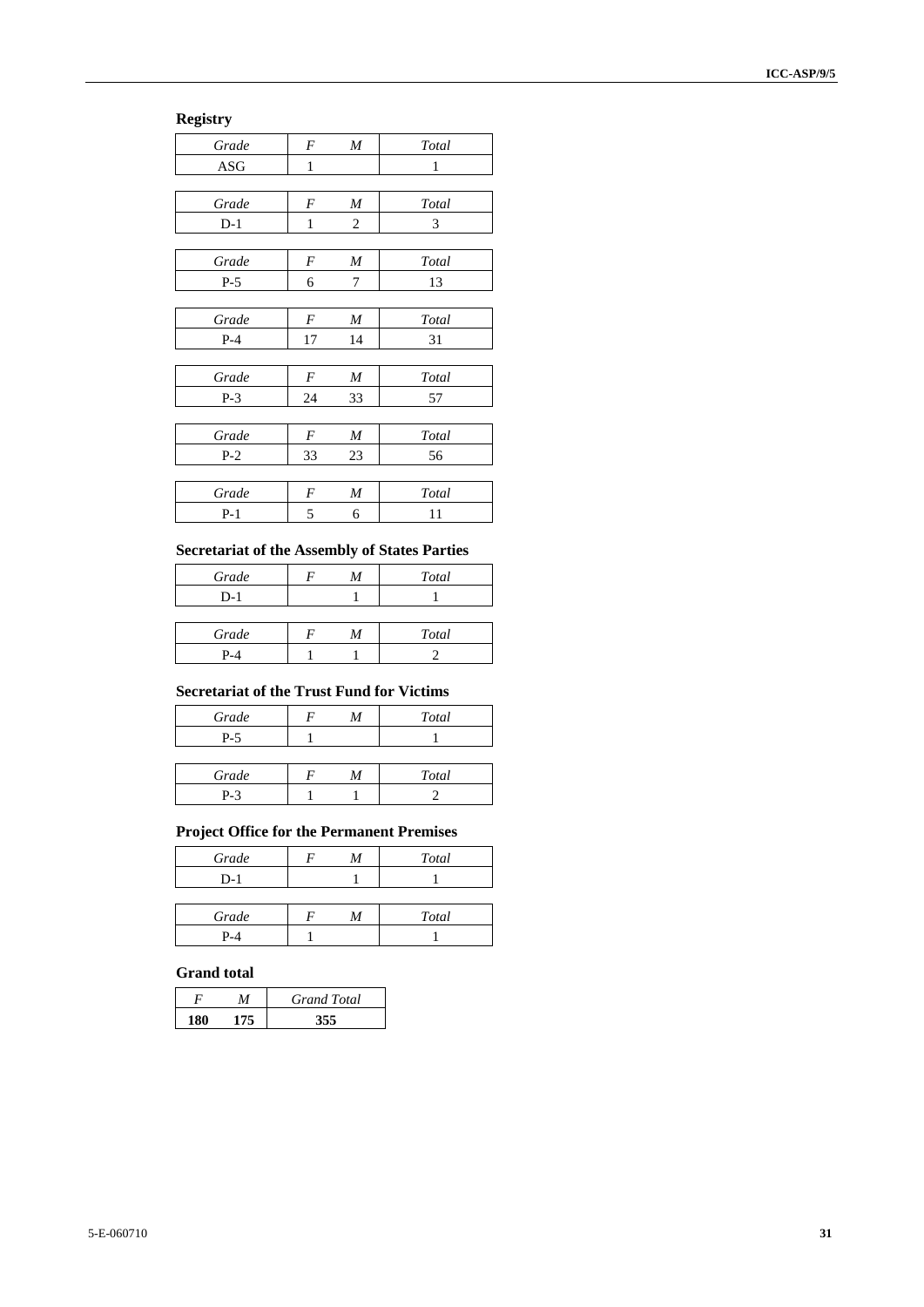# **Registry**

| Grade | F  | M  | Total |
|-------|----|----|-------|
| ASG   | 1  |    | 1     |
|       |    |    |       |
| Grade | F  | M  | Total |
| $D-1$ | 1  | 2  | 3     |
|       |    |    |       |
| Grade | F  | M  | Total |
| $P-5$ | 6  | 7  | 13    |
|       |    |    |       |
| Grade | F  | M  | Total |
| $P-4$ | 17 | 14 | 31    |
|       |    |    |       |
| Grade | F  | M  | Total |
| $P-3$ | 24 | 33 | 57    |
|       |    |    |       |
| Grade | F  | M  | Total |
| $P-2$ | 33 | 23 | 56    |
|       |    |    |       |
| Grade | F  | M  | Total |
| $P-1$ | 5  | 6  | 11    |
|       |    |    |       |

#### **Secretariat of the Assembly of States Parties**

| Grade | M | Total |
|-------|---|-------|
| $D-1$ |   |       |
|       |   |       |
| Grade | M | Total |
| $P-4$ |   |       |

#### **Secretariat of the Trust Fund for Victims**

| Grade | M | Total |
|-------|---|-------|
| $P-5$ |   |       |
|       |   |       |
| Grade | M | Total |
| $P-3$ |   |       |

#### **Project Office for the Permanent Premises**

| Grade | M | Total |
|-------|---|-------|
| $D-1$ |   |       |
|       |   |       |
| Grade |   | Total |
| P-4   |   |       |

| DЛ                 |  |
|--------------------|--|
|                    |  |
| <b>Grand</b> total |  |

|     | <b>Grand Total</b> |
|-----|--------------------|
| 175 |                    |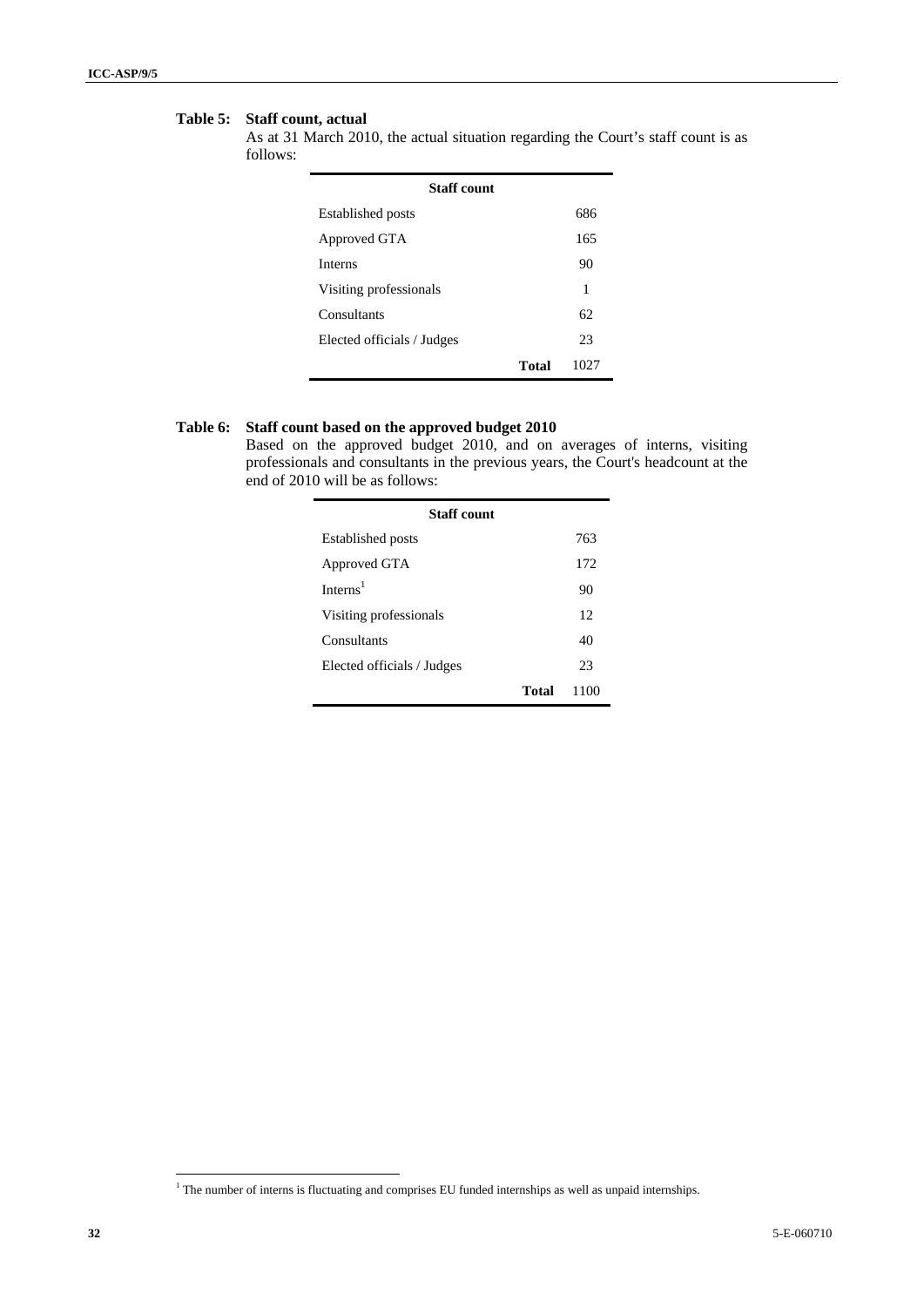#### **Table 5: Staff count, actual**

As at 31 March 2010, the actual situation regarding the Court's staff count is as follows:

| <b>Staff</b> count         |       |      |
|----------------------------|-------|------|
| <b>Established posts</b>   |       | 686  |
| Approved GTA               |       | 165  |
| <b>Interns</b>             |       | 90   |
| Visiting professionals     |       | 1    |
| Consultants                |       | 62   |
| Elected officials / Judges |       | 23   |
|                            | Total | 1027 |

#### **Table 6: Staff count based on the approved budget 2010**

Based on the approved budget 2010, and on averages of interns, visiting professionals and consultants in the previous years, the Court's headcount at the end of 2010 will be as follows:

| <b>Staff</b> count         |       |      |
|----------------------------|-------|------|
| <b>Established posts</b>   |       | 763  |
| Approved GTA               |       | 172  |
| Interns $1$                |       | 90   |
| Visiting professionals     |       | 12   |
| Consultants                |       | 40   |
| Elected officials / Judges |       | 23   |
|                            | Total | 1100 |

<sup>&</sup>lt;sup>1</sup> The number of interns is fluctuating and comprises EU funded internships as well as unpaid internships.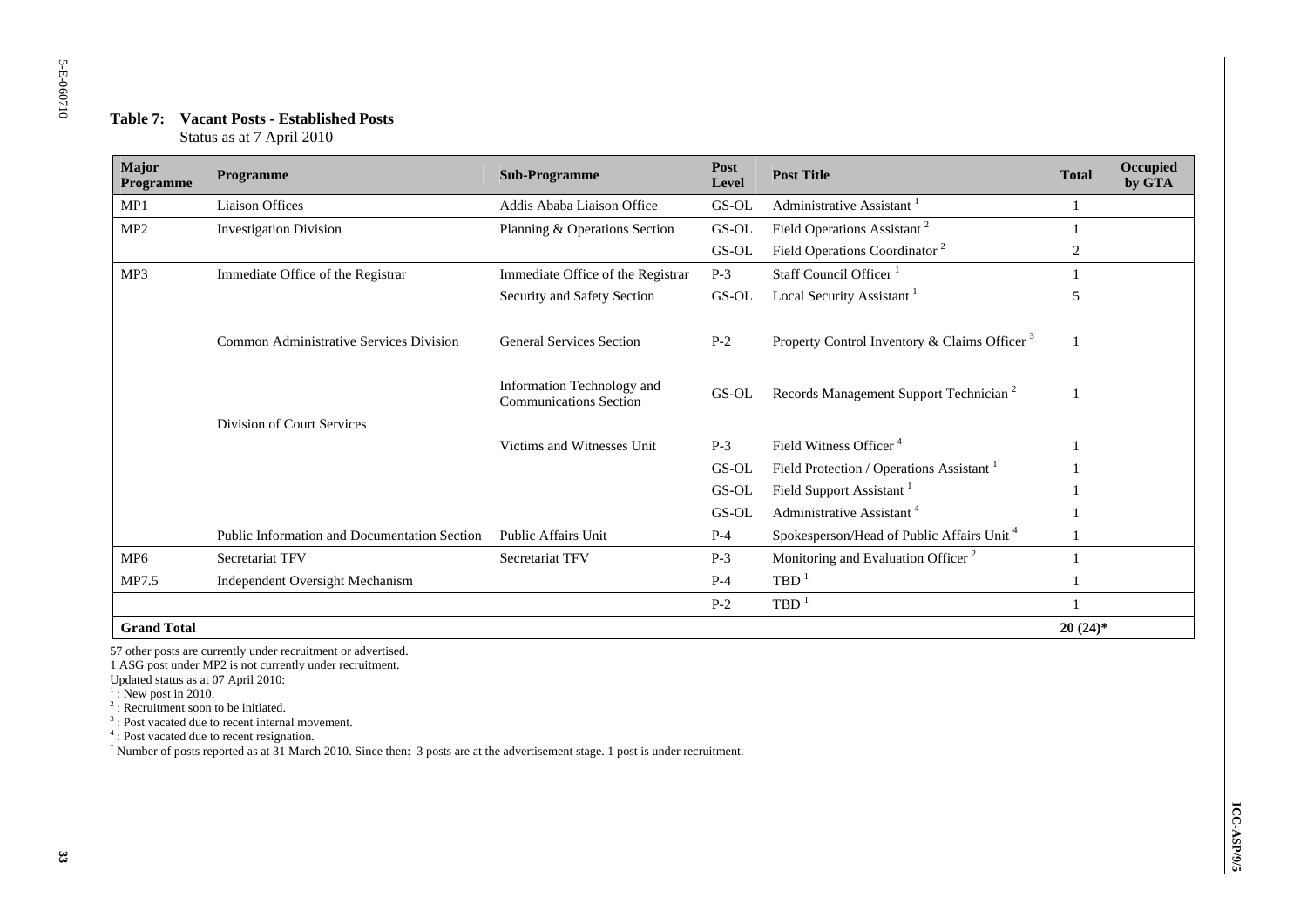| Major<br>Programme | Programme                                           | <b>Sub-Programme</b>                                        | Post<br>Level          | <b>Post Title</b>                                                                              | <b>Total</b>   | Occupied<br>by GTA |
|--------------------|-----------------------------------------------------|-------------------------------------------------------------|------------------------|------------------------------------------------------------------------------------------------|----------------|--------------------|
| MP1                | Liaison Offices                                     | Addis Ababa Liaison Office                                  | GS-OL                  | Administrative Assistant                                                                       | 1              |                    |
| MP <sub>2</sub>    | <b>Investigation Division</b>                       | Planning & Operations Section                               | GS-OL                  | Field Operations Assistant <sup>2</sup>                                                        | -1             |                    |
|                    |                                                     |                                                             | $\operatorname{GS-OL}$ | Field Operations Coordinator <sup>2</sup>                                                      | $\overline{c}$ |                    |
| MP <sub>3</sub>    | Immediate Office of the Registrar                   | Immediate Office of the Registrar                           | $P-3$                  | Staff Council Officer <sup>1</sup>                                                             |                |                    |
|                    |                                                     | Security and Safety Section                                 | $GS-OL$                | Local Security Assistant <sup>1</sup>                                                          | 5              |                    |
|                    | Common Administrative Services Division             | <b>General Services Section</b>                             | $P-2$                  | Property Control Inventory & Claims Officer <sup>3</sup>                                       | -1             |                    |
|                    |                                                     | Information Technology and<br><b>Communications Section</b> | GS-OL                  | Records Management Support Technician <sup>2</sup>                                             | $\mathbf{1}$   |                    |
|                    | Division of Court Services                          |                                                             |                        |                                                                                                |                |                    |
|                    |                                                     | Victims and Witnesses Unit                                  | $P-3$                  | Field Witness Officer <sup>4</sup>                                                             |                |                    |
|                    |                                                     |                                                             | $GS-OL$                | Field Protection / Operations Assistant <sup>1</sup>                                           |                |                    |
|                    |                                                     |                                                             | GS-OL                  | Field Support Assistant <sup>1</sup>                                                           |                |                    |
|                    | <b>Public Information and Documentation Section</b> | <b>Public Affairs Unit</b>                                  | $GS-OL$<br>$P-4$       | Administrative Assistant <sup>4</sup><br>Spokesperson/Head of Public Affairs Unit <sup>4</sup> |                |                    |
| MP <sub>6</sub>    |                                                     | Secretariat TFV                                             |                        | Monitoring and Evaluation Officer <sup>2</sup>                                                 | $\mathbf{1}$   |                    |
|                    | Secretariat TFV                                     |                                                             | $P-3$                  | $TBD$ <sup>1</sup>                                                                             |                |                    |
| MP7.5              | Independent Oversight Mechanism                     |                                                             | $P-4$                  |                                                                                                | -1             |                    |
|                    |                                                     |                                                             | $P-2$                  | $TBD$ <sup>1</sup>                                                                             | 1              |                    |
| <b>Grand Total</b> |                                                     |                                                             |                        |                                                                                                | $20(24)$ *     |                    |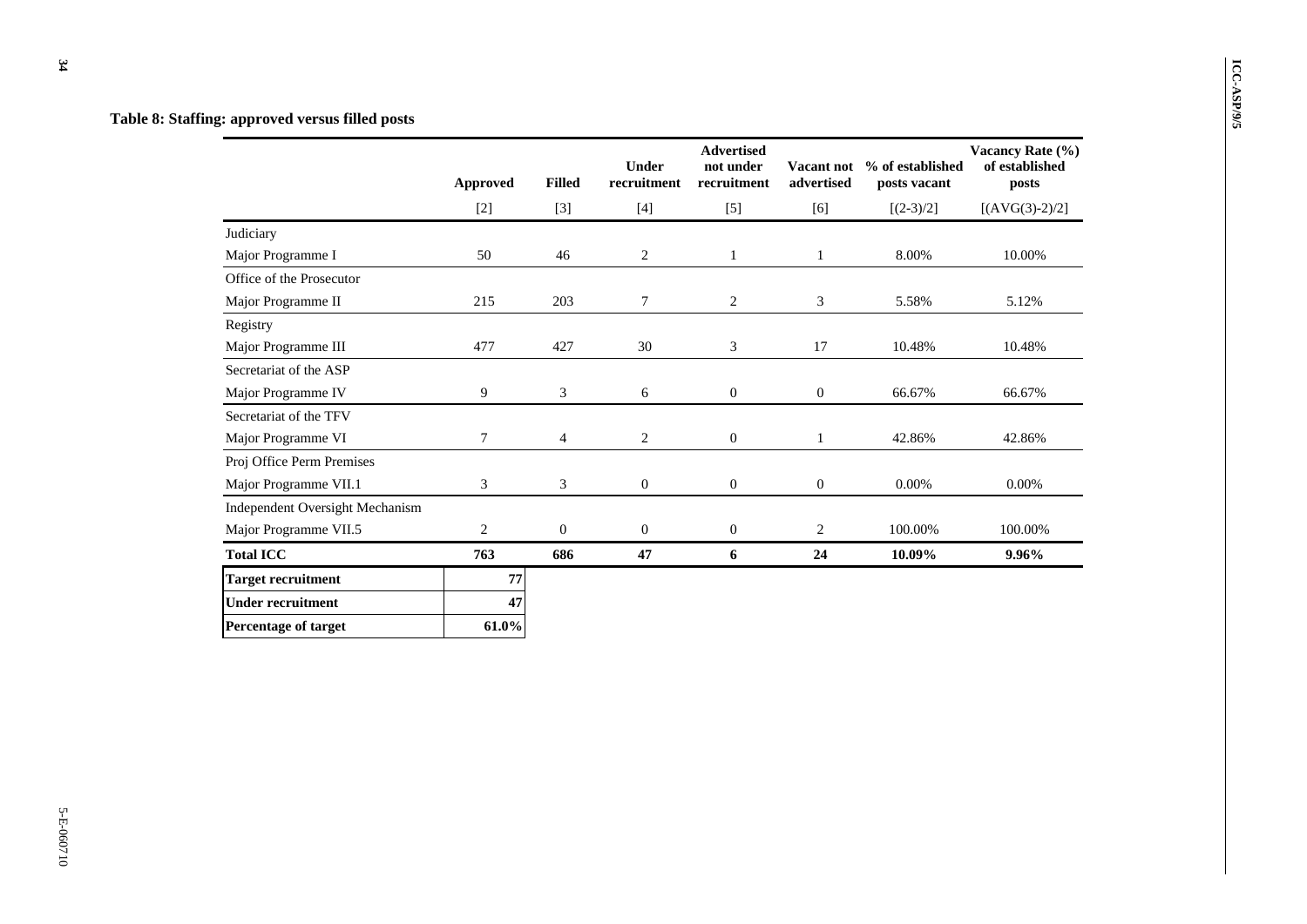**Table 8: Staffing: approved versus filled posts** 

|                                 | <b>Approved</b> | <b>Filled</b> | Under<br>recruitment | <b>Advertised</b><br>not under<br>recruitment | Vacant not<br>advertised | % of established<br>posts vacant | Vacancy Rate (%)<br>of established<br>posts |
|---------------------------------|-----------------|---------------|----------------------|-----------------------------------------------|--------------------------|----------------------------------|---------------------------------------------|
|                                 | $[2]$           | $[3]$         | $[4]$                | $[5]$                                         | [6]                      | $[(2-3)/2]$                      | $[(AVG(3)-2)/2]$                            |
| Judiciary                       |                 |               |                      |                                               |                          |                                  |                                             |
| Major Programme I               | 50              | 46            | 2                    | $\mathbf{1}$                                  | $\mathbf{1}$             | 8.00%                            | 10.00%                                      |
| Office of the Prosecutor        |                 |               |                      |                                               |                          |                                  |                                             |
| Major Programme II              | 215             | 203           | 7                    | 2                                             | 3                        | 5.58%                            | 5.12%                                       |
| Registry                        |                 |               |                      |                                               |                          |                                  |                                             |
| Major Programme III             | 477             | 427           | 30                   | 3                                             | 17                       | 10.48%                           | 10.48%                                      |
| Secretariat of the ASP          |                 |               |                      |                                               |                          |                                  |                                             |
| Major Programme IV              | 9               | 3             | 6                    | $\mathbf{0}$                                  | $\overline{0}$           | 66.67%                           | 66.67%                                      |
| Secretariat of the TFV          |                 |               |                      |                                               |                          |                                  |                                             |
| Major Programme VI              | 7               | 4             | 2                    | $\mathbf{0}$                                  | $\mathbf{1}$             | 42.86%                           | 42.86%                                      |
| Proj Office Perm Premises       |                 |               |                      |                                               |                          |                                  |                                             |
| Major Programme VII.1           | 3               | 3             | $\boldsymbol{0}$     | $\boldsymbol{0}$                              | $\mathbf{0}$             | 0.00%                            | 0.00%                                       |
| Independent Oversight Mechanism |                 |               |                      |                                               |                          |                                  |                                             |
| Major Programme VII.5           | 2               | $\mathbf{0}$  | $\mathbf{0}$         | $\mathbf{0}$                                  | 2                        | 100.00%                          | 100.00%                                     |
| <b>Total ICC</b>                | 763             | 686           | 47                   | 6                                             | 24                       | 10.09%                           | 9.96%                                       |
| <b>Target recruitment</b>       | 77              |               |                      |                                               |                          |                                  |                                             |
| <b>Under recruitment</b>        | 47              |               |                      |                                               |                          |                                  |                                             |
| Percentage of target            | 61.0%           |               |                      |                                               |                          |                                  |                                             |